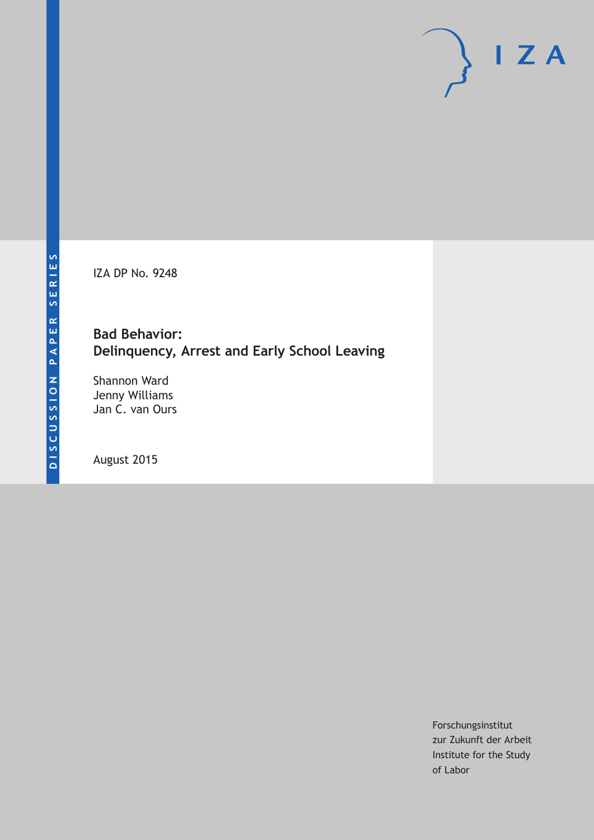IZA DP No. 9248

# **Bad Behavior: Delinquency, Arrest and Early School Leaving**

Shannon Ward Jenny Williams Jan C. van Ours

August 2015

Forschungsinstitut zur Zukunft der Arbeit Institute for the Study of Labor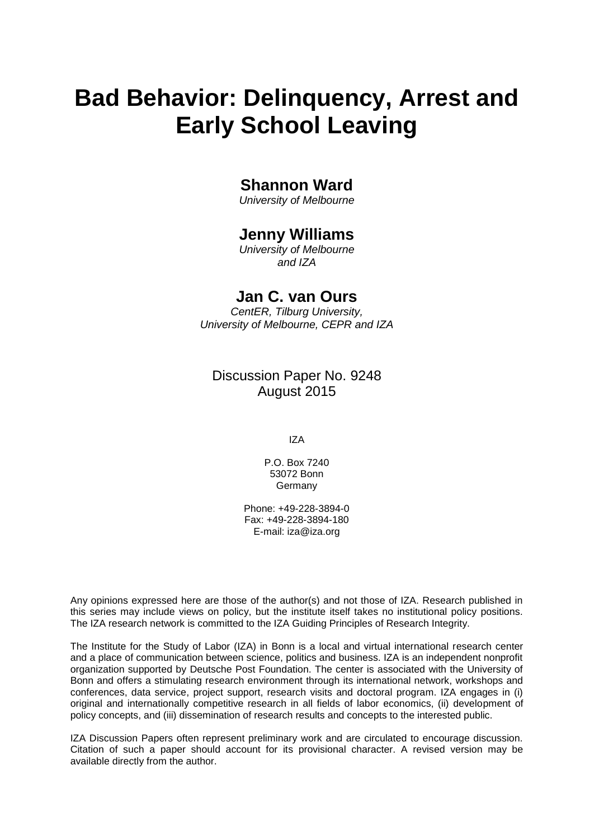# **Bad Behavior: Delinquency, Arrest and Early School Leaving**

# **Shannon Ward**

*University of Melbourne*

# **Jenny Williams**

*University of Melbourne and IZA*

# **Jan C. van Ours**

*CentER, Tilburg University, University of Melbourne, CEPR and IZA*

# Discussion Paper No. 9248 August 2015

IZA

P.O. Box 7240 53072 Bonn Germany

Phone: +49-228-3894-0 Fax: +49-228-3894-180 E-mail: iza@iza.org

Any opinions expressed here are those of the author(s) and not those of IZA. Research published in this series may include views on policy, but the institute itself takes no institutional policy positions. The IZA research network is committed to the IZA Guiding Principles of Research Integrity.

The Institute for the Study of Labor (IZA) in Bonn is a local and virtual international research center and a place of communication between science, politics and business. IZA is an independent nonprofit organization supported by Deutsche Post Foundation. The center is associated with the University of Bonn and offers a stimulating research environment through its international network, workshops and conferences, data service, project support, research visits and doctoral program. IZA engages in (i) original and internationally competitive research in all fields of labor economics, (ii) development of policy concepts, and (iii) dissemination of research results and concepts to the interested public.

IZA Discussion Papers often represent preliminary work and are circulated to encourage discussion. Citation of such a paper should account for its provisional character. A revised version may be available directly from the author.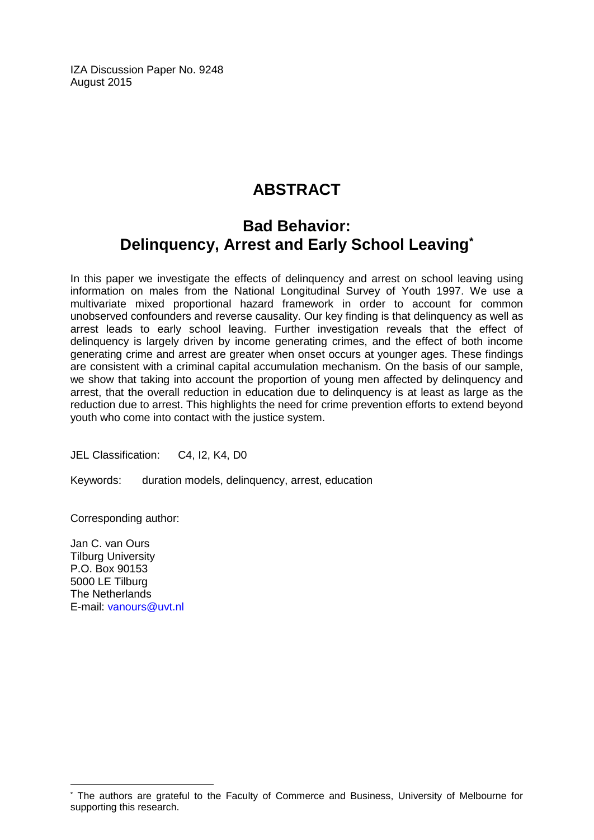IZA Discussion Paper No. 9248 August 2015

# **ABSTRACT**

# **Bad Behavior: Delinquency, Arrest and Early School Leaving\***

In this paper we investigate the effects of delinquency and arrest on school leaving using information on males from the National Longitudinal Survey of Youth 1997. We use a multivariate mixed proportional hazard framework in order to account for common unobserved confounders and reverse causality. Our key finding is that delinquency as well as arrest leads to early school leaving. Further investigation reveals that the effect of delinquency is largely driven by income generating crimes, and the effect of both income generating crime and arrest are greater when onset occurs at younger ages. These findings are consistent with a criminal capital accumulation mechanism. On the basis of our sample, we show that taking into account the proportion of young men affected by delinquency and arrest, that the overall reduction in education due to delinquency is at least as large as the reduction due to arrest. This highlights the need for crime prevention efforts to extend beyond youth who come into contact with the justice system.

JEL Classification: C4, I2, K4, D0

Keywords: duration models, delinquency, arrest, education

Corresponding author:

Jan C. van Ours Tilburg University P.O. Box 90153 5000 LE Tilburg The Netherlands E-mail: [vanours@uvt.nl](mailto:vanours@uvt.nl)

 $\overline{a}$ 

The authors are grateful to the Faculty of Commerce and Business, University of Melbourne for supporting this research.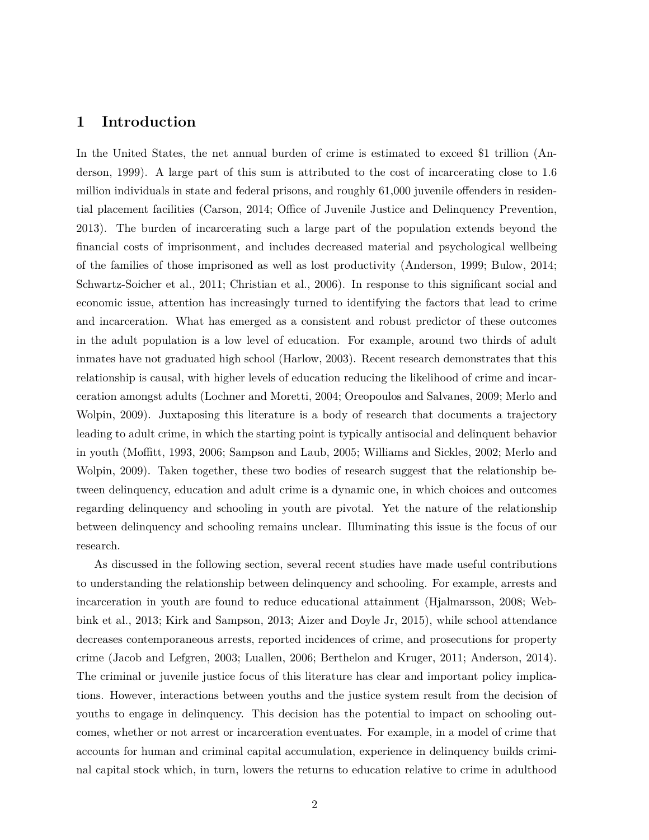### **1 Introduction**

In the United States, the net annual burden of crime is estimated to exceed \$1 trillion (Anderson, 1999). A large part of this sum is attributed to the cost of incarcerating close to 1.6 million individuals in state and federal prisons, and roughly 61,000 juvenile offenders in residential placement facilities (Carson, 2014; Office of Juvenile Justice and Delinquency Prevention, 2013). The burden of incarcerating such a large part of the population extends beyond the financial costs of imprisonment, and includes decreased material and psychological wellbeing of the families of those imprisoned as well as lost productivity (Anderson, 1999; Bulow, 2014; Schwartz-Soicher et al., 2011; Christian et al., 2006). In response to this significant social and economic issue, attention has increasingly turned to identifying the factors that lead to crime and incarceration. What has emerged as a consistent and robust predictor of these outcomes in the adult population is a low level of education. For example, around two thirds of adult inmates have not graduated high school (Harlow, 2003). Recent research demonstrates that this relationship is causal, with higher levels of education reducing the likelihood of crime and incarceration amongst adults (Lochner and Moretti, 2004; Oreopoulos and Salvanes, 2009; Merlo and Wolpin, 2009). Juxtaposing this literature is a body of research that documents a trajectory leading to adult crime, in which the starting point is typically antisocial and delinquent behavior in youth (Moffitt, 1993, 2006; Sampson and Laub, 2005; Williams and Sickles, 2002; Merlo and Wolpin, 2009). Taken together, these two bodies of research suggest that the relationship between delinquency, education and adult crime is a dynamic one, in which choices and outcomes regarding delinquency and schooling in youth are pivotal. Yet the nature of the relationship between delinquency and schooling remains unclear. Illuminating this issue is the focus of our research.

As discussed in the following section, several recent studies have made useful contributions to understanding the relationship between delinquency and schooling. For example, arrests and incarceration in youth are found to reduce educational attainment (Hjalmarsson, 2008; Webbink et al., 2013; Kirk and Sampson, 2013; Aizer and Doyle Jr, 2015), while school attendance decreases contemporaneous arrests, reported incidences of crime, and prosecutions for property crime (Jacob and Lefgren, 2003; Luallen, 2006; Berthelon and Kruger, 2011; Anderson, 2014). The criminal or juvenile justice focus of this literature has clear and important policy implications. However, interactions between youths and the justice system result from the decision of youths to engage in delinquency. This decision has the potential to impact on schooling outcomes, whether or not arrest or incarceration eventuates. For example, in a model of crime that accounts for human and criminal capital accumulation, experience in delinquency builds criminal capital stock which, in turn, lowers the returns to education relative to crime in adulthood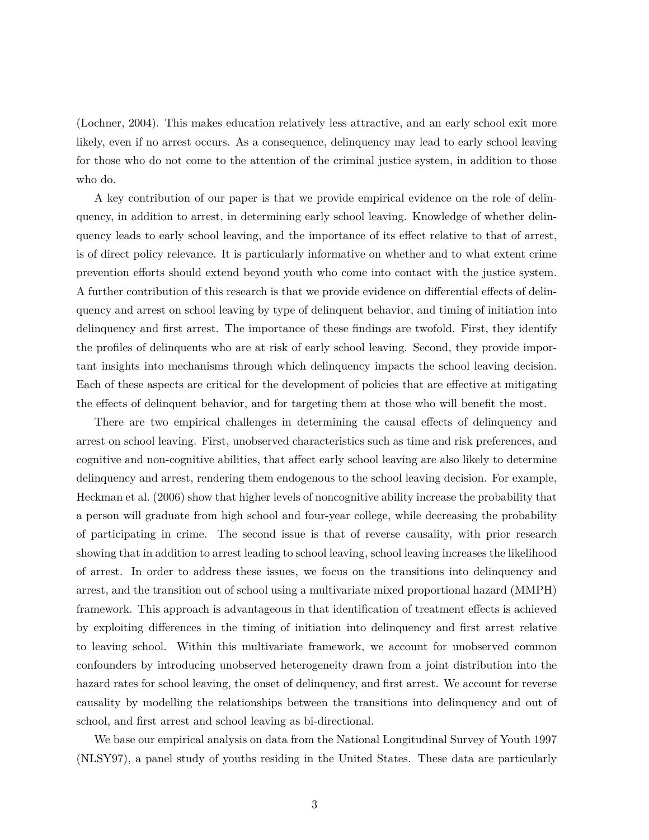(Lochner, 2004). This makes education relatively less attractive, and an early school exit more likely, even if no arrest occurs. As a consequence, delinquency may lead to early school leaving for those who do not come to the attention of the criminal justice system, in addition to those who do.

A key contribution of our paper is that we provide empirical evidence on the role of delinquency, in addition to arrest, in determining early school leaving. Knowledge of whether delinquency leads to early school leaving, and the importance of its effect relative to that of arrest, is of direct policy relevance. It is particularly informative on whether and to what extent crime prevention efforts should extend beyond youth who come into contact with the justice system. A further contribution of this research is that we provide evidence on differential effects of delinquency and arrest on school leaving by type of delinquent behavior, and timing of initiation into delinquency and first arrest. The importance of these findings are twofold. First, they identify the profiles of delinquents who are at risk of early school leaving. Second, they provide important insights into mechanisms through which delinquency impacts the school leaving decision. Each of these aspects are critical for the development of policies that are effective at mitigating the effects of delinquent behavior, and for targeting them at those who will benefit the most.

There are two empirical challenges in determining the causal effects of delinquency and arrest on school leaving. First, unobserved characteristics such as time and risk preferences, and cognitive and non-cognitive abilities, that affect early school leaving are also likely to determine delinquency and arrest, rendering them endogenous to the school leaving decision. For example, Heckman et al. (2006) show that higher levels of noncognitive ability increase the probability that a person will graduate from high school and four-year college, while decreasing the probability of participating in crime. The second issue is that of reverse causality, with prior research showing that in addition to arrest leading to school leaving, school leaving increases the likelihood of arrest. In order to address these issues, we focus on the transitions into delinquency and arrest, and the transition out of school using a multivariate mixed proportional hazard (MMPH) framework. This approach is advantageous in that identification of treatment effects is achieved by exploiting differences in the timing of initiation into delinquency and first arrest relative to leaving school. Within this multivariate framework, we account for unobserved common confounders by introducing unobserved heterogeneity drawn from a joint distribution into the hazard rates for school leaving, the onset of delinquency, and first arrest. We account for reverse causality by modelling the relationships between the transitions into delinquency and out of school, and first arrest and school leaving as bi-directional.

We base our empirical analysis on data from the National Longitudinal Survey of Youth 1997 (NLSY97), a panel study of youths residing in the United States. These data are particularly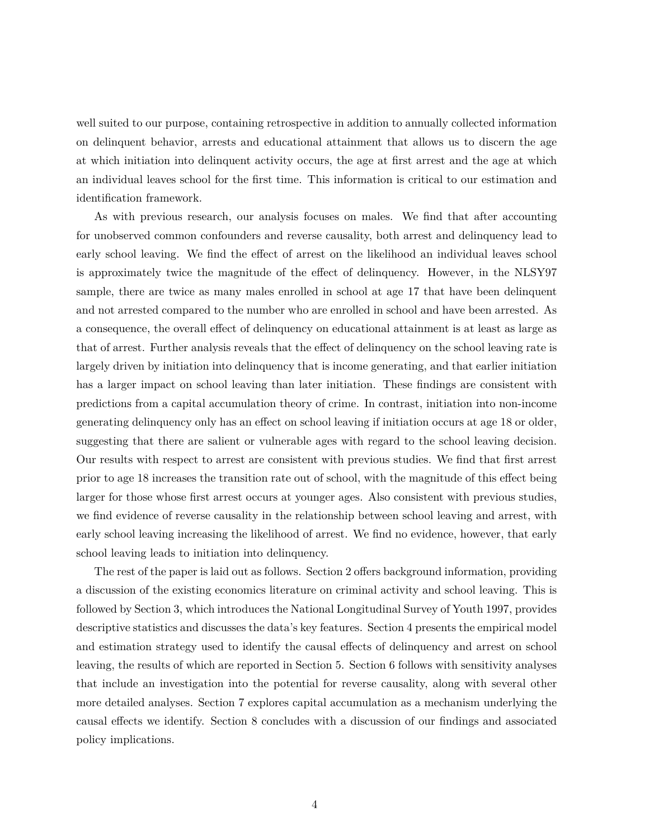well suited to our purpose, containing retrospective in addition to annually collected information on delinquent behavior, arrests and educational attainment that allows us to discern the age at which initiation into delinquent activity occurs, the age at first arrest and the age at which an individual leaves school for the first time. This information is critical to our estimation and identification framework.

As with previous research, our analysis focuses on males. We find that after accounting for unobserved common confounders and reverse causality, both arrest and delinquency lead to early school leaving. We find the effect of arrest on the likelihood an individual leaves school is approximately twice the magnitude of the effect of delinquency. However, in the NLSY97 sample, there are twice as many males enrolled in school at age 17 that have been delinquent and not arrested compared to the number who are enrolled in school and have been arrested. As a consequence, the overall effect of delinquency on educational attainment is at least as large as that of arrest. Further analysis reveals that the effect of delinquency on the school leaving rate is largely driven by initiation into delinquency that is income generating, and that earlier initiation has a larger impact on school leaving than later initiation. These findings are consistent with predictions from a capital accumulation theory of crime. In contrast, initiation into non-income generating delinquency only has an effect on school leaving if initiation occurs at age 18 or older, suggesting that there are salient or vulnerable ages with regard to the school leaving decision. Our results with respect to arrest are consistent with previous studies. We find that first arrest prior to age 18 increases the transition rate out of school, with the magnitude of this effect being larger for those whose first arrest occurs at younger ages. Also consistent with previous studies, we find evidence of reverse causality in the relationship between school leaving and arrest, with early school leaving increasing the likelihood of arrest. We find no evidence, however, that early school leaving leads to initiation into delinquency.

The rest of the paper is laid out as follows. Section 2 offers background information, providing a discussion of the existing economics literature on criminal activity and school leaving. This is followed by Section 3, which introduces the National Longitudinal Survey of Youth 1997, provides descriptive statistics and discusses the data's key features. Section 4 presents the empirical model and estimation strategy used to identify the causal effects of delinquency and arrest on school leaving, the results of which are reported in Section 5. Section 6 follows with sensitivity analyses that include an investigation into the potential for reverse causality, along with several other more detailed analyses. Section 7 explores capital accumulation as a mechanism underlying the causal effects we identify. Section 8 concludes with a discussion of our findings and associated policy implications.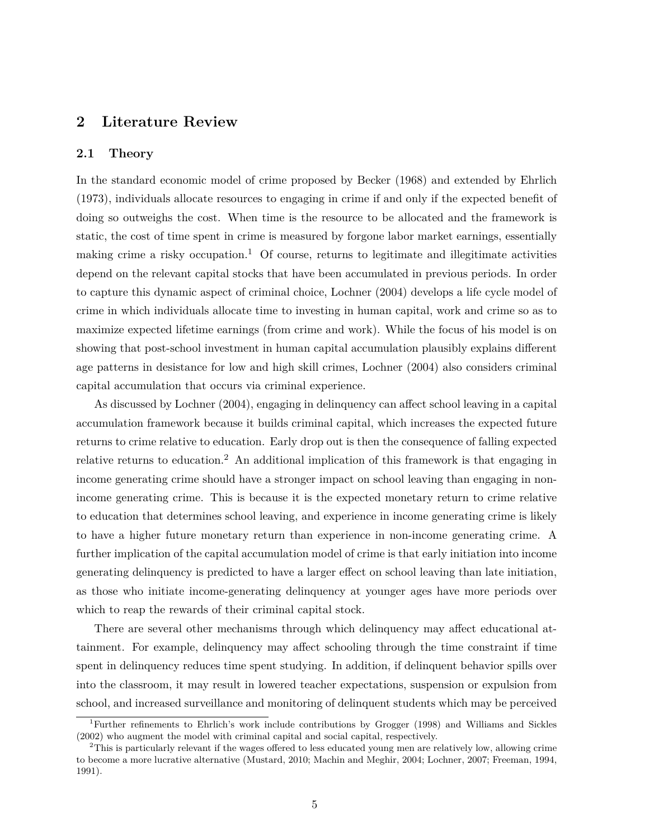### **2 Literature Review**

#### **2.1 Theory**

In the standard economic model of crime proposed by Becker (1968) and extended by Ehrlich (1973), individuals allocate resources to engaging in crime if and only if the expected benefit of doing so outweighs the cost. When time is the resource to be allocated and the framework is static, the cost of time spent in crime is measured by forgone labor market earnings, essentially making crime a risky occupation.<sup>1</sup> Of course, returns to legitimate and illegitimate activities depend on the relevant capital stocks that have been accumulated in previous periods. In order to capture this dynamic aspect of criminal choice, Lochner (2004) develops a life cycle model of crime in which individuals allocate time to investing in human capital, work and crime so as to maximize expected lifetime earnings (from crime and work). While the focus of his model is on showing that post-school investment in human capital accumulation plausibly explains different age patterns in desistance for low and high skill crimes, Lochner (2004) also considers criminal capital accumulation that occurs via criminal experience.

As discussed by Lochner (2004), engaging in delinquency can affect school leaving in a capital accumulation framework because it builds criminal capital, which increases the expected future returns to crime relative to education. Early drop out is then the consequence of falling expected relative returns to education.<sup>2</sup> An additional implication of this framework is that engaging in income generating crime should have a stronger impact on school leaving than engaging in nonincome generating crime. This is because it is the expected monetary return to crime relative to education that determines school leaving, and experience in income generating crime is likely to have a higher future monetary return than experience in non-income generating crime. A further implication of the capital accumulation model of crime is that early initiation into income generating delinquency is predicted to have a larger effect on school leaving than late initiation, as those who initiate income-generating delinquency at younger ages have more periods over which to reap the rewards of their criminal capital stock.

There are several other mechanisms through which delinquency may affect educational attainment. For example, delinquency may affect schooling through the time constraint if time spent in delinquency reduces time spent studying. In addition, if delinquent behavior spills over into the classroom, it may result in lowered teacher expectations, suspension or expulsion from school, and increased surveillance and monitoring of delinquent students which may be perceived

<sup>1</sup>Further refinements to Ehrlich's work include contributions by Grogger (1998) and Williams and Sickles (2002) who augment the model with criminal capital and social capital, respectively.

<sup>2</sup>This is particularly relevant if the wages offered to less educated young men are relatively low, allowing crime to become a more lucrative alternative (Mustard, 2010; Machin and Meghir, 2004; Lochner, 2007; Freeman, 1994, 1991).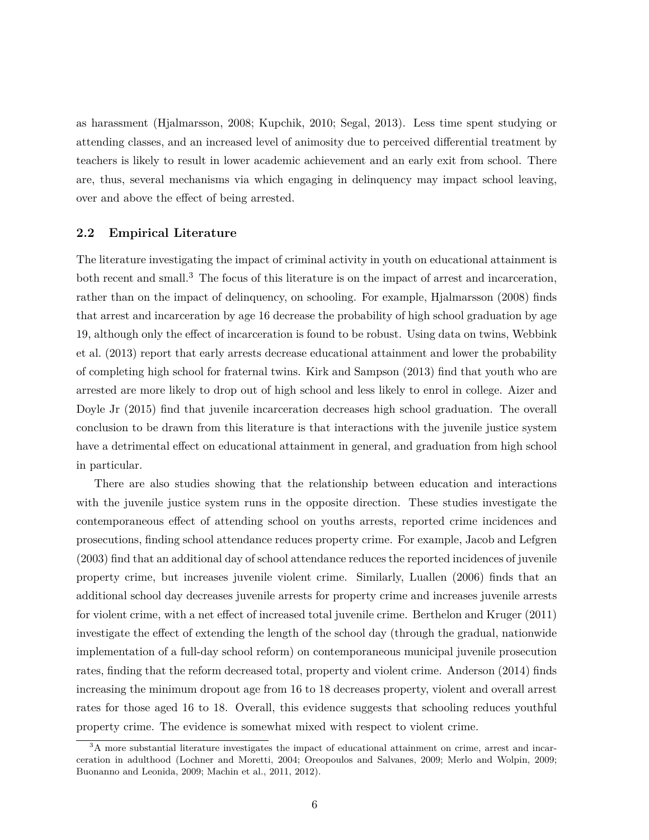as harassment (Hjalmarsson, 2008; Kupchik, 2010; Segal, 2013). Less time spent studying or attending classes, and an increased level of animosity due to perceived differential treatment by teachers is likely to result in lower academic achievement and an early exit from school. There are, thus, several mechanisms via which engaging in delinquency may impact school leaving, over and above the effect of being arrested.

#### **2.2 Empirical Literature**

The literature investigating the impact of criminal activity in youth on educational attainment is both recent and small.<sup>3</sup> The focus of this literature is on the impact of arrest and incarceration, rather than on the impact of delinquency, on schooling. For example, Hjalmarsson (2008) finds that arrest and incarceration by age 16 decrease the probability of high school graduation by age 19, although only the effect of incarceration is found to be robust. Using data on twins, Webbink et al. (2013) report that early arrests decrease educational attainment and lower the probability of completing high school for fraternal twins. Kirk and Sampson (2013) find that youth who are arrested are more likely to drop out of high school and less likely to enrol in college. Aizer and Doyle Jr (2015) find that juvenile incarceration decreases high school graduation. The overall conclusion to be drawn from this literature is that interactions with the juvenile justice system have a detrimental effect on educational attainment in general, and graduation from high school in particular.

There are also studies showing that the relationship between education and interactions with the juvenile justice system runs in the opposite direction. These studies investigate the contemporaneous effect of attending school on youths arrests, reported crime incidences and prosecutions, finding school attendance reduces property crime. For example, Jacob and Lefgren (2003) find that an additional day of school attendance reduces the reported incidences of juvenile property crime, but increases juvenile violent crime. Similarly, Luallen (2006) finds that an additional school day decreases juvenile arrests for property crime and increases juvenile arrests for violent crime, with a net effect of increased total juvenile crime. Berthelon and Kruger (2011) investigate the effect of extending the length of the school day (through the gradual, nationwide implementation of a full-day school reform) on contemporaneous municipal juvenile prosecution rates, finding that the reform decreased total, property and violent crime. Anderson (2014) finds increasing the minimum dropout age from 16 to 18 decreases property, violent and overall arrest rates for those aged 16 to 18. Overall, this evidence suggests that schooling reduces youthful property crime. The evidence is somewhat mixed with respect to violent crime.

<sup>&</sup>lt;sup>3</sup>A more substantial literature investigates the impact of educational attainment on crime, arrest and incarceration in adulthood (Lochner and Moretti, 2004; Oreopoulos and Salvanes, 2009; Merlo and Wolpin, 2009; Buonanno and Leonida, 2009; Machin et al., 2011, 2012).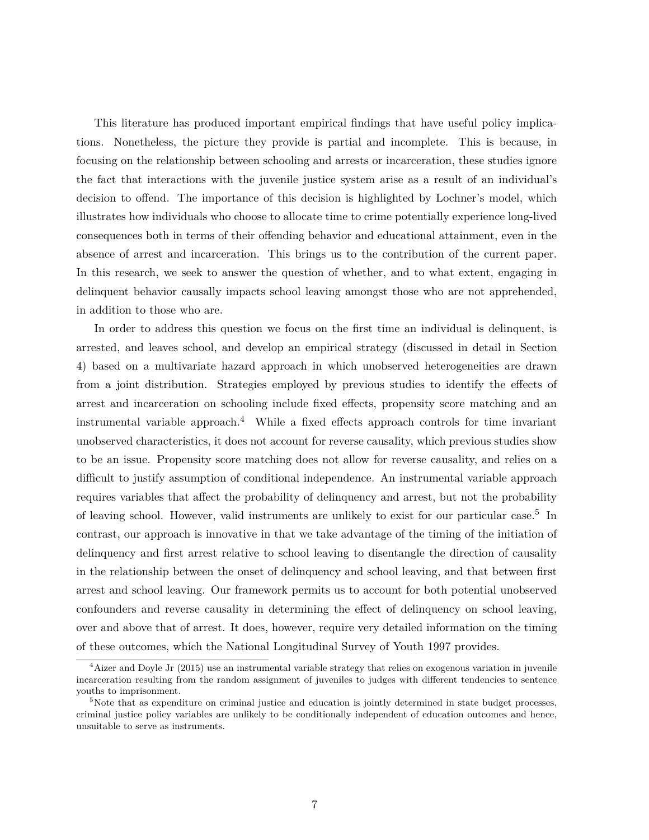This literature has produced important empirical findings that have useful policy implications. Nonetheless, the picture they provide is partial and incomplete. This is because, in focusing on the relationship between schooling and arrests or incarceration, these studies ignore the fact that interactions with the juvenile justice system arise as a result of an individual's decision to offend. The importance of this decision is highlighted by Lochner's model, which illustrates how individuals who choose to allocate time to crime potentially experience long-lived consequences both in terms of their offending behavior and educational attainment, even in the absence of arrest and incarceration. This brings us to the contribution of the current paper. In this research, we seek to answer the question of whether, and to what extent, engaging in delinquent behavior causally impacts school leaving amongst those who are not apprehended, in addition to those who are.

In order to address this question we focus on the first time an individual is delinquent, is arrested, and leaves school, and develop an empirical strategy (discussed in detail in Section 4) based on a multivariate hazard approach in which unobserved heterogeneities are drawn from a joint distribution. Strategies employed by previous studies to identify the effects of arrest and incarceration on schooling include fixed effects, propensity score matching and an instrumental variable approach. $4$  While a fixed effects approach controls for time invariant unobserved characteristics, it does not account for reverse causality, which previous studies show to be an issue. Propensity score matching does not allow for reverse causality, and relies on a difficult to justify assumption of conditional independence. An instrumental variable approach requires variables that affect the probability of delinquency and arrest, but not the probability of leaving school. However, valid instruments are unlikely to exist for our particular case.<sup>5</sup> In contrast, our approach is innovative in that we take advantage of the timing of the initiation of delinquency and first arrest relative to school leaving to disentangle the direction of causality in the relationship between the onset of delinquency and school leaving, and that between first arrest and school leaving. Our framework permits us to account for both potential unobserved confounders and reverse causality in determining the effect of delinquency on school leaving, over and above that of arrest. It does, however, require very detailed information on the timing of these outcomes, which the National Longitudinal Survey of Youth 1997 provides.

<sup>&</sup>lt;sup>4</sup>Aizer and Doyle Jr (2015) use an instrumental variable strategy that relies on exogenous variation in juvenile incarceration resulting from the random assignment of juveniles to judges with different tendencies to sentence youths to imprisonment.

 $5$ Note that as expenditure on criminal justice and education is jointly determined in state budget processes, criminal justice policy variables are unlikely to be conditionally independent of education outcomes and hence, unsuitable to serve as instruments.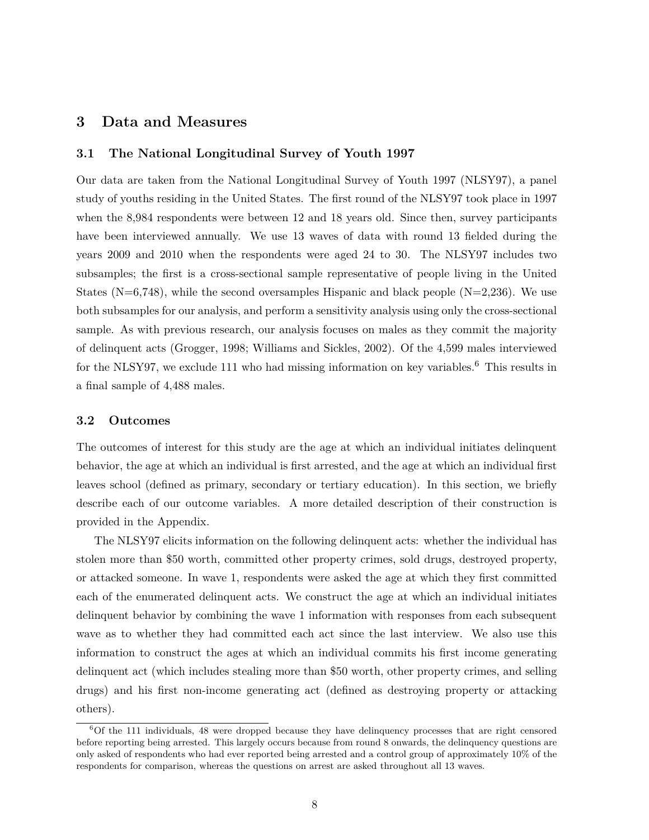# **3 Data and Measures**

#### **3.1 The National Longitudinal Survey of Youth 1997**

Our data are taken from the National Longitudinal Survey of Youth 1997 (NLSY97), a panel study of youths residing in the United States. The first round of the NLSY97 took place in 1997 when the 8,984 respondents were between 12 and 18 years old. Since then, survey participants have been interviewed annually. We use 13 waves of data with round 13 fielded during the years 2009 and 2010 when the respondents were aged 24 to 30. The NLSY97 includes two subsamples; the first is a cross-sectional sample representative of people living in the United States ( $N=6,748$ ), while the second oversamples Hispanic and black people ( $N=2,236$ ). We use both subsamples for our analysis, and perform a sensitivity analysis using only the cross-sectional sample. As with previous research, our analysis focuses on males as they commit the majority of delinquent acts (Grogger, 1998; Williams and Sickles, 2002). Of the 4,599 males interviewed for the NLSY97, we exclude 111 who had missing information on key variables.<sup>6</sup> This results in a final sample of 4,488 males.

### **3.2 Outcomes**

The outcomes of interest for this study are the age at which an individual initiates delinquent behavior, the age at which an individual is first arrested, and the age at which an individual first leaves school (defined as primary, secondary or tertiary education). In this section, we briefly describe each of our outcome variables. A more detailed description of their construction is provided in the Appendix.

The NLSY97 elicits information on the following delinquent acts: whether the individual has stolen more than \$50 worth, committed other property crimes, sold drugs, destroyed property, or attacked someone. In wave 1, respondents were asked the age at which they first committed each of the enumerated delinquent acts. We construct the age at which an individual initiates delinquent behavior by combining the wave 1 information with responses from each subsequent wave as to whether they had committed each act since the last interview. We also use this information to construct the ages at which an individual commits his first income generating delinquent act (which includes stealing more than \$50 worth, other property crimes, and selling drugs) and his first non-income generating act (defined as destroying property or attacking others).

<sup>6</sup>Of the 111 individuals, 48 were dropped because they have delinquency processes that are right censored before reporting being arrested. This largely occurs because from round 8 onwards, the delinquency questions are only asked of respondents who had ever reported being arrested and a control group of approximately 10% of the respondents for comparison, whereas the questions on arrest are asked throughout all 13 waves.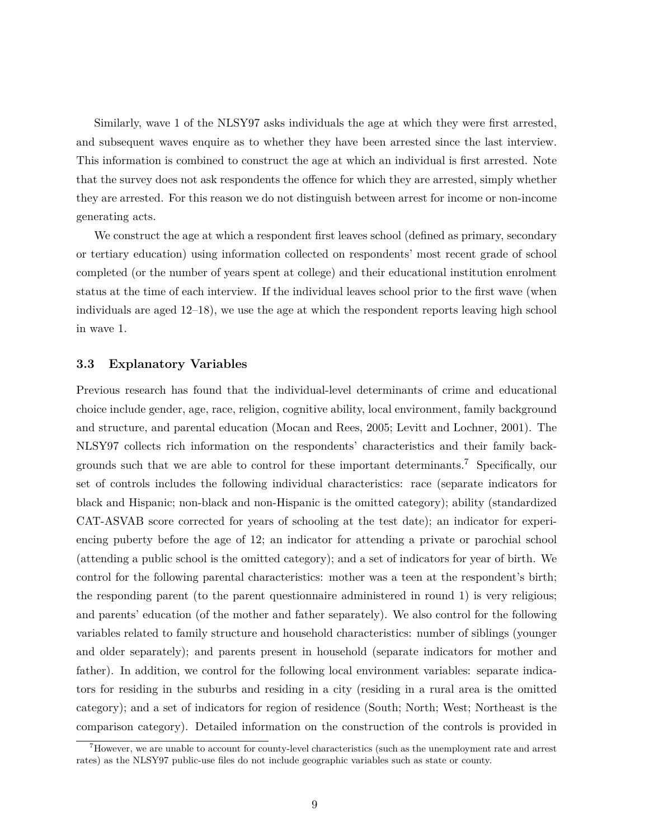Similarly, wave 1 of the NLSY97 asks individuals the age at which they were first arrested, and subsequent waves enquire as to whether they have been arrested since the last interview. This information is combined to construct the age at which an individual is first arrested. Note that the survey does not ask respondents the offence for which they are arrested, simply whether they are arrested. For this reason we do not distinguish between arrest for income or non-income generating acts.

We construct the age at which a respondent first leaves school (defined as primary, secondary or tertiary education) using information collected on respondents' most recent grade of school completed (or the number of years spent at college) and their educational institution enrolment status at the time of each interview. If the individual leaves school prior to the first wave (when individuals are aged 12–18), we use the age at which the respondent reports leaving high school in wave 1.

#### **3.3 Explanatory Variables**

Previous research has found that the individual-level determinants of crime and educational choice include gender, age, race, religion, cognitive ability, local environment, family background and structure, and parental education (Mocan and Rees, 2005; Levitt and Lochner, 2001). The NLSY97 collects rich information on the respondents' characteristics and their family backgrounds such that we are able to control for these important determinants.<sup>7</sup> Specifically, our set of controls includes the following individual characteristics: race (separate indicators for black and Hispanic; non-black and non-Hispanic is the omitted category); ability (standardized CAT-ASVAB score corrected for years of schooling at the test date); an indicator for experiencing puberty before the age of 12; an indicator for attending a private or parochial school (attending a public school is the omitted category); and a set of indicators for year of birth. We control for the following parental characteristics: mother was a teen at the respondent's birth; the responding parent (to the parent questionnaire administered in round 1) is very religious; and parents' education (of the mother and father separately). We also control for the following variables related to family structure and household characteristics: number of siblings (younger and older separately); and parents present in household (separate indicators for mother and father). In addition, we control for the following local environment variables: separate indicators for residing in the suburbs and residing in a city (residing in a rural area is the omitted category); and a set of indicators for region of residence (South; North; West; Northeast is the comparison category). Detailed information on the construction of the controls is provided in

<sup>&</sup>lt;sup>7</sup>However, we are unable to account for county-level characteristics (such as the unemployment rate and arrest rates) as the NLSY97 public-use files do not include geographic variables such as state or county.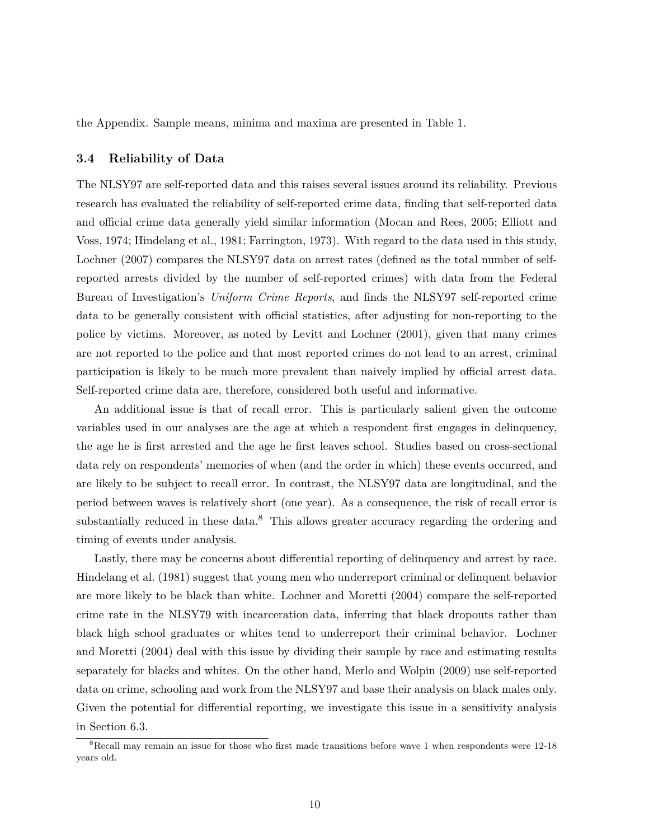the Appendix. Sample means, minima and maxima are presented in Table 1.

#### **3.4 Reliability of Data**

The NLSY97 are self-reported data and this raises several issues around its reliability. Previous research has evaluated the reliability of self-reported crime data, finding that self-reported data and official crime data generally yield similar information (Mocan and Rees, 2005; Elliott and Voss, 1974; Hindelang et al., 1981; Farrington, 1973). With regard to the data used in this study, Lochner (2007) compares the NLSY97 data on arrest rates (defined as the total number of selfreported arrests divided by the number of self-reported crimes) with data from the Federal Bureau of Investigation's *Uniform Crime Reports*, and finds the NLSY97 self-reported crime data to be generally consistent with official statistics, after adjusting for non-reporting to the police by victims. Moreover, as noted by Levitt and Lochner (2001), given that many crimes are not reported to the police and that most reported crimes do not lead to an arrest, criminal participation is likely to be much more prevalent than naively implied by official arrest data. Self-reported crime data are, therefore, considered both useful and informative.

An additional issue is that of recall error. This is particularly salient given the outcome variables used in our analyses are the age at which a respondent first engages in delinquency, the age he is first arrested and the age he first leaves school. Studies based on cross-sectional data rely on respondents' memories of when (and the order in which) these events occurred, and are likely to be subject to recall error. In contrast, the NLSY97 data are longitudinal, and the period between waves is relatively short (one year). As a consequence, the risk of recall error is substantially reduced in these data.<sup>8</sup> This allows greater accuracy regarding the ordering and timing of events under analysis.

Lastly, there may be concerns about differential reporting of delinquency and arrest by race. Hindelang et al. (1981) suggest that young men who underreport criminal or delinquent behavior are more likely to be black than white. Lochner and Moretti (2004) compare the self-reported crime rate in the NLSY79 with incarceration data, inferring that black dropouts rather than black high school graduates or whites tend to underreport their criminal behavior. Lochner and Moretti (2004) deal with this issue by dividing their sample by race and estimating results separately for blacks and whites. On the other hand, Merlo and Wolpin (2009) use self-reported data on crime, schooling and work from the NLSY97 and base their analysis on black males only. Given the potential for differential reporting, we investigate this issue in a sensitivity analysis in Section 6.3.

<sup>&</sup>lt;sup>8</sup>Recall may remain an issue for those who first made transitions before wave 1 when respondents were 12-18 years old.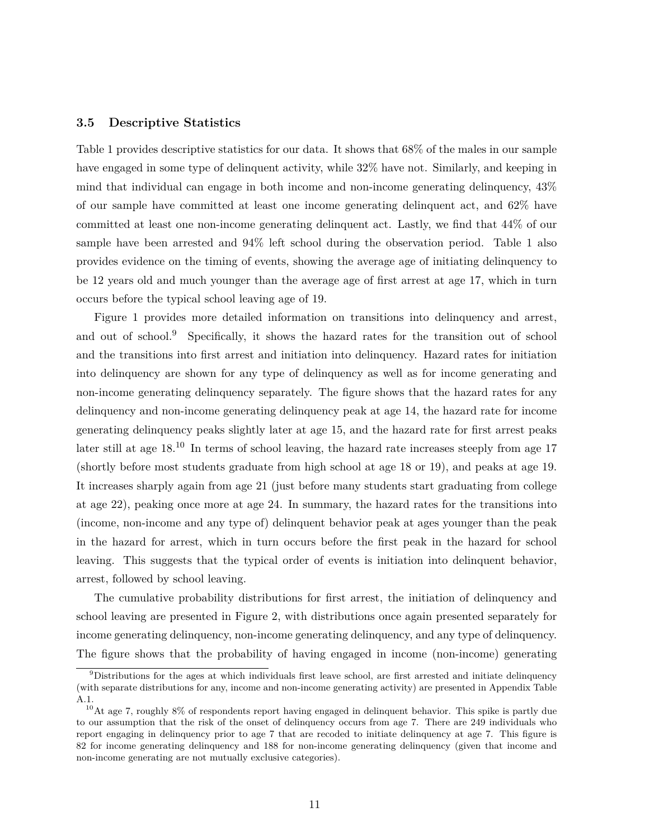#### **3.5 Descriptive Statistics**

Table 1 provides descriptive statistics for our data. It shows that 68% of the males in our sample have engaged in some type of delinquent activity, while 32% have not. Similarly, and keeping in mind that individual can engage in both income and non-income generating delinquency, 43% of our sample have committed at least one income generating delinquent act, and 62% have committed at least one non-income generating delinquent act. Lastly, we find that 44% of our sample have been arrested and 94% left school during the observation period. Table 1 also provides evidence on the timing of events, showing the average age of initiating delinquency to be 12 years old and much younger than the average age of first arrest at age 17, which in turn occurs before the typical school leaving age of 19.

Figure 1 provides more detailed information on transitions into delinquency and arrest, and out of school.<sup>9</sup> Specifically, it shows the hazard rates for the transition out of school and the transitions into first arrest and initiation into delinquency. Hazard rates for initiation into delinquency are shown for any type of delinquency as well as for income generating and non-income generating delinquency separately. The figure shows that the hazard rates for any delinquency and non-income generating delinquency peak at age 14, the hazard rate for income generating delinquency peaks slightly later at age 15, and the hazard rate for first arrest peaks later still at age  $18^{10}$  In terms of school leaving, the hazard rate increases steeply from age 17 (shortly before most students graduate from high school at age 18 or 19), and peaks at age 19. It increases sharply again from age 21 (just before many students start graduating from college at age 22), peaking once more at age 24. In summary, the hazard rates for the transitions into (income, non-income and any type of) delinquent behavior peak at ages younger than the peak in the hazard for arrest, which in turn occurs before the first peak in the hazard for school leaving. This suggests that the typical order of events is initiation into delinquent behavior, arrest, followed by school leaving.

The cumulative probability distributions for first arrest, the initiation of delinquency and school leaving are presented in Figure 2, with distributions once again presented separately for income generating delinquency, non-income generating delinquency, and any type of delinquency. The figure shows that the probability of having engaged in income (non-income) generating

<sup>9</sup>Distributions for the ages at which individuals first leave school, are first arrested and initiate delinquency (with separate distributions for any, income and non-income generating activity) are presented in Appendix Table A.1.

<sup>&</sup>lt;sup>10</sup>At age 7, roughly 8% of respondents report having engaged in delinquent behavior. This spike is partly due to our assumption that the risk of the onset of delinquency occurs from age 7. There are 249 individuals who report engaging in delinquency prior to age 7 that are recoded to initiate delinquency at age 7. This figure is 82 for income generating delinquency and 188 for non-income generating delinquency (given that income and non-income generating are not mutually exclusive categories).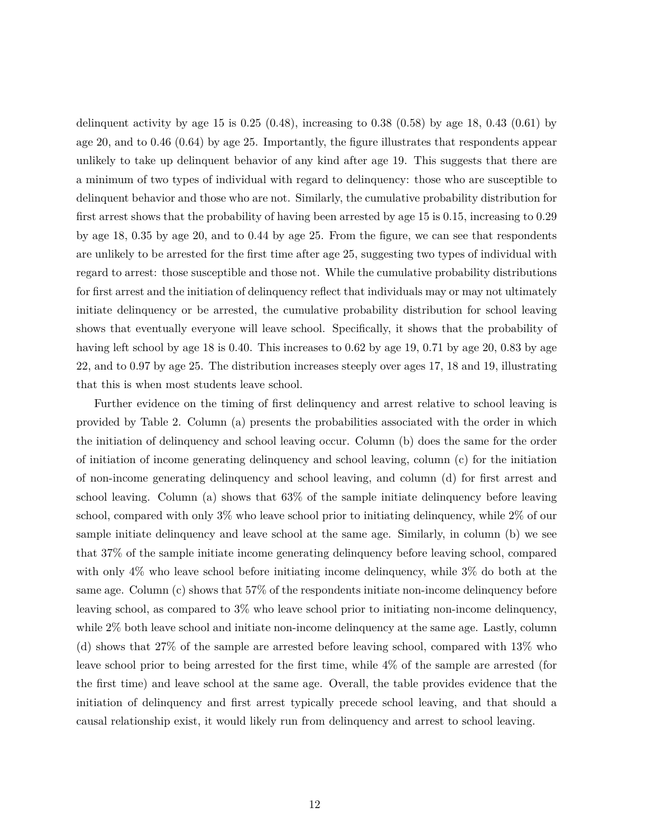delinquent activity by age 15 is  $0.25$   $(0.48)$ , increasing to  $0.38$   $(0.58)$  by age 18,  $0.43$   $(0.61)$  by age 20, and to 0.46 (0.64) by age 25. Importantly, the figure illustrates that respondents appear unlikely to take up delinquent behavior of any kind after age 19. This suggests that there are a minimum of two types of individual with regard to delinquency: those who are susceptible to delinquent behavior and those who are not. Similarly, the cumulative probability distribution for first arrest shows that the probability of having been arrested by age 15 is 0.15, increasing to 0.29 by age 18, 0.35 by age 20, and to 0.44 by age 25. From the figure, we can see that respondents are unlikely to be arrested for the first time after age 25, suggesting two types of individual with regard to arrest: those susceptible and those not. While the cumulative probability distributions for first arrest and the initiation of delinquency reflect that individuals may or may not ultimately initiate delinquency or be arrested, the cumulative probability distribution for school leaving shows that eventually everyone will leave school. Specifically, it shows that the probability of having left school by age 18 is 0.40. This increases to 0.62 by age 19, 0.71 by age 20, 0.83 by age 22, and to 0.97 by age 25. The distribution increases steeply over ages 17, 18 and 19, illustrating that this is when most students leave school.

Further evidence on the timing of first delinquency and arrest relative to school leaving is provided by Table 2. Column (a) presents the probabilities associated with the order in which the initiation of delinquency and school leaving occur. Column (b) does the same for the order of initiation of income generating delinquency and school leaving, column (c) for the initiation of non-income generating delinquency and school leaving, and column (d) for first arrest and school leaving. Column (a) shows that 63% of the sample initiate delinquency before leaving school, compared with only 3% who leave school prior to initiating delinquency, while 2% of our sample initiate delinquency and leave school at the same age. Similarly, in column (b) we see that 37% of the sample initiate income generating delinquency before leaving school, compared with only 4% who leave school before initiating income delinquency, while 3% do both at the same age. Column (c) shows that 57% of the respondents initiate non-income delinquency before leaving school, as compared to 3% who leave school prior to initiating non-income delinquency, while 2% both leave school and initiate non-income delinquency at the same age. Lastly, column (d) shows that 27% of the sample are arrested before leaving school, compared with 13% who leave school prior to being arrested for the first time, while 4% of the sample are arrested (for the first time) and leave school at the same age. Overall, the table provides evidence that the initiation of delinquency and first arrest typically precede school leaving, and that should a causal relationship exist, it would likely run from delinquency and arrest to school leaving.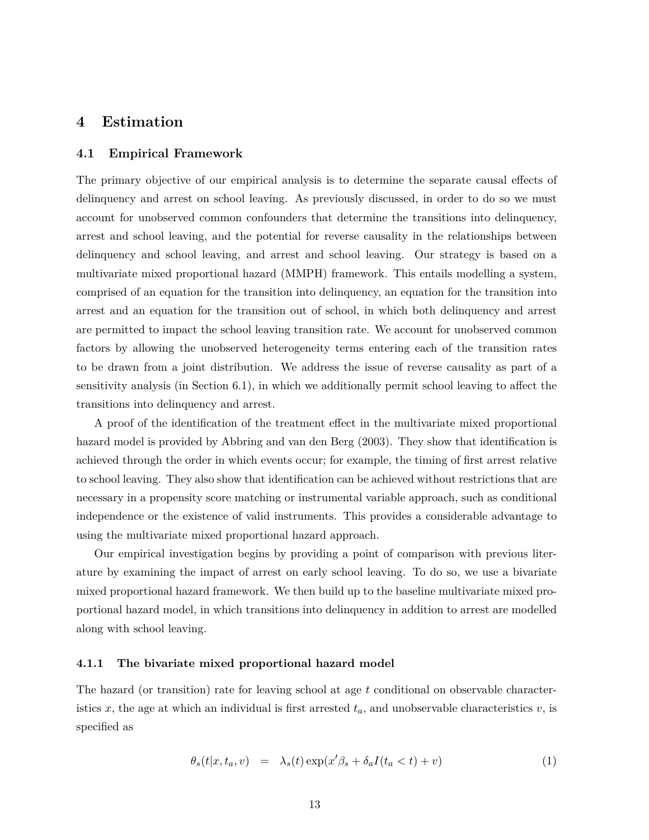### **4 Estimation**

#### **4.1 Empirical Framework**

The primary objective of our empirical analysis is to determine the separate causal effects of delinquency and arrest on school leaving. As previously discussed, in order to do so we must account for unobserved common confounders that determine the transitions into delinquency, arrest and school leaving, and the potential for reverse causality in the relationships between delinquency and school leaving, and arrest and school leaving. Our strategy is based on a multivariate mixed proportional hazard (MMPH) framework. This entails modelling a system, comprised of an equation for the transition into delinquency, an equation for the transition into arrest and an equation for the transition out of school, in which both delinquency and arrest are permitted to impact the school leaving transition rate. We account for unobserved common factors by allowing the unobserved heterogeneity terms entering each of the transition rates to be drawn from a joint distribution. We address the issue of reverse causality as part of a sensitivity analysis (in Section 6.1), in which we additionally permit school leaving to affect the transitions into delinquency and arrest.

A proof of the identification of the treatment effect in the multivariate mixed proportional hazard model is provided by Abbring and van den Berg (2003). They show that identification is achieved through the order in which events occur; for example, the timing of first arrest relative to school leaving. They also show that identification can be achieved without restrictions that are necessary in a propensity score matching or instrumental variable approach, such as conditional independence or the existence of valid instruments. This provides a considerable advantage to using the multivariate mixed proportional hazard approach.

Our empirical investigation begins by providing a point of comparison with previous literature by examining the impact of arrest on early school leaving. To do so, we use a bivariate mixed proportional hazard framework. We then build up to the baseline multivariate mixed proportional hazard model, in which transitions into delinquency in addition to arrest are modelled along with school leaving.

#### **4.1.1 The bivariate mixed proportional hazard model**

The hazard (or transition) rate for leaving school at age *t* conditional on observable characteristics *x*, the age at which an individual is first arrested  $t_a$ , and unobservable characteristics  $v$ , is specified as

$$
\theta_s(t|x, t_a, v) = \lambda_s(t) \exp(x'\beta_s + \delta_a I(t_a < t) + v) \tag{1}
$$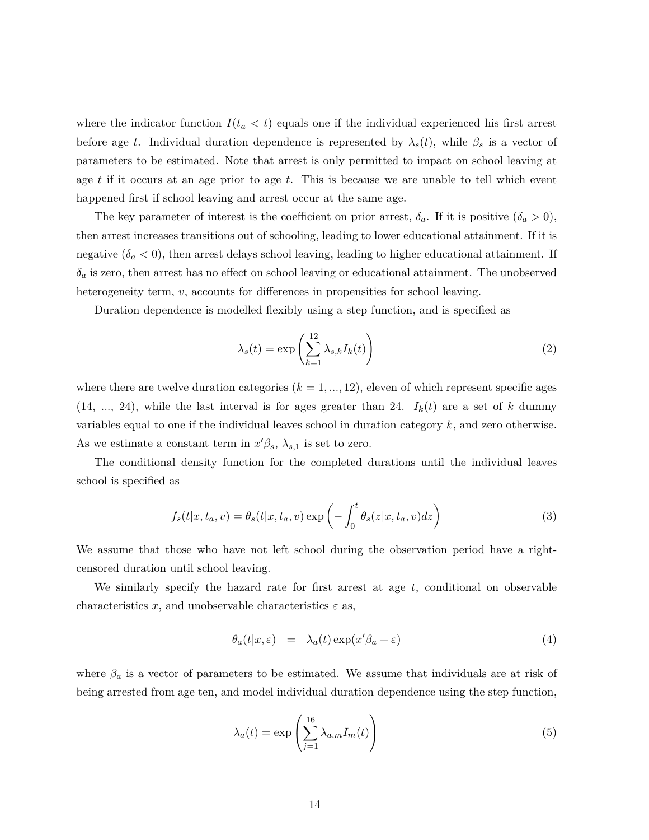where the indicator function  $I(t_a < t)$  equals one if the individual experienced his first arrest before age *t*. Individual duration dependence is represented by  $\lambda_s(t)$ , while  $\beta_s$  is a vector of parameters to be estimated. Note that arrest is only permitted to impact on school leaving at age *t* if it occurs at an age prior to age *t*. This is because we are unable to tell which event happened first if school leaving and arrest occur at the same age.

The key parameter of interest is the coefficient on prior arrest,  $\delta_a$ . If it is positive  $(\delta_a > 0)$ , then arrest increases transitions out of schooling, leading to lower educational attainment. If it is negative  $(\delta_a < 0)$ , then arrest delays school leaving, leading to higher educational attainment. If  $\delta_a$  is zero, then arrest has no effect on school leaving or educational attainment. The unobserved heterogeneity term, *v*, accounts for differences in propensities for school leaving.

Duration dependence is modelled flexibly using a step function, and is specified as

$$
\lambda_s(t) = \exp\left(\sum_{k=1}^{12} \lambda_{s,k} I_k(t)\right) \tag{2}
$$

where there are twelve duration categories  $(k = 1, ..., 12)$ , eleven of which represent specific ages  $(14, ..., 24)$ , while the last interval is for ages greater than 24.  $I_k(t)$  are a set of *k* dummy variables equal to one if the individual leaves school in duration category *k*, and zero otherwise. As we estimate a constant term in  $x'\beta_s$ ,  $\lambda_{s,1}$  is set to zero.

The conditional density function for the completed durations until the individual leaves school is specified as

$$
f_s(t|x, t_a, v) = \theta_s(t|x, t_a, v) \exp\left(-\int_0^t \theta_s(z|x, t_a, v) dz\right)
$$
\n(3)

We assume that those who have not left school during the observation period have a rightcensored duration until school leaving.

We similarly specify the hazard rate for first arrest at age *t*, conditional on observable characteristics *x*, and unobservable characteristics  $\varepsilon$  as,

$$
\theta_a(t|x,\varepsilon) = \lambda_a(t) \exp(x'\beta_a + \varepsilon) \tag{4}
$$

where  $\beta_a$  is a vector of parameters to be estimated. We assume that individuals are at risk of being arrested from age ten, and model individual duration dependence using the step function,

$$
\lambda_a(t) = \exp\left(\sum_{j=1}^{16} \lambda_{a,m} I_m(t)\right) \tag{5}
$$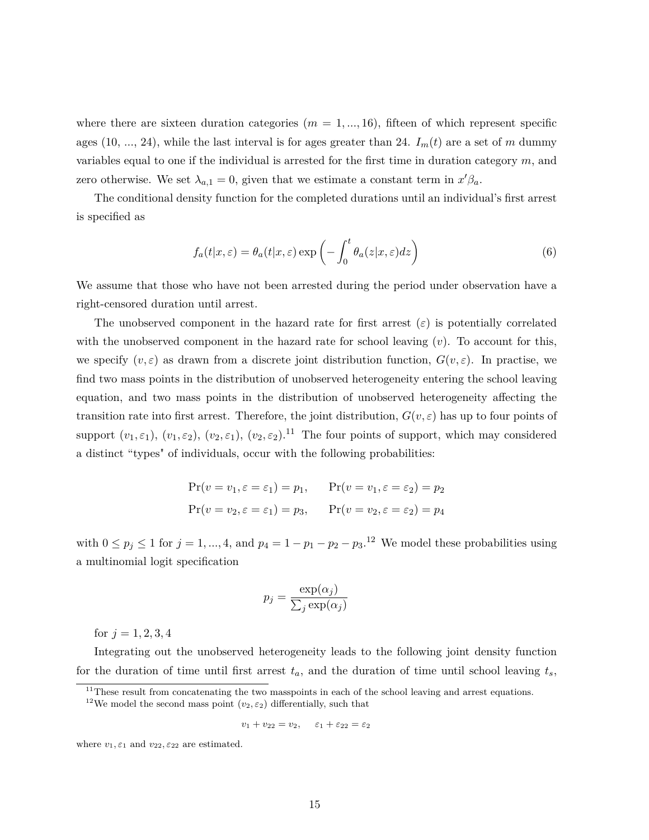where there are sixteen duration categories  $(m = 1, ..., 16)$ , fifteen of which represent specific ages (10, ..., 24), while the last interval is for ages greater than 24.  $I_m(t)$  are a set of *m* dummy variables equal to one if the individual is arrested for the first time in duration category *m*, and zero otherwise. We set  $\lambda_{a,1} = 0$ , given that we estimate a constant term in  $x'\beta_a$ .

The conditional density function for the completed durations until an individual's first arrest is specified as

$$
f_a(t|x,\varepsilon) = \theta_a(t|x,\varepsilon) \exp\left(-\int_0^t \theta_a(z|x,\varepsilon) dz\right)
$$
 (6)

We assume that those who have not been arrested during the period under observation have a right-censored duration until arrest.

The unobserved component in the hazard rate for first arrest  $(\varepsilon)$  is potentially correlated with the unobserved component in the hazard rate for school leaving  $(v)$ . To account for this, we specify  $(v, \varepsilon)$  as drawn from a discrete joint distribution function,  $G(v, \varepsilon)$ . In practise, we find two mass points in the distribution of unobserved heterogeneity entering the school leaving equation, and two mass points in the distribution of unobserved heterogeneity affecting the transition rate into first arrest. Therefore, the joint distribution,  $G(v, \varepsilon)$  has up to four points of support  $(v_1, \varepsilon_1)$ ,  $(v_1, \varepsilon_2)$ ,  $(v_2, \varepsilon_1)$ ,  $(v_2, \varepsilon_2)$ .<sup>11</sup> The four points of support, which may considered a distinct "types" of individuals, occur with the following probabilities:

$$
Pr(v = v_1, \varepsilon = \varepsilon_1) = p_1, \qquad Pr(v = v_1, \varepsilon = \varepsilon_2) = p_2
$$
  

$$
Pr(v = v_2, \varepsilon = \varepsilon_1) = p_3, \qquad Pr(v = v_2, \varepsilon = \varepsilon_2) = p_4
$$

with  $0 \leq p_j \leq 1$  for  $j = 1, ..., 4$ , and  $p_4 = 1 - p_1 - p_2 - p_3$ .<sup>12</sup> We model these probabilities using a multinomial logit specification

$$
p_j = \frac{\exp(\alpha_j)}{\sum_j \exp(\alpha_j)}
$$

for  $j = 1, 2, 3, 4$ 

Integrating out the unobserved heterogeneity leads to the following joint density function for the duration of time until first arrest  $t_a$ , and the duration of time until school leaving  $t_s$ ,

 $v_1 + v_{22} = v_2, \quad \varepsilon_1 + \varepsilon_{22} = \varepsilon_2$ 

where  $v_1, \varepsilon_1$  and  $v_{22}, \varepsilon_{22}$  are estimated.

 $11$ These result from concatenating the two masspoints in each of the school leaving and arrest equations.

<sup>&</sup>lt;sup>12</sup>We model the second mass point  $(v_2, \varepsilon_2)$  differentially, such that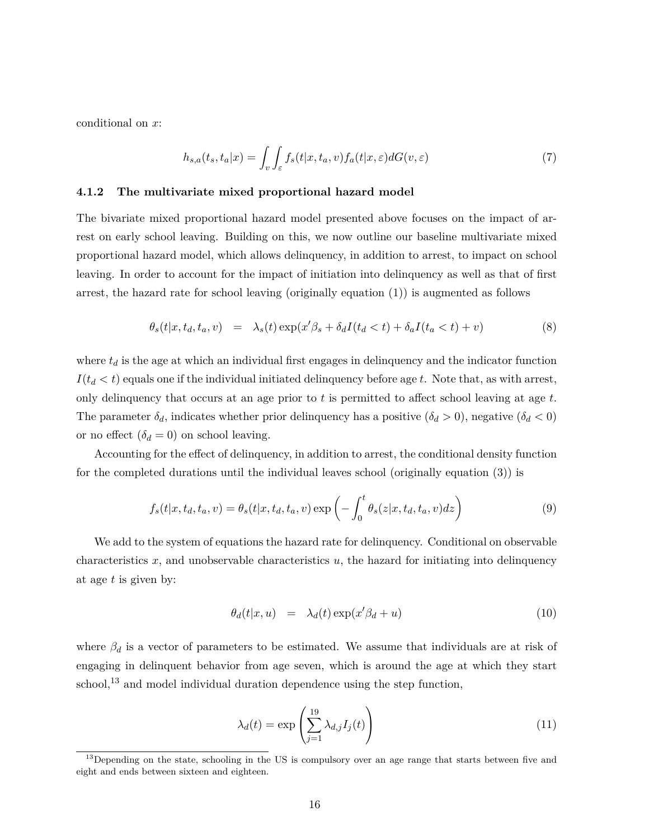conditional on *x*:

$$
h_{s,a}(t_s, t_a|x) = \int_v \int_{\varepsilon} f_s(t|x, t_a, v) f_a(t|x, \varepsilon) dG(v, \varepsilon)
$$
\n<sup>(7)</sup>

#### **4.1.2 The multivariate mixed proportional hazard model**

The bivariate mixed proportional hazard model presented above focuses on the impact of arrest on early school leaving. Building on this, we now outline our baseline multivariate mixed proportional hazard model, which allows delinquency, in addition to arrest, to impact on school leaving. In order to account for the impact of initiation into delinquency as well as that of first arrest, the hazard rate for school leaving (originally equation (1)) is augmented as follows

$$
\theta_s(t|x, t_d, t_a, v) = \lambda_s(t) \exp(x'\beta_s + \delta_d I(t_d < t) + \delta_a I(t_a < t) + v)
$$
\n(8)

where  $t_d$  is the age at which an individual first engages in delinquency and the indicator function  $I(t_d < t)$  equals one if the individual initiated delinquency before age *t*. Note that, as with arrest, only delinquency that occurs at an age prior to *t* is permitted to affect school leaving at age *t*. The parameter  $\delta_d$ , indicates whether prior delinquency has a positive  $(\delta_d > 0)$ , negative  $(\delta_d < 0)$ or no effect  $(\delta_d = 0)$  on school leaving.

Accounting for the effect of delinquency, in addition to arrest, the conditional density function for the completed durations until the individual leaves school (originally equation (3)) is

$$
f_s(t|x, t_d, t_a, v) = \theta_s(t|x, t_d, t_a, v) \exp\left(-\int_0^t \theta_s(z|x, t_d, t_a, v) dz\right)
$$
\n(9)

We add to the system of equations the hazard rate for delinquency. Conditional on observable characteristics  $x$ , and unobservable characteristics  $u$ , the hazard for initiating into delinquency at age *t* is given by:

$$
\theta_d(t|x, u) = \lambda_d(t) \exp(x'\beta_d + u) \tag{10}
$$

where  $\beta_d$  is a vector of parameters to be estimated. We assume that individuals are at risk of engaging in delinquent behavior from age seven, which is around the age at which they start school,<sup>13</sup> and model individual duration dependence using the step function,

$$
\lambda_d(t) = \exp\left(\sum_{j=1}^{19} \lambda_{d,j} I_j(t)\right) \tag{11}
$$

<sup>&</sup>lt;sup>13</sup>Depending on the state, schooling in the US is compulsory over an age range that starts between five and eight and ends between sixteen and eighteen.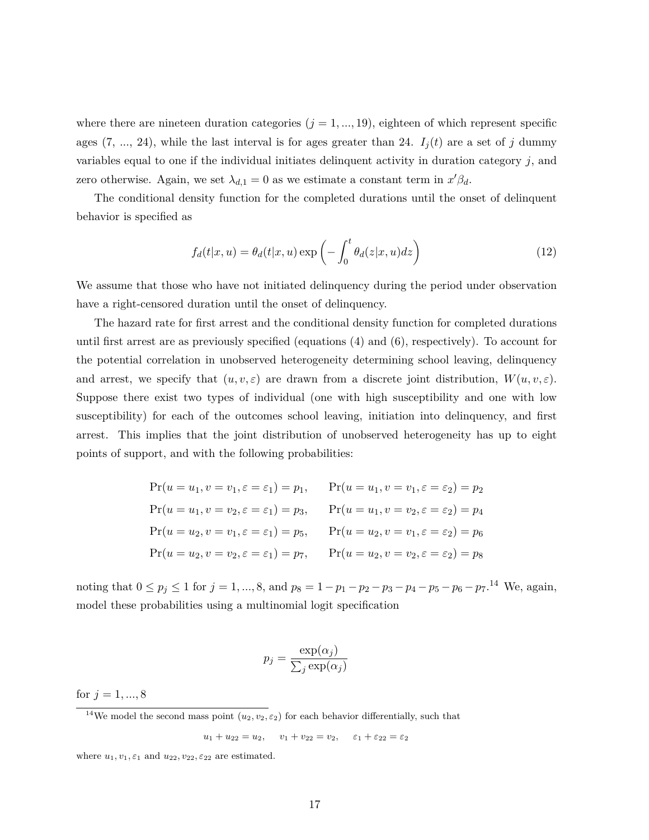where there are nineteen duration categories  $(j = 1, ..., 19)$ , eighteen of which represent specific ages  $(7, ..., 24)$ , while the last interval is for ages greater than 24.  $I_j(t)$  are a set of *j* dummy variables equal to one if the individual initiates delinquent activity in duration category *j*, and zero otherwise. Again, we set  $\lambda_{d,1} = 0$  as we estimate a constant term in  $x'\beta_d$ .

The conditional density function for the completed durations until the onset of delinquent behavior is specified as

$$
f_d(t|x, u) = \theta_d(t|x, u) \exp\left(-\int_0^t \theta_d(z|x, u) dz\right)
$$
\n(12)

We assume that those who have not initiated delinquency during the period under observation have a right-censored duration until the onset of delinquency.

The hazard rate for first arrest and the conditional density function for completed durations until first arrest are as previously specified (equations (4) and (6), respectively). To account for the potential correlation in unobserved heterogeneity determining school leaving, delinquency and arrest, we specify that  $(u, v, \varepsilon)$  are drawn from a discrete joint distribution,  $W(u, v, \varepsilon)$ . Suppose there exist two types of individual (one with high susceptibility and one with low susceptibility) for each of the outcomes school leaving, initiation into delinquency, and first arrest. This implies that the joint distribution of unobserved heterogeneity has up to eight points of support, and with the following probabilities:

| $Pr(u = u_1, v = v_1, \varepsilon = \varepsilon_1) = p_1,$ | $Pr(u = u_1, v = v_1, \varepsilon = \varepsilon_2) = p_2$ |
|------------------------------------------------------------|-----------------------------------------------------------|
| $Pr(u = u_1, v = v_2, \varepsilon = \varepsilon_1) = p_3,$ | $Pr(u = u_1, v = v_2, \varepsilon = \varepsilon_2) = p_4$ |
| $Pr(u = u_2, v = v_1, \varepsilon = \varepsilon_1) = p_5,$ | $Pr(u = u_2, v = v_1, \varepsilon = \varepsilon_2) = p_6$ |
| $Pr(u = u_2, v = v_2, \varepsilon = \varepsilon_1) = p_7,$ | $Pr(u = u_2, v = v_2, \varepsilon = \varepsilon_2) = p_8$ |

noting that  $0 \le p_j \le 1$  for  $j = 1, ..., 8$ , and  $p_8 = 1 - p_1 - p_2 - p_3 - p_4 - p_5 - p_6 - p_7$ .<sup>14</sup> We, again, model these probabilities using a multinomial logit specification

$$
p_j = \frac{\exp(\alpha_j)}{\sum_j \exp(\alpha_j)}
$$

for  $j = 1, ..., 8$ 

<sup>14</sup>We model the second mass point  $(u_2, v_2, \varepsilon_2)$  for each behavior differentially, such that

 $u_1 + u_{22} = u_2$ ,  $v_1 + v_{22} = v_2$ ,  $\varepsilon_1 + \varepsilon_2 = \varepsilon_2$ 

where  $u_1, v_1, \varepsilon_1$  and  $u_{22}, v_{22}, \varepsilon_{22}$  are estimated.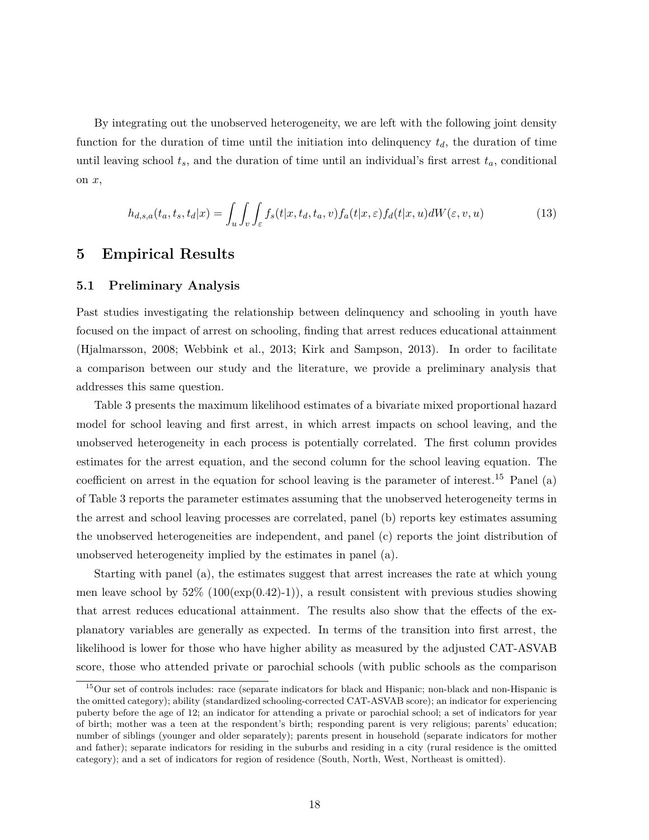By integrating out the unobserved heterogeneity, we are left with the following joint density function for the duration of time until the initiation into delinquency  $t_d$ , the duration of time until leaving school  $t_s$ , and the duration of time until an individual's first arrest  $t_a$ , conditional on *x*,

$$
h_{d,s,a}(t_a, t_s, t_d | x) = \int_u \int_v \int_{\varepsilon} f_s(t | x, t_a, t_a, v) f_a(t | x, \varepsilon) f_d(t | x, u) dW(\varepsilon, v, u)
$$
\n(13)

### **5 Empirical Results**

#### **5.1 Preliminary Analysis**

Past studies investigating the relationship between delinquency and schooling in youth have focused on the impact of arrest on schooling, finding that arrest reduces educational attainment (Hjalmarsson, 2008; Webbink et al., 2013; Kirk and Sampson, 2013). In order to facilitate a comparison between our study and the literature, we provide a preliminary analysis that addresses this same question.

Table 3 presents the maximum likelihood estimates of a bivariate mixed proportional hazard model for school leaving and first arrest, in which arrest impacts on school leaving, and the unobserved heterogeneity in each process is potentially correlated. The first column provides estimates for the arrest equation, and the second column for the school leaving equation. The coefficient on arrest in the equation for school leaving is the parameter of interest.<sup>15</sup> Panel (a) of Table 3 reports the parameter estimates assuming that the unobserved heterogeneity terms in the arrest and school leaving processes are correlated, panel (b) reports key estimates assuming the unobserved heterogeneities are independent, and panel (c) reports the joint distribution of unobserved heterogeneity implied by the estimates in panel (a).

Starting with panel (a), the estimates suggest that arrest increases the rate at which young men leave school by  $52\%$  (100(exp(0.42)-1)), a result consistent with previous studies showing that arrest reduces educational attainment. The results also show that the effects of the explanatory variables are generally as expected. In terms of the transition into first arrest, the likelihood is lower for those who have higher ability as measured by the adjusted CAT-ASVAB score, those who attended private or parochial schools (with public schools as the comparison

<sup>15</sup>Our set of controls includes: race (separate indicators for black and Hispanic; non-black and non-Hispanic is the omitted category); ability (standardized schooling-corrected CAT-ASVAB score); an indicator for experiencing puberty before the age of 12; an indicator for attending a private or parochial school; a set of indicators for year of birth; mother was a teen at the respondent's birth; responding parent is very religious; parents' education; number of siblings (younger and older separately); parents present in household (separate indicators for mother and father); separate indicators for residing in the suburbs and residing in a city (rural residence is the omitted category); and a set of indicators for region of residence (South, North, West, Northeast is omitted).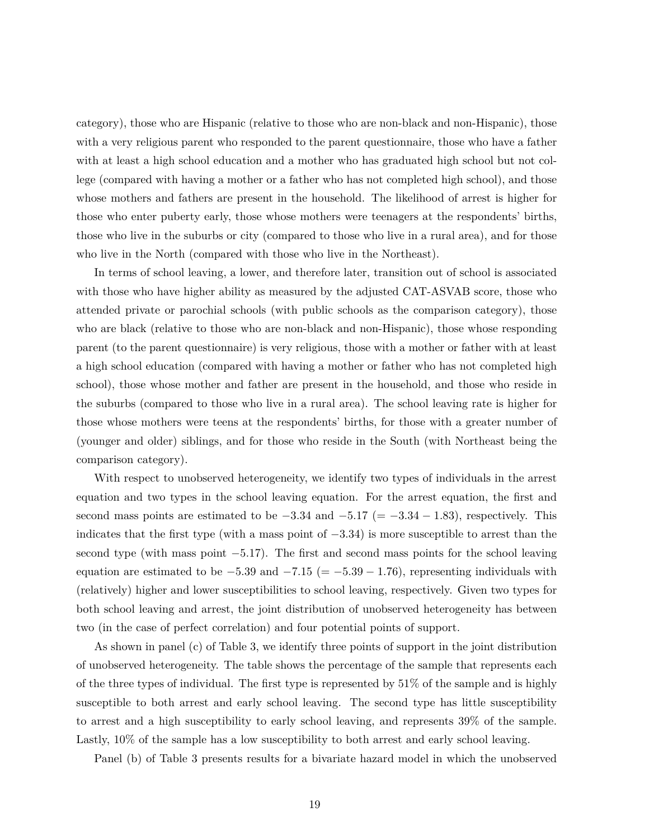category), those who are Hispanic (relative to those who are non-black and non-Hispanic), those with a very religious parent who responded to the parent questionnaire, those who have a father with at least a high school education and a mother who has graduated high school but not college (compared with having a mother or a father who has not completed high school), and those whose mothers and fathers are present in the household. The likelihood of arrest is higher for those who enter puberty early, those whose mothers were teenagers at the respondents' births, those who live in the suburbs or city (compared to those who live in a rural area), and for those who live in the North (compared with those who live in the Northeast).

In terms of school leaving, a lower, and therefore later, transition out of school is associated with those who have higher ability as measured by the adjusted CAT-ASVAB score, those who attended private or parochial schools (with public schools as the comparison category), those who are black (relative to those who are non-black and non-Hispanic), those whose responding parent (to the parent questionnaire) is very religious, those with a mother or father with at least a high school education (compared with having a mother or father who has not completed high school), those whose mother and father are present in the household, and those who reside in the suburbs (compared to those who live in a rural area). The school leaving rate is higher for those whose mothers were teens at the respondents' births, for those with a greater number of (younger and older) siblings, and for those who reside in the South (with Northeast being the comparison category).

With respect to unobserved heterogeneity, we identify two types of individuals in the arrest equation and two types in the school leaving equation. For the arrest equation, the first and second mass points are estimated to be  $-3.34$  and  $-5.17$  (=  $-3.34 - 1.83$ ), respectively. This indicates that the first type (with a mass point of −3*.*34) is more susceptible to arrest than the second type (with mass point  $-5.17$ ). The first and second mass points for the school leaving equation are estimated to be  $-5.39$  and  $-7.15$  (=  $-5.39 - 1.76$ ), representing individuals with (relatively) higher and lower susceptibilities to school leaving, respectively. Given two types for both school leaving and arrest, the joint distribution of unobserved heterogeneity has between two (in the case of perfect correlation) and four potential points of support.

As shown in panel (c) of Table 3, we identify three points of support in the joint distribution of unobserved heterogeneity. The table shows the percentage of the sample that represents each of the three types of individual. The first type is represented by  $51\%$  of the sample and is highly susceptible to both arrest and early school leaving. The second type has little susceptibility to arrest and a high susceptibility to early school leaving, and represents 39% of the sample. Lastly, 10% of the sample has a low susceptibility to both arrest and early school leaving.

Panel (b) of Table 3 presents results for a bivariate hazard model in which the unobserved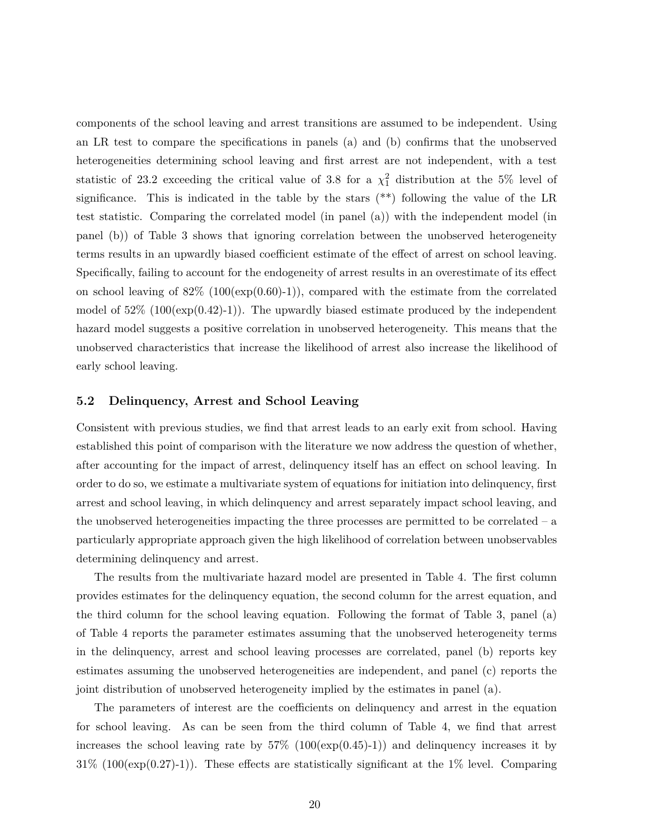components of the school leaving and arrest transitions are assumed to be independent. Using an LR test to compare the specifications in panels (a) and (b) confirms that the unobserved heterogeneities determining school leaving and first arrest are not independent, with a test statistic of 23.2 exceeding the critical value of 3.8 for a  $\chi_1^2$  distribution at the 5% level of significance. This is indicated in the table by the stars  $(**)$  following the value of the LR test statistic. Comparing the correlated model (in panel (a)) with the independent model (in panel (b)) of Table 3 shows that ignoring correlation between the unobserved heterogeneity terms results in an upwardly biased coefficient estimate of the effect of arrest on school leaving. Specifically, failing to account for the endogeneity of arrest results in an overestimate of its effect on school leaving of  $82\%$  (100(exp(0.60)-1)), compared with the estimate from the correlated model of  $52\%$  (100(exp(0.42)-1)). The upwardly biased estimate produced by the independent hazard model suggests a positive correlation in unobserved heterogeneity. This means that the unobserved characteristics that increase the likelihood of arrest also increase the likelihood of early school leaving.

#### **5.2 Delinquency, Arrest and School Leaving**

Consistent with previous studies, we find that arrest leads to an early exit from school. Having established this point of comparison with the literature we now address the question of whether, after accounting for the impact of arrest, delinquency itself has an effect on school leaving. In order to do so, we estimate a multivariate system of equations for initiation into delinquency, first arrest and school leaving, in which delinquency and arrest separately impact school leaving, and the unobserved heterogeneities impacting the three processes are permitted to be correlated – a particularly appropriate approach given the high likelihood of correlation between unobservables determining delinquency and arrest.

The results from the multivariate hazard model are presented in Table 4. The first column provides estimates for the delinquency equation, the second column for the arrest equation, and the third column for the school leaving equation. Following the format of Table 3, panel (a) of Table 4 reports the parameter estimates assuming that the unobserved heterogeneity terms in the delinquency, arrest and school leaving processes are correlated, panel (b) reports key estimates assuming the unobserved heterogeneities are independent, and panel (c) reports the joint distribution of unobserved heterogeneity implied by the estimates in panel (a).

The parameters of interest are the coefficients on delinquency and arrest in the equation for school leaving. As can be seen from the third column of Table 4, we find that arrest increases the school leaving rate by  $57\%$   $(100(\exp(0.45)-1))$  and delinquency increases it by  $31\%$  (100(exp(0.27)-1)). These effects are statistically significant at the 1% level. Comparing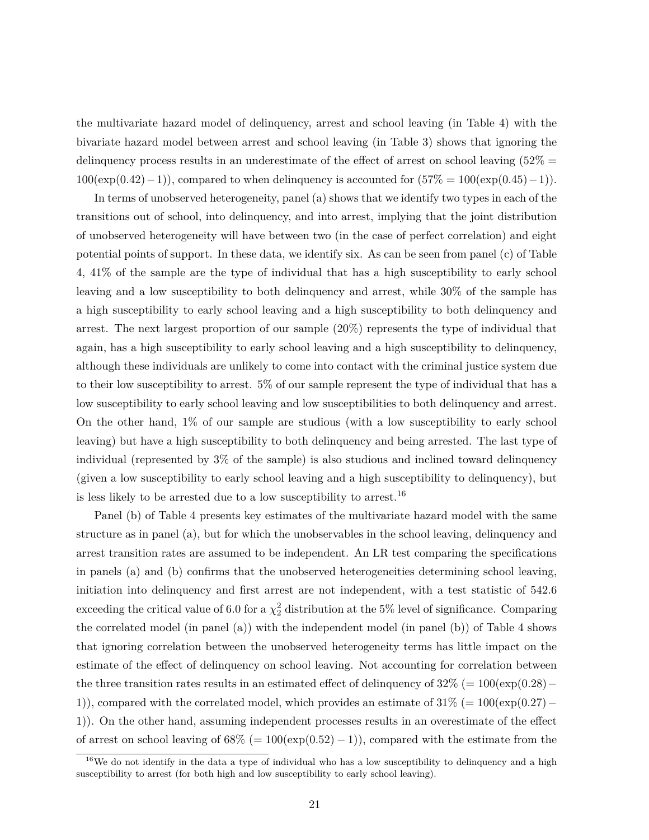the multivariate hazard model of delinquency, arrest and school leaving (in Table 4) with the bivariate hazard model between arrest and school leaving (in Table 3) shows that ignoring the delinquency process results in an underestimate of the effect of arrest on school leaving  $(52\% =$  $100(\exp(0.42)-1)$ , compared to when delinquency is accounted for  $(57\% = 100(\exp(0.45)-1))$ .

In terms of unobserved heterogeneity, panel (a) shows that we identify two types in each of the transitions out of school, into delinquency, and into arrest, implying that the joint distribution of unobserved heterogeneity will have between two (in the case of perfect correlation) and eight potential points of support. In these data, we identify six. As can be seen from panel (c) of Table 4, 41% of the sample are the type of individual that has a high susceptibility to early school leaving and a low susceptibility to both delinquency and arrest, while 30% of the sample has a high susceptibility to early school leaving and a high susceptibility to both delinquency and arrest. The next largest proportion of our sample (20%) represents the type of individual that again, has a high susceptibility to early school leaving and a high susceptibility to delinquency, although these individuals are unlikely to come into contact with the criminal justice system due to their low susceptibility to arrest. 5% of our sample represent the type of individual that has a low susceptibility to early school leaving and low susceptibilities to both delinquency and arrest. On the other hand, 1% of our sample are studious (with a low susceptibility to early school leaving) but have a high susceptibility to both delinquency and being arrested. The last type of individual (represented by 3% of the sample) is also studious and inclined toward delinquency (given a low susceptibility to early school leaving and a high susceptibility to delinquency), but is less likely to be arrested due to a low susceptibility to arrest.<sup>16</sup>

Panel (b) of Table 4 presents key estimates of the multivariate hazard model with the same structure as in panel (a), but for which the unobservables in the school leaving, delinquency and arrest transition rates are assumed to be independent. An LR test comparing the specifications in panels (a) and (b) confirms that the unobserved heterogeneities determining school leaving, initiation into delinquency and first arrest are not independent, with a test statistic of 542.6 exceeding the critical value of 6.0 for a  $\chi^2_2$  distribution at the 5% level of significance. Comparing the correlated model (in panel (a)) with the independent model (in panel (b)) of Table 4 shows that ignoring correlation between the unobserved heterogeneity terms has little impact on the estimate of the effect of delinquency on school leaving. Not accounting for correlation between the three transition rates results in an estimated effect of delinquency of  $32\%$  (=  $100(\exp(0.28)$  – 1)), compared with the correlated model, which provides an estimate of 31% (= 100(exp(0*.*27)− 1)). On the other hand, assuming independent processes results in an overestimate of the effect of arrest on school leaving of  $68\%$  (=  $100(\exp(0.52) - 1)$ ), compared with the estimate from the

 $16$ We do not identify in the data a type of individual who has a low susceptibility to delinquency and a high susceptibility to arrest (for both high and low susceptibility to early school leaving).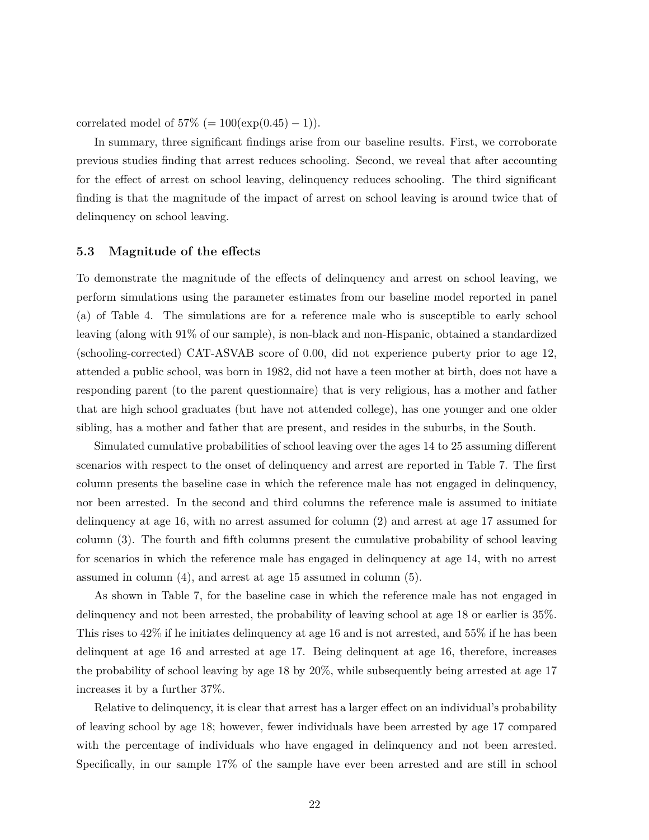correlated model of  $57\%$  (=  $100(\exp(0.45) - 1)$ ).

In summary, three significant findings arise from our baseline results. First, we corroborate previous studies finding that arrest reduces schooling. Second, we reveal that after accounting for the effect of arrest on school leaving, delinquency reduces schooling. The third significant finding is that the magnitude of the impact of arrest on school leaving is around twice that of delinquency on school leaving.

#### **5.3 Magnitude of the effects**

To demonstrate the magnitude of the effects of delinquency and arrest on school leaving, we perform simulations using the parameter estimates from our baseline model reported in panel (a) of Table 4. The simulations are for a reference male who is susceptible to early school leaving (along with 91% of our sample), is non-black and non-Hispanic, obtained a standardized (schooling-corrected) CAT-ASVAB score of 0.00, did not experience puberty prior to age 12, attended a public school, was born in 1982, did not have a teen mother at birth, does not have a responding parent (to the parent questionnaire) that is very religious, has a mother and father that are high school graduates (but have not attended college), has one younger and one older sibling, has a mother and father that are present, and resides in the suburbs, in the South.

Simulated cumulative probabilities of school leaving over the ages 14 to 25 assuming different scenarios with respect to the onset of delinquency and arrest are reported in Table 7. The first column presents the baseline case in which the reference male has not engaged in delinquency, nor been arrested. In the second and third columns the reference male is assumed to initiate delinquency at age 16, with no arrest assumed for column (2) and arrest at age 17 assumed for column (3). The fourth and fifth columns present the cumulative probability of school leaving for scenarios in which the reference male has engaged in delinquency at age 14, with no arrest assumed in column (4), and arrest at age 15 assumed in column (5).

As shown in Table 7, for the baseline case in which the reference male has not engaged in delinquency and not been arrested, the probability of leaving school at age 18 or earlier is 35%. This rises to 42% if he initiates delinquency at age 16 and is not arrested, and 55% if he has been delinquent at age 16 and arrested at age 17. Being delinquent at age 16, therefore, increases the probability of school leaving by age 18 by 20%, while subsequently being arrested at age 17 increases it by a further 37%.

Relative to delinquency, it is clear that arrest has a larger effect on an individual's probability of leaving school by age 18; however, fewer individuals have been arrested by age 17 compared with the percentage of individuals who have engaged in delinquency and not been arrested. Specifically, in our sample 17% of the sample have ever been arrested and are still in school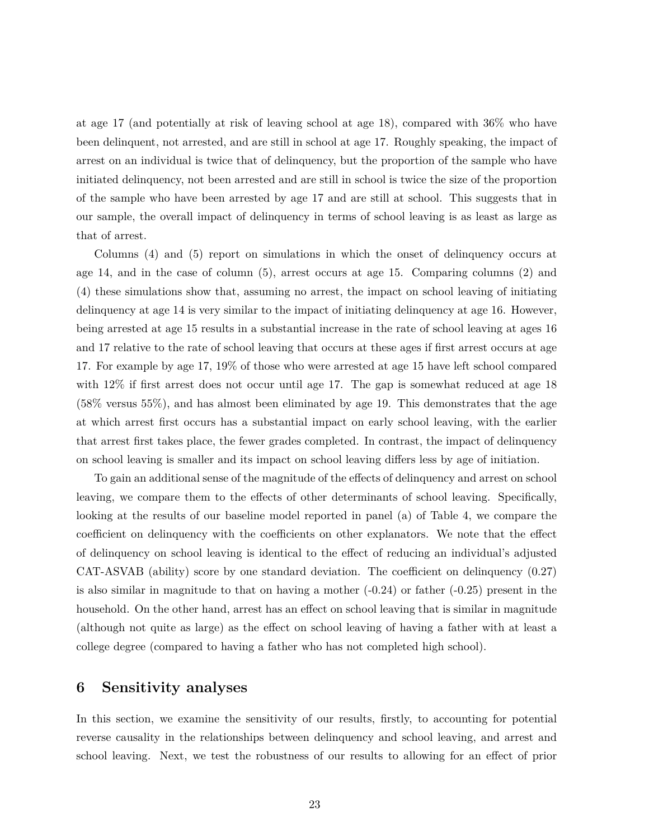at age 17 (and potentially at risk of leaving school at age 18), compared with 36% who have been delinquent, not arrested, and are still in school at age 17. Roughly speaking, the impact of arrest on an individual is twice that of delinquency, but the proportion of the sample who have initiated delinquency, not been arrested and are still in school is twice the size of the proportion of the sample who have been arrested by age 17 and are still at school. This suggests that in our sample, the overall impact of delinquency in terms of school leaving is as least as large as that of arrest.

Columns (4) and (5) report on simulations in which the onset of delinquency occurs at age 14, and in the case of column (5), arrest occurs at age 15. Comparing columns (2) and (4) these simulations show that, assuming no arrest, the impact on school leaving of initiating delinquency at age 14 is very similar to the impact of initiating delinquency at age 16. However, being arrested at age 15 results in a substantial increase in the rate of school leaving at ages 16 and 17 relative to the rate of school leaving that occurs at these ages if first arrest occurs at age 17. For example by age 17, 19% of those who were arrested at age 15 have left school compared with  $12\%$  if first arrest does not occur until age 17. The gap is somewhat reduced at age 18 (58% versus 55%), and has almost been eliminated by age 19. This demonstrates that the age at which arrest first occurs has a substantial impact on early school leaving, with the earlier that arrest first takes place, the fewer grades completed. In contrast, the impact of delinquency on school leaving is smaller and its impact on school leaving differs less by age of initiation.

To gain an additional sense of the magnitude of the effects of delinquency and arrest on school leaving, we compare them to the effects of other determinants of school leaving. Specifically, looking at the results of our baseline model reported in panel (a) of Table 4, we compare the coefficient on delinquency with the coefficients on other explanators. We note that the effect of delinquency on school leaving is identical to the effect of reducing an individual's adjusted CAT-ASVAB (ability) score by one standard deviation. The coefficient on delinquency (0.27) is also similar in magnitude to that on having a mother  $(-0.24)$  or father  $(-0.25)$  present in the household. On the other hand, arrest has an effect on school leaving that is similar in magnitude (although not quite as large) as the effect on school leaving of having a father with at least a college degree (compared to having a father who has not completed high school).

### **6 Sensitivity analyses**

In this section, we examine the sensitivity of our results, firstly, to accounting for potential reverse causality in the relationships between delinquency and school leaving, and arrest and school leaving. Next, we test the robustness of our results to allowing for an effect of prior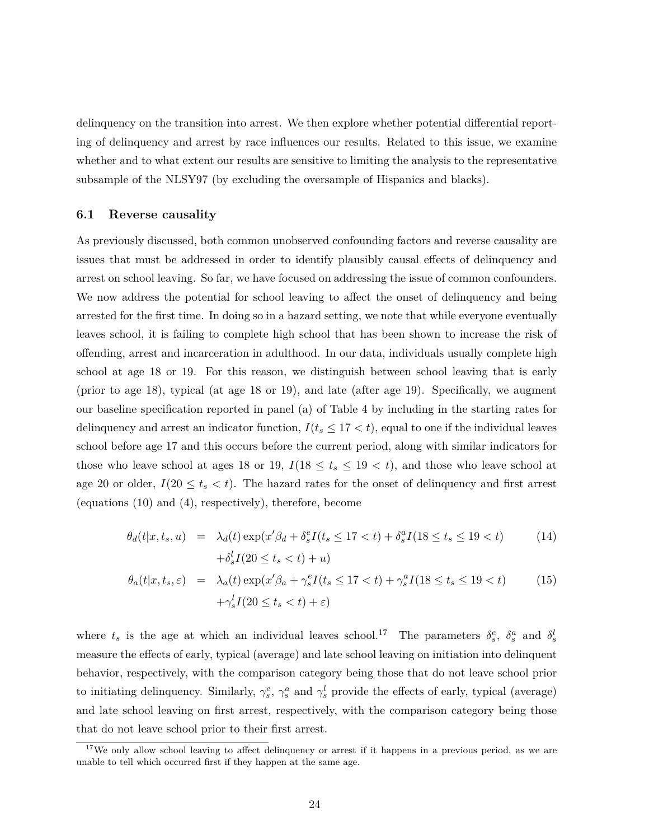delinquency on the transition into arrest. We then explore whether potential differential reporting of delinquency and arrest by race influences our results. Related to this issue, we examine whether and to what extent our results are sensitive to limiting the analysis to the representative subsample of the NLSY97 (by excluding the oversample of Hispanics and blacks).

#### **6.1 Reverse causality**

As previously discussed, both common unobserved confounding factors and reverse causality are issues that must be addressed in order to identify plausibly causal effects of delinquency and arrest on school leaving. So far, we have focused on addressing the issue of common confounders. We now address the potential for school leaving to affect the onset of delinquency and being arrested for the first time. In doing so in a hazard setting, we note that while everyone eventually leaves school, it is failing to complete high school that has been shown to increase the risk of offending, arrest and incarceration in adulthood. In our data, individuals usually complete high school at age 18 or 19. For this reason, we distinguish between school leaving that is early (prior to age 18), typical (at age 18 or 19), and late (after age 19). Specifically, we augment our baseline specification reported in panel (a) of Table 4 by including in the starting rates for delinquency and arrest an indicator function,  $I(t_s \leq 17 < t)$ , equal to one if the individual leaves school before age 17 and this occurs before the current period, along with similar indicators for those who leave school at ages 18 or 19,  $I(18 \le t_s \le 19 \lt t)$ , and those who leave school at age 20 or older,  $I(20 \le t_s < t)$ . The hazard rates for the onset of delinquency and first arrest (equations (10) and (4), respectively), therefore, become

$$
\theta_d(t|x, t_s, u) = \lambda_d(t) \exp(x'\beta_d + \delta_s^e I(t_s \le 17 < t) + \delta_s^a I(18 \le t_s \le 19 < t) \n+ \delta_s^l I(20 \le t_s < t) + u)
$$
\n(14)

$$
\theta_a(t|x, t_s, \varepsilon) = \lambda_a(t) \exp(x'\beta_a + \gamma_s^e I(t_s \le 17 < t) + \gamma_s^a I(18 \le t_s \le 19 < t) \n+ \gamma_s^l I(20 \le t_s < t) + \varepsilon)
$$
\n(15)

where  $t_s$  is the age at which an individual leaves school.<sup>17</sup> The parameters  $\delta_s^e$ ,  $\delta_s^a$  and  $\delta_s^l$ measure the effects of early, typical (average) and late school leaving on initiation into delinquent behavior, respectively, with the comparison category being those that do not leave school prior to initiating delinquency. Similarly,  $\gamma_s^e$ ,  $\gamma_s^a$  and  $\gamma_s^l$  provide the effects of early, typical (average) and late school leaving on first arrest, respectively, with the comparison category being those that do not leave school prior to their first arrest.

<sup>&</sup>lt;sup>17</sup>We only allow school leaving to affect delinquency or arrest if it happens in a previous period, as we are unable to tell which occurred first if they happen at the same age.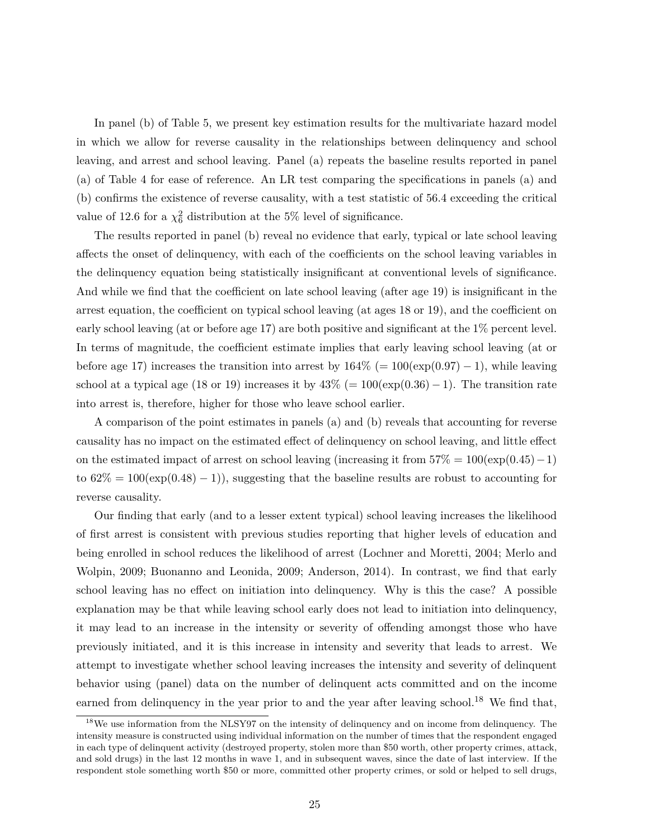In panel (b) of Table 5, we present key estimation results for the multivariate hazard model in which we allow for reverse causality in the relationships between delinquency and school leaving, and arrest and school leaving. Panel (a) repeats the baseline results reported in panel (a) of Table 4 for ease of reference. An LR test comparing the specifications in panels (a) and (b) confirms the existence of reverse causality, with a test statistic of 56.4 exceeding the critical value of 12.6 for a  $\chi^2_6$  distribution at the 5% level of significance.

The results reported in panel (b) reveal no evidence that early, typical or late school leaving affects the onset of delinquency, with each of the coefficients on the school leaving variables in the delinquency equation being statistically insignificant at conventional levels of significance. And while we find that the coefficient on late school leaving (after age 19) is insignificant in the arrest equation, the coefficient on typical school leaving (at ages 18 or 19), and the coefficient on early school leaving (at or before age 17) are both positive and significant at the 1% percent level. In terms of magnitude, the coefficient estimate implies that early leaving school leaving (at or before age 17) increases the transition into arrest by  $164\%$  (=  $100(\exp(0.97) - 1)$ , while leaving school at a typical age (18 or 19) increases it by  $43\%$  (=  $100(\exp(0.36) - 1)$ . The transition rate into arrest is, therefore, higher for those who leave school earlier.

A comparison of the point estimates in panels (a) and (b) reveals that accounting for reverse causality has no impact on the estimated effect of delinquency on school leaving, and little effect on the estimated impact of arrest on school leaving (increasing it from 57% = 100(exp(0*.*45)−1) to  $62\% = 100(\exp(0.48) - 1)$ , suggesting that the baseline results are robust to accounting for reverse causality.

Our finding that early (and to a lesser extent typical) school leaving increases the likelihood of first arrest is consistent with previous studies reporting that higher levels of education and being enrolled in school reduces the likelihood of arrest (Lochner and Moretti, 2004; Merlo and Wolpin, 2009; Buonanno and Leonida, 2009; Anderson, 2014). In contrast, we find that early school leaving has no effect on initiation into delinquency. Why is this the case? A possible explanation may be that while leaving school early does not lead to initiation into delinquency, it may lead to an increase in the intensity or severity of offending amongst those who have previously initiated, and it is this increase in intensity and severity that leads to arrest. We attempt to investigate whether school leaving increases the intensity and severity of delinquent behavior using (panel) data on the number of delinquent acts committed and on the income earned from delinquency in the year prior to and the year after leaving school.<sup>18</sup> We find that,

<sup>18</sup>We use information from the NLSY97 on the intensity of delinquency and on income from delinquency. The intensity measure is constructed using individual information on the number of times that the respondent engaged in each type of delinquent activity (destroyed property, stolen more than \$50 worth, other property crimes, attack, and sold drugs) in the last 12 months in wave 1, and in subsequent waves, since the date of last interview. If the respondent stole something worth \$50 or more, committed other property crimes, or sold or helped to sell drugs,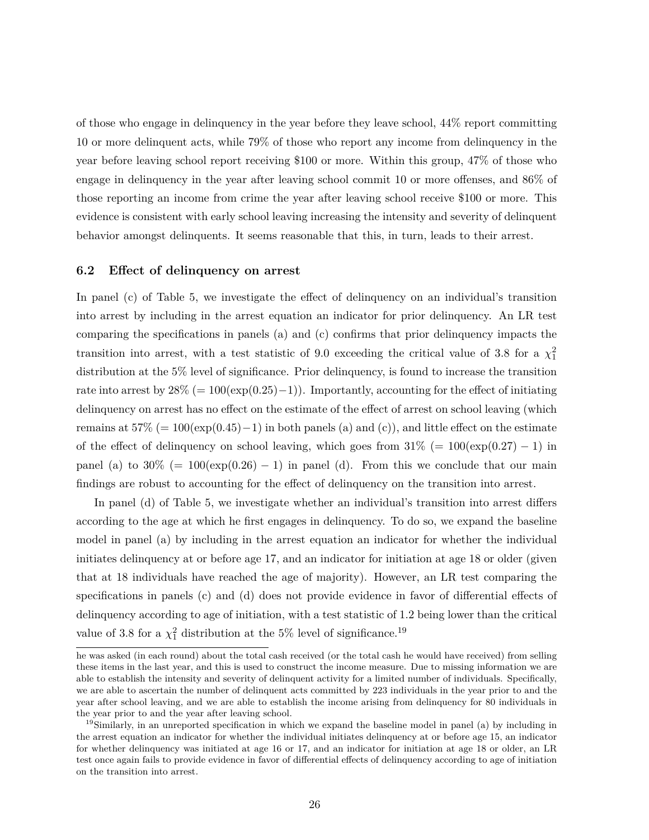of those who engage in delinquency in the year before they leave school, 44% report committing 10 or more delinquent acts, while 79% of those who report any income from delinquency in the year before leaving school report receiving \$100 or more. Within this group, 47% of those who engage in delinquency in the year after leaving school commit 10 or more offenses, and 86% of those reporting an income from crime the year after leaving school receive \$100 or more. This evidence is consistent with early school leaving increasing the intensity and severity of delinquent behavior amongst delinquents. It seems reasonable that this, in turn, leads to their arrest.

#### **6.2 Effect of delinquency on arrest**

In panel (c) of Table 5, we investigate the effect of delinquency on an individual's transition into arrest by including in the arrest equation an indicator for prior delinquency. An LR test comparing the specifications in panels (a) and (c) confirms that prior delinquency impacts the transition into arrest, with a test statistic of 9.0 exceeding the critical value of 3.8 for a  $\chi_1^2$ distribution at the 5% level of significance. Prior delinquency, is found to increase the transition rate into arrest by  $28\% = 100(\exp(0.25)-1)$ ). Importantly, accounting for the effect of initiating delinquency on arrest has no effect on the estimate of the effect of arrest on school leaving (which remains at  $57\%$  (=  $100(\exp(0.45)-1)$  in both panels (a) and (c)), and little effect on the estimate of the effect of delinquency on school leaving, which goes from  $31\%$  (=  $100(\exp(0.27) - 1)$  in panel (a) to  $30\%$  (=  $100$ (exp(0.26) – 1) in panel (d). From this we conclude that our main findings are robust to accounting for the effect of delinquency on the transition into arrest.

In panel (d) of Table 5, we investigate whether an individual's transition into arrest differs according to the age at which he first engages in delinquency. To do so, we expand the baseline model in panel (a) by including in the arrest equation an indicator for whether the individual initiates delinquency at or before age 17, and an indicator for initiation at age 18 or older (given that at 18 individuals have reached the age of majority). However, an LR test comparing the specifications in panels (c) and (d) does not provide evidence in favor of differential effects of delinquency according to age of initiation, with a test statistic of 1.2 being lower than the critical value of 3.8 for a  $\chi_1^2$  distribution at the 5% level of significance.<sup>19</sup>

he was asked (in each round) about the total cash received (or the total cash he would have received) from selling these items in the last year, and this is used to construct the income measure. Due to missing information we are able to establish the intensity and severity of delinquent activity for a limited number of individuals. Specifically, we are able to ascertain the number of delinquent acts committed by 223 individuals in the year prior to and the year after school leaving, and we are able to establish the income arising from delinquency for 80 individuals in the year prior to and the year after leaving school.

<sup>&</sup>lt;sup>19</sup>Similarly, in an unreported specification in which we expand the baseline model in panel (a) by including in the arrest equation an indicator for whether the individual initiates delinquency at or before age 15, an indicator for whether delinquency was initiated at age 16 or 17, and an indicator for initiation at age 18 or older, an LR test once again fails to provide evidence in favor of differential effects of delinquency according to age of initiation on the transition into arrest.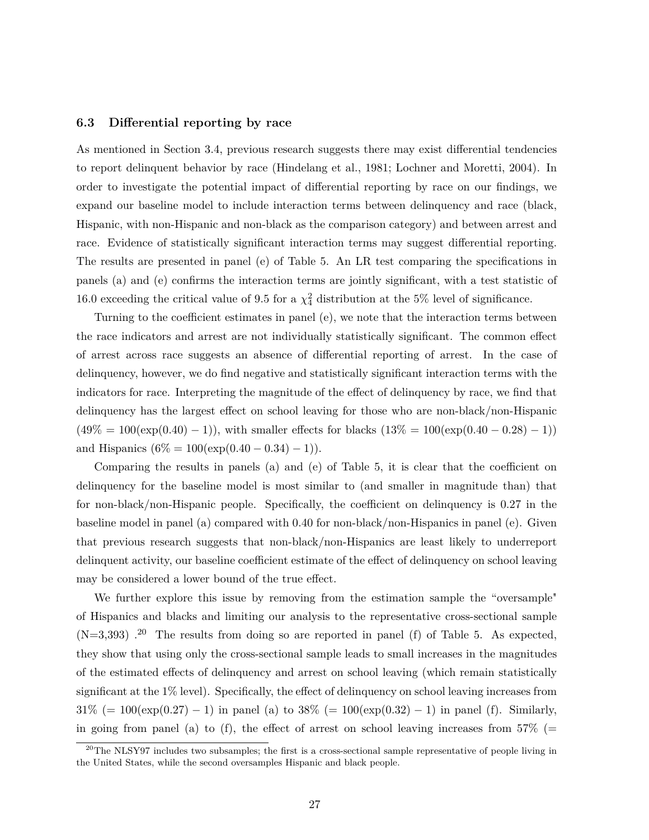#### **6.3 Differential reporting by race**

As mentioned in Section 3.4, previous research suggests there may exist differential tendencies to report delinquent behavior by race (Hindelang et al., 1981; Lochner and Moretti, 2004). In order to investigate the potential impact of differential reporting by race on our findings, we expand our baseline model to include interaction terms between delinquency and race (black, Hispanic, with non-Hispanic and non-black as the comparison category) and between arrest and race. Evidence of statistically significant interaction terms may suggest differential reporting. The results are presented in panel (e) of Table 5. An LR test comparing the specifications in panels (a) and (e) confirms the interaction terms are jointly significant, with a test statistic of 16.0 exceeding the critical value of 9.5 for a  $\chi^2$  distribution at the 5% level of significance.

Turning to the coefficient estimates in panel (e), we note that the interaction terms between the race indicators and arrest are not individually statistically significant. The common effect of arrest across race suggests an absence of differential reporting of arrest. In the case of delinquency, however, we do find negative and statistically significant interaction terms with the indicators for race. Interpreting the magnitude of the effect of delinquency by race, we find that delinquency has the largest effect on school leaving for those who are non-black/non-Hispanic  $(49\% = 100(\exp(0.40) - 1))$ , with smaller effects for blacks  $(13\% = 100(\exp(0.40 - 0.28) - 1))$ and Hispanics  $(6\% = 100(\exp(0.40 - 0.34) - 1)).$ 

Comparing the results in panels (a) and (e) of Table 5, it is clear that the coefficient on delinquency for the baseline model is most similar to (and smaller in magnitude than) that for non-black/non-Hispanic people. Specifically, the coefficient on delinquency is 0.27 in the baseline model in panel (a) compared with 0.40 for non-black/non-Hispanics in panel (e). Given that previous research suggests that non-black/non-Hispanics are least likely to underreport delinquent activity, our baseline coefficient estimate of the effect of delinquency on school leaving may be considered a lower bound of the true effect.

We further explore this issue by removing from the estimation sample the "oversample" of Hispanics and blacks and limiting our analysis to the representative cross-sectional sample  $(N=3,393)$ .<sup>20</sup> The results from doing so are reported in panel (f) of Table 5. As expected, they show that using only the cross-sectional sample leads to small increases in the magnitudes of the estimated effects of delinquency and arrest on school leaving (which remain statistically significant at the 1% level). Specifically, the effect of delinquency on school leaving increases from  $31\%$  (=  $100(\exp(0.27) - 1)$  in panel (a) to  $38\%$  (=  $100(\exp(0.32) - 1)$  in panel (f). Similarly, in going from panel (a) to (f), the effect of arrest on school leaving increases from  $57\%$  (=

<sup>&</sup>lt;sup>20</sup>The NLSY97 includes two subsamples; the first is a cross-sectional sample representative of people living in the United States, while the second oversamples Hispanic and black people.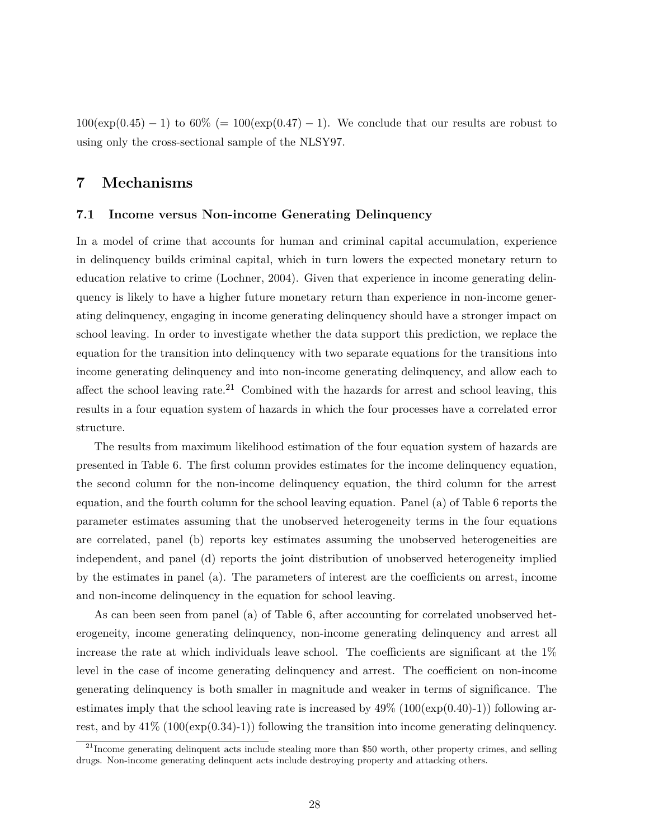$100(\exp(0.45) - 1)$  to  $60\%$  (=  $100(\exp(0.47) - 1)$ ). We conclude that our results are robust to using only the cross-sectional sample of the NLSY97.

# **7 Mechanisms**

#### **7.1 Income versus Non-income Generating Delinquency**

In a model of crime that accounts for human and criminal capital accumulation, experience in delinquency builds criminal capital, which in turn lowers the expected monetary return to education relative to crime (Lochner, 2004). Given that experience in income generating delinquency is likely to have a higher future monetary return than experience in non-income generating delinquency, engaging in income generating delinquency should have a stronger impact on school leaving. In order to investigate whether the data support this prediction, we replace the equation for the transition into delinquency with two separate equations for the transitions into income generating delinquency and into non-income generating delinquency, and allow each to affect the school leaving rate.<sup>21</sup> Combined with the hazards for arrest and school leaving, this results in a four equation system of hazards in which the four processes have a correlated error structure.

The results from maximum likelihood estimation of the four equation system of hazards are presented in Table 6. The first column provides estimates for the income delinquency equation, the second column for the non-income delinquency equation, the third column for the arrest equation, and the fourth column for the school leaving equation. Panel (a) of Table 6 reports the parameter estimates assuming that the unobserved heterogeneity terms in the four equations are correlated, panel (b) reports key estimates assuming the unobserved heterogeneities are independent, and panel (d) reports the joint distribution of unobserved heterogeneity implied by the estimates in panel (a). The parameters of interest are the coefficients on arrest, income and non-income delinquency in the equation for school leaving.

As can been seen from panel (a) of Table 6, after accounting for correlated unobserved heterogeneity, income generating delinquency, non-income generating delinquency and arrest all increase the rate at which individuals leave school. The coefficients are significant at the  $1\%$ level in the case of income generating delinquency and arrest. The coefficient on non-income generating delinquency is both smaller in magnitude and weaker in terms of significance. The estimates imply that the school leaving rate is increased by  $49\%$  (100(exp(0.40)-1)) following arrest, and by  $41\%$  (100(exp(0.34)-1)) following the transition into income generating delinquency.

 $^{21}$ Income generating delinquent acts include stealing more than \$50 worth, other property crimes, and selling drugs. Non-income generating delinquent acts include destroying property and attacking others.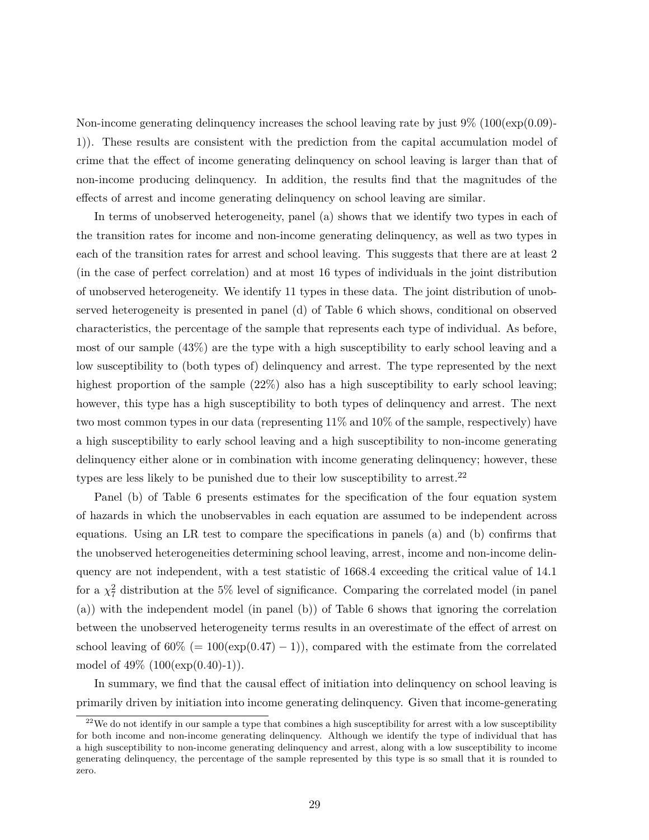Non-income generating delinquency increases the school leaving rate by just  $9\%$  (100(exp(0.09)-1)). These results are consistent with the prediction from the capital accumulation model of crime that the effect of income generating delinquency on school leaving is larger than that of non-income producing delinquency. In addition, the results find that the magnitudes of the effects of arrest and income generating delinquency on school leaving are similar.

In terms of unobserved heterogeneity, panel (a) shows that we identify two types in each of the transition rates for income and non-income generating delinquency, as well as two types in each of the transition rates for arrest and school leaving. This suggests that there are at least 2 (in the case of perfect correlation) and at most 16 types of individuals in the joint distribution of unobserved heterogeneity. We identify 11 types in these data. The joint distribution of unobserved heterogeneity is presented in panel (d) of Table 6 which shows, conditional on observed characteristics, the percentage of the sample that represents each type of individual. As before, most of our sample (43%) are the type with a high susceptibility to early school leaving and a low susceptibility to (both types of) delinquency and arrest. The type represented by the next highest proportion of the sample  $(22\%)$  also has a high susceptibility to early school leaving; however, this type has a high susceptibility to both types of delinquency and arrest. The next two most common types in our data (representing 11% and 10% of the sample, respectively) have a high susceptibility to early school leaving and a high susceptibility to non-income generating delinquency either alone or in combination with income generating delinquency; however, these types are less likely to be punished due to their low susceptibility to arrest.<sup>22</sup>

Panel (b) of Table 6 presents estimates for the specification of the four equation system of hazards in which the unobservables in each equation are assumed to be independent across equations. Using an LR test to compare the specifications in panels (a) and (b) confirms that the unobserved heterogeneities determining school leaving, arrest, income and non-income delinquency are not independent, with a test statistic of 1668.4 exceeding the critical value of 14.1 for a  $\chi^2$  distribution at the 5% level of significance. Comparing the correlated model (in panel (a)) with the independent model (in panel (b)) of Table 6 shows that ignoring the correlation between the unobserved heterogeneity terms results in an overestimate of the effect of arrest on school leaving of  $60\%$  (=  $100(\exp(0.47) - 1)$ ), compared with the estimate from the correlated model of  $49\%$   $(100(\exp(0.40)-1))$ .

In summary, we find that the causal effect of initiation into delinquency on school leaving is primarily driven by initiation into income generating delinquency. Given that income-generating

 $22$ We do not identify in our sample a type that combines a high susceptibility for arrest with a low susceptibility for both income and non-income generating delinquency. Although we identify the type of individual that has a high susceptibility to non-income generating delinquency and arrest, along with a low susceptibility to income generating delinquency, the percentage of the sample represented by this type is so small that it is rounded to zero.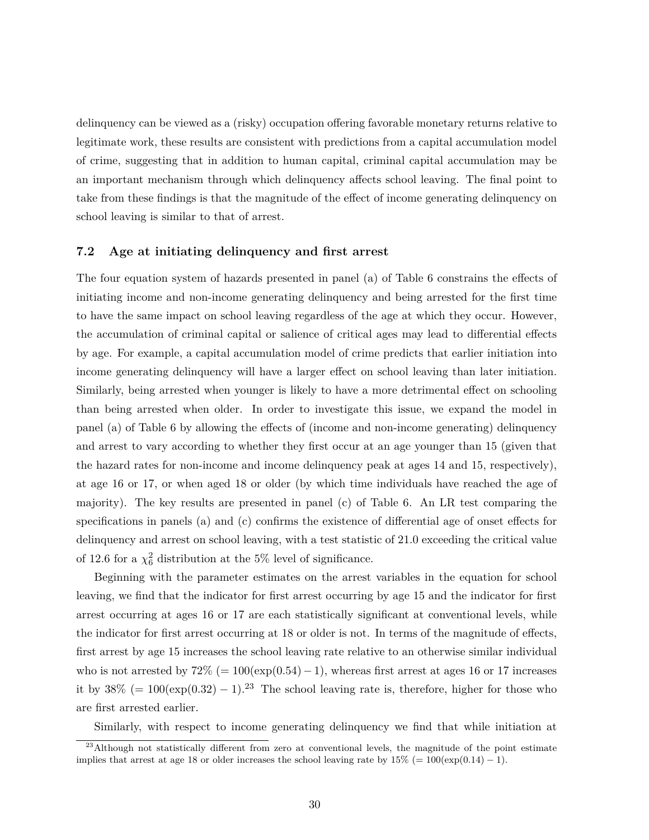delinquency can be viewed as a (risky) occupation offering favorable monetary returns relative to legitimate work, these results are consistent with predictions from a capital accumulation model of crime, suggesting that in addition to human capital, criminal capital accumulation may be an important mechanism through which delinquency affects school leaving. The final point to take from these findings is that the magnitude of the effect of income generating delinquency on school leaving is similar to that of arrest.

#### **7.2 Age at initiating delinquency and first arrest**

The four equation system of hazards presented in panel (a) of Table 6 constrains the effects of initiating income and non-income generating delinquency and being arrested for the first time to have the same impact on school leaving regardless of the age at which they occur. However, the accumulation of criminal capital or salience of critical ages may lead to differential effects by age. For example, a capital accumulation model of crime predicts that earlier initiation into income generating delinquency will have a larger effect on school leaving than later initiation. Similarly, being arrested when younger is likely to have a more detrimental effect on schooling than being arrested when older. In order to investigate this issue, we expand the model in panel (a) of Table 6 by allowing the effects of (income and non-income generating) delinquency and arrest to vary according to whether they first occur at an age younger than 15 (given that the hazard rates for non-income and income delinquency peak at ages 14 and 15, respectively), at age 16 or 17, or when aged 18 or older (by which time individuals have reached the age of majority). The key results are presented in panel (c) of Table 6. An LR test comparing the specifications in panels (a) and (c) confirms the existence of differential age of onset effects for delinquency and arrest on school leaving, with a test statistic of 21.0 exceeding the critical value of 12.6 for a  $\chi^2_6$  distribution at the 5% level of significance.

Beginning with the parameter estimates on the arrest variables in the equation for school leaving, we find that the indicator for first arrest occurring by age 15 and the indicator for first arrest occurring at ages 16 or 17 are each statistically significant at conventional levels, while the indicator for first arrest occurring at 18 or older is not. In terms of the magnitude of effects, first arrest by age 15 increases the school leaving rate relative to an otherwise similar individual who is not arrested by  $72\%$  (=  $100(\exp(0.54)-1)$ , whereas first arrest at ages 16 or 17 increases it by  $38\% (= 100(\exp(0.32) - 1).^{23}$  The school leaving rate is, therefore, higher for those who are first arrested earlier.

Similarly, with respect to income generating delinquency we find that while initiation at

<sup>&</sup>lt;sup>23</sup>Although not statistically different from zero at conventional levels, the magnitude of the point estimate implies that arrest at age 18 or older increases the school leaving rate by  $15\%$  (=  $100(\exp(0.14) - 1)$ ).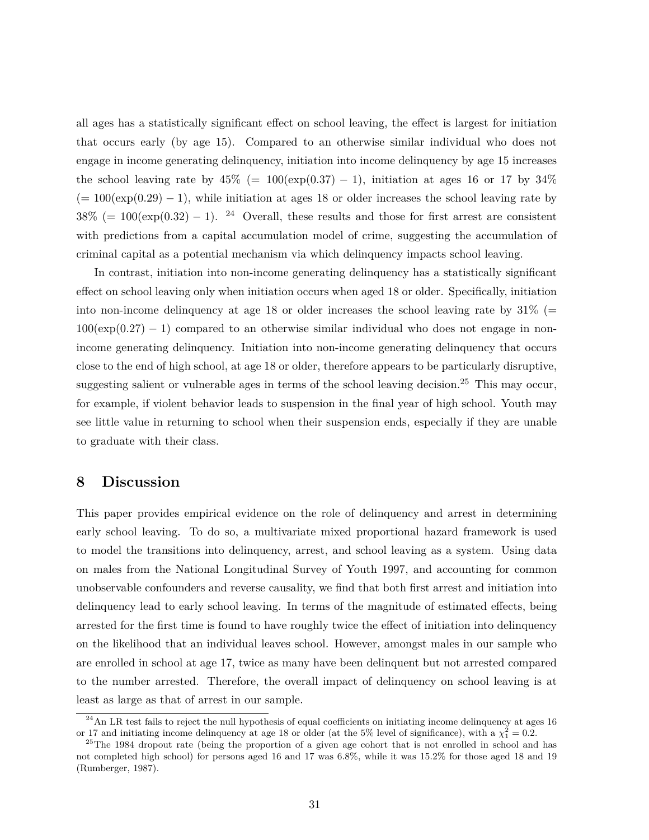all ages has a statistically significant effect on school leaving, the effect is largest for initiation that occurs early (by age 15). Compared to an otherwise similar individual who does not engage in income generating delinquency, initiation into income delinquency by age 15 increases the school leaving rate by  $45\%$  (=  $100(\exp(0.37) - 1)$ , initiation at ages 16 or 17 by  $34\%$  $(= 100(\exp(0.29) - 1)$ , while initiation at ages 18 or older increases the school leaving rate by  $38\%$  (= 100(exp(0.32) – 1). <sup>24</sup> Overall, these results and those for first arrest are consistent with predictions from a capital accumulation model of crime, suggesting the accumulation of criminal capital as a potential mechanism via which delinquency impacts school leaving.

In contrast, initiation into non-income generating delinquency has a statistically significant effect on school leaving only when initiation occurs when aged 18 or older. Specifically, initiation into non-income delinquency at age 18 or older increases the school leaving rate by  $31\%$  (=  $100(\exp(0.27) - 1)$  compared to an otherwise similar individual who does not engage in nonincome generating delinquency. Initiation into non-income generating delinquency that occurs close to the end of high school, at age 18 or older, therefore appears to be particularly disruptive, suggesting salient or vulnerable ages in terms of the school leaving decision.<sup>25</sup> This may occur, for example, if violent behavior leads to suspension in the final year of high school. Youth may see little value in returning to school when their suspension ends, especially if they are unable to graduate with their class.

### **8 Discussion**

This paper provides empirical evidence on the role of delinquency and arrest in determining early school leaving. To do so, a multivariate mixed proportional hazard framework is used to model the transitions into delinquency, arrest, and school leaving as a system. Using data on males from the National Longitudinal Survey of Youth 1997, and accounting for common unobservable confounders and reverse causality, we find that both first arrest and initiation into delinquency lead to early school leaving. In terms of the magnitude of estimated effects, being arrested for the first time is found to have roughly twice the effect of initiation into delinquency on the likelihood that an individual leaves school. However, amongst males in our sample who are enrolled in school at age 17, twice as many have been delinquent but not arrested compared to the number arrested. Therefore, the overall impact of delinquency on school leaving is at least as large as that of arrest in our sample.

 $^{24}$ An LR test fails to reject the null hypothesis of equal coefficients on initiating income delinquency at ages 16 or 17 and initiating income delinquency at age 18 or older (at the 5% level of significance), with a  $\chi_1^2 = 0.2$ .

<sup>&</sup>lt;sup>25</sup>The 1984 dropout rate (being the proportion of a given age cohort that is not enrolled in school and has not completed high school) for persons aged 16 and 17 was 6.8%, while it was 15.2% for those aged 18 and 19 (Rumberger, 1987).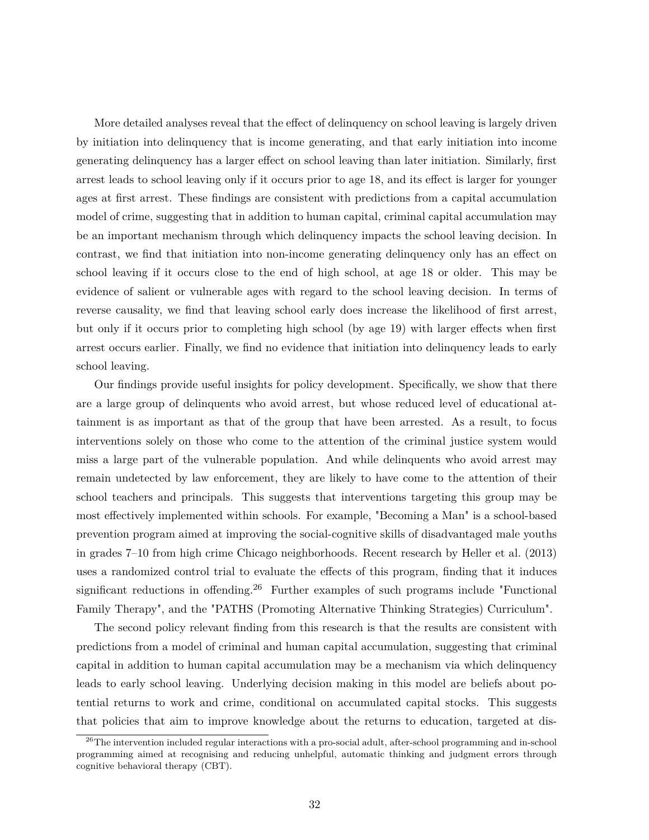More detailed analyses reveal that the effect of delinquency on school leaving is largely driven by initiation into delinquency that is income generating, and that early initiation into income generating delinquency has a larger effect on school leaving than later initiation. Similarly, first arrest leads to school leaving only if it occurs prior to age 18, and its effect is larger for younger ages at first arrest. These findings are consistent with predictions from a capital accumulation model of crime, suggesting that in addition to human capital, criminal capital accumulation may be an important mechanism through which delinquency impacts the school leaving decision. In contrast, we find that initiation into non-income generating delinquency only has an effect on school leaving if it occurs close to the end of high school, at age 18 or older. This may be evidence of salient or vulnerable ages with regard to the school leaving decision. In terms of reverse causality, we find that leaving school early does increase the likelihood of first arrest, but only if it occurs prior to completing high school (by age 19) with larger effects when first arrest occurs earlier. Finally, we find no evidence that initiation into delinquency leads to early school leaving.

Our findings provide useful insights for policy development. Specifically, we show that there are a large group of delinquents who avoid arrest, but whose reduced level of educational attainment is as important as that of the group that have been arrested. As a result, to focus interventions solely on those who come to the attention of the criminal justice system would miss a large part of the vulnerable population. And while delinquents who avoid arrest may remain undetected by law enforcement, they are likely to have come to the attention of their school teachers and principals. This suggests that interventions targeting this group may be most effectively implemented within schools. For example, "Becoming a Man" is a school-based prevention program aimed at improving the social-cognitive skills of disadvantaged male youths in grades 7–10 from high crime Chicago neighborhoods. Recent research by Heller et al. (2013) uses a randomized control trial to evaluate the effects of this program, finding that it induces significant reductions in offending.<sup>26</sup> Further examples of such programs include "Functional" Family Therapy", and the "PATHS (Promoting Alternative Thinking Strategies) Curriculum".

The second policy relevant finding from this research is that the results are consistent with predictions from a model of criminal and human capital accumulation, suggesting that criminal capital in addition to human capital accumulation may be a mechanism via which delinquency leads to early school leaving. Underlying decision making in this model are beliefs about potential returns to work and crime, conditional on accumulated capital stocks. This suggests that policies that aim to improve knowledge about the returns to education, targeted at dis-

<sup>&</sup>lt;sup>26</sup>The intervention included regular interactions with a pro-social adult, after-school programming and in-school programming aimed at recognising and reducing unhelpful, automatic thinking and judgment errors through cognitive behavioral therapy (CBT).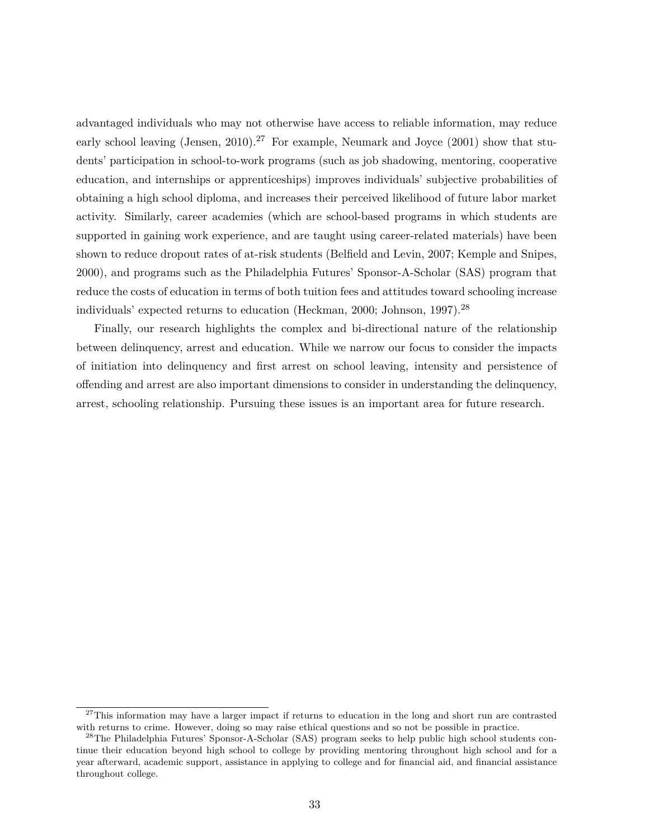advantaged individuals who may not otherwise have access to reliable information, may reduce early school leaving (Jensen, 2010).<sup>27</sup> For example, Neumark and Joyce (2001) show that students' participation in school-to-work programs (such as job shadowing, mentoring, cooperative education, and internships or apprenticeships) improves individuals' subjective probabilities of obtaining a high school diploma, and increases their perceived likelihood of future labor market activity. Similarly, career academies (which are school-based programs in which students are supported in gaining work experience, and are taught using career-related materials) have been shown to reduce dropout rates of at-risk students (Belfield and Levin, 2007; Kemple and Snipes, 2000), and programs such as the Philadelphia Futures' Sponsor-A-Scholar (SAS) program that reduce the costs of education in terms of both tuition fees and attitudes toward schooling increase individuals' expected returns to education (Heckman, 2000; Johnson, 1997).<sup>28</sup>

Finally, our research highlights the complex and bi-directional nature of the relationship between delinquency, arrest and education. While we narrow our focus to consider the impacts of initiation into delinquency and first arrest on school leaving, intensity and persistence of offending and arrest are also important dimensions to consider in understanding the delinquency, arrest, schooling relationship. Pursuing these issues is an important area for future research.

<sup>&</sup>lt;sup>27</sup>This information may have a larger impact if returns to education in the long and short run are contrasted with returns to crime. However, doing so may raise ethical questions and so not be possible in practice.

<sup>&</sup>lt;sup>28</sup>The Philadelphia Futures' Sponsor-A-Scholar (SAS) program seeks to help public high school students continue their education beyond high school to college by providing mentoring throughout high school and for a year afterward, academic support, assistance in applying to college and for financial aid, and financial assistance throughout college.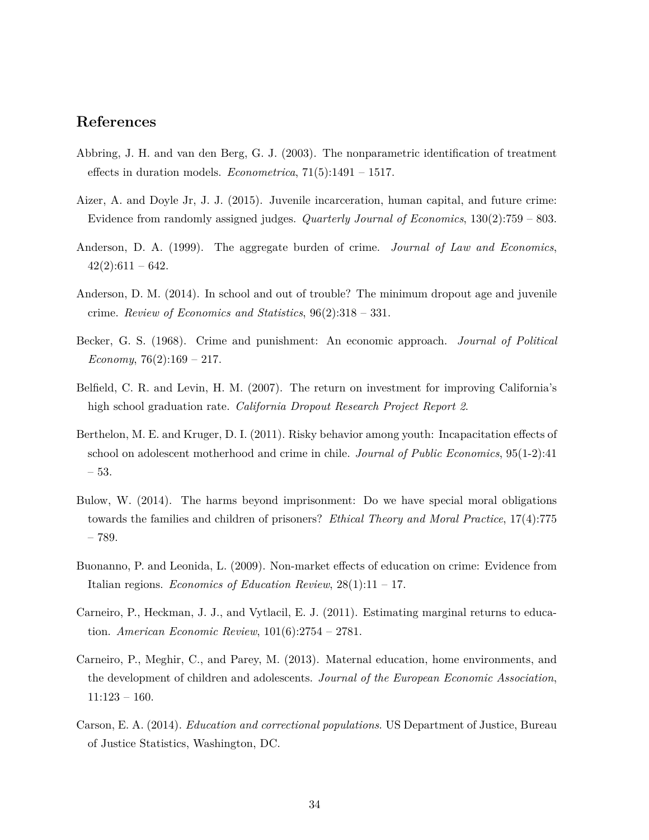# **References**

- Abbring, J. H. and van den Berg, G. J. (2003). The nonparametric identification of treatment effects in duration models. *Econometrica*, 71(5):1491 – 1517.
- Aizer, A. and Doyle Jr, J. J. (2015). Juvenile incarceration, human capital, and future crime: Evidence from randomly assigned judges. *Quarterly Journal of Economics*, 130(2):759 – 803.
- Anderson, D. A. (1999). The aggregate burden of crime. *Journal of Law and Economics*,  $42(2):611-642.$
- Anderson, D. M. (2014). In school and out of trouble? The minimum dropout age and juvenile crime. *Review of Economics and Statistics*, 96(2):318 – 331.
- Becker, G. S. (1968). Crime and punishment: An economic approach. *Journal of Political Economy*, 76(2):169 – 217.
- Belfield, C. R. and Levin, H. M. (2007). The return on investment for improving California's high school graduation rate. *California Dropout Research Project Report 2*.
- Berthelon, M. E. and Kruger, D. I. (2011). Risky behavior among youth: Incapacitation effects of school on adolescent motherhood and crime in chile. *Journal of Public Economics*, 95(1-2):41 – 53.
- Bulow, W. (2014). The harms beyond imprisonment: Do we have special moral obligations towards the families and children of prisoners? *Ethical Theory and Moral Practice*, 17(4):775 – 789.
- Buonanno, P. and Leonida, L. (2009). Non-market effects of education on crime: Evidence from Italian regions. *Economics of Education Review*, 28(1):11 – 17.
- Carneiro, P., Heckman, J. J., and Vytlacil, E. J. (2011). Estimating marginal returns to education. *American Economic Review*, 101(6):2754 – 2781.
- Carneiro, P., Meghir, C., and Parey, M. (2013). Maternal education, home environments, and the development of children and adolescents. *Journal of the European Economic Association*, 11:123 – 160.
- Carson, E. A. (2014). *Education and correctional populations*. US Department of Justice, Bureau of Justice Statistics, Washington, DC.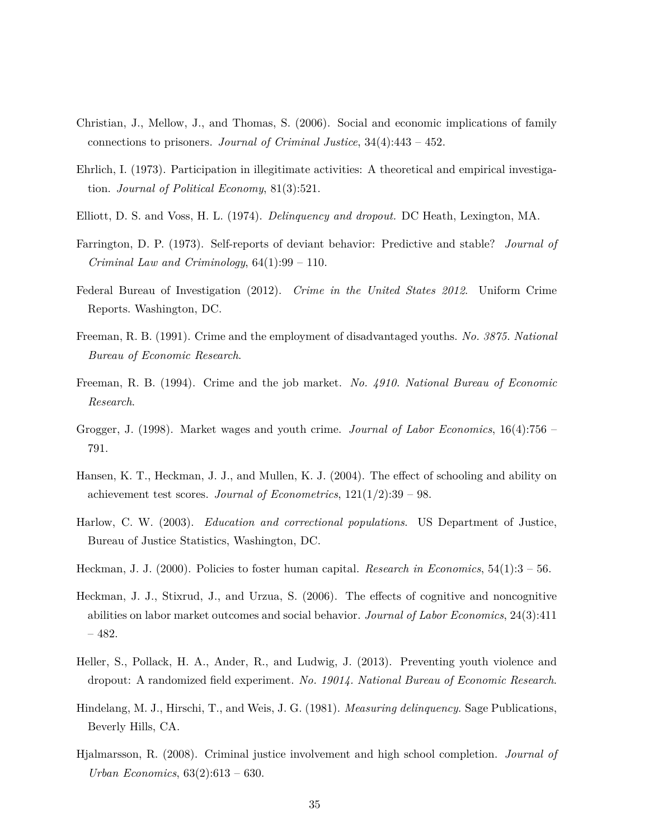- Christian, J., Mellow, J., and Thomas, S. (2006). Social and economic implications of family connections to prisoners. *Journal of Criminal Justice*, 34(4):443 – 452.
- Ehrlich, I. (1973). Participation in illegitimate activities: A theoretical and empirical investigation. *Journal of Political Economy*, 81(3):521.
- Elliott, D. S. and Voss, H. L. (1974). *Delinquency and dropout.* DC Heath, Lexington, MA.
- Farrington, D. P. (1973). Self-reports of deviant behavior: Predictive and stable? *Journal of Criminal Law and Criminology*, 64(1):99 – 110.
- Federal Bureau of Investigation (2012). *Crime in the United States 2012*. Uniform Crime Reports. Washington, DC.
- Freeman, R. B. (1991). Crime and the employment of disadvantaged youths. *No. 3875. National Bureau of Economic Research*.
- Freeman, R. B. (1994). Crime and the job market. *No. 4910. National Bureau of Economic Research*.
- Grogger, J. (1998). Market wages and youth crime. *Journal of Labor Economics*, 16(4):756 791.
- Hansen, K. T., Heckman, J. J., and Mullen, K. J. (2004). The effect of schooling and ability on achievement test scores. *Journal of Econometrics*, 121(1/2):39 – 98.
- Harlow, C. W. (2003). *Education and correctional populations*. US Department of Justice, Bureau of Justice Statistics, Washington, DC.
- Heckman, J. J. (2000). Policies to foster human capital. *Research in Economics*, 54(1):3 56.
- Heckman, J. J., Stixrud, J., and Urzua, S. (2006). The effects of cognitive and noncognitive abilities on labor market outcomes and social behavior. *Journal of Labor Economics*, 24(3):411 – 482.
- Heller, S., Pollack, H. A., Ander, R., and Ludwig, J. (2013). Preventing youth violence and dropout: A randomized field experiment. *No. 19014. National Bureau of Economic Research*.
- Hindelang, M. J., Hirschi, T., and Weis, J. G. (1981). *Measuring delinquency*. Sage Publications, Beverly Hills, CA.
- Hjalmarsson, R. (2008). Criminal justice involvement and high school completion. *Journal of Urban Economics*, 63(2):613 – 630.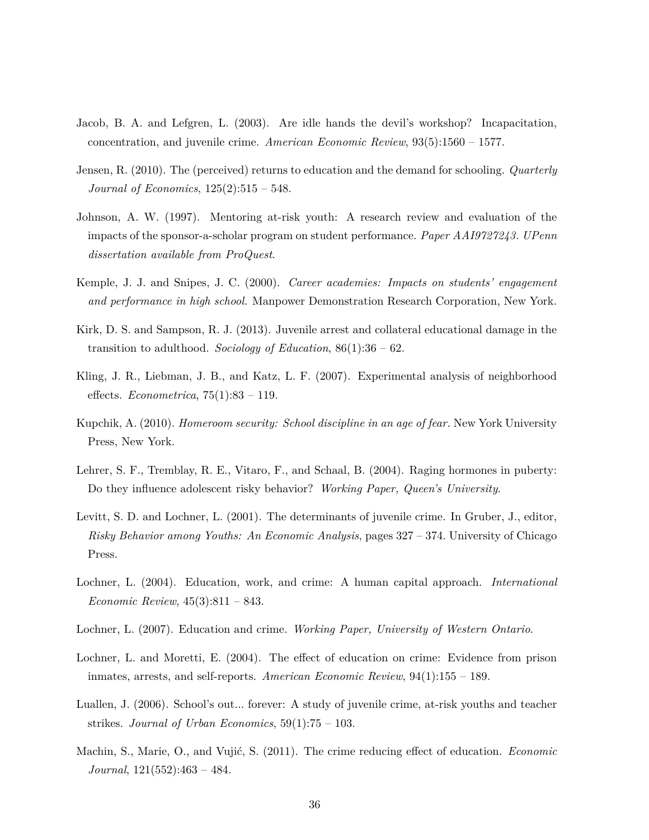- Jacob, B. A. and Lefgren, L. (2003). Are idle hands the devil's workshop? Incapacitation, concentration, and juvenile crime. *American Economic Review*, 93(5):1560 – 1577.
- Jensen, R. (2010). The (perceived) returns to education and the demand for schooling. *Quarterly Journal of Economics*, 125(2):515 – 548.
- Johnson, A. W. (1997). Mentoring at-risk youth: A research review and evaluation of the impacts of the sponsor-a-scholar program on student performance. *Paper AAI9727243. UPenn dissertation available from ProQuest*.
- Kemple, J. J. and Snipes, J. C. (2000). *Career academies: Impacts on students' engagement and performance in high school.* Manpower Demonstration Research Corporation, New York.
- Kirk, D. S. and Sampson, R. J. (2013). Juvenile arrest and collateral educational damage in the transition to adulthood. *Sociology of Education*, 86(1):36 – 62.
- Kling, J. R., Liebman, J. B., and Katz, L. F. (2007). Experimental analysis of neighborhood effects. *Econometrica*, 75(1):83 – 119.
- Kupchik, A. (2010). *Homeroom security: School discipline in an age of fear.* New York University Press, New York.
- Lehrer, S. F., Tremblay, R. E., Vitaro, F., and Schaal, B. (2004). Raging hormones in puberty: Do they influence adolescent risky behavior? *Working Paper, Queen's University*.
- Levitt, S. D. and Lochner, L. (2001). The determinants of juvenile crime. In Gruber, J., editor, *Risky Behavior among Youths: An Economic Analysis*, pages 327 – 374. University of Chicago Press.
- Lochner, L. (2004). Education, work, and crime: A human capital approach. *International Economic Review*, 45(3):811 – 843.
- Lochner, L. (2007). Education and crime. *Working Paper, University of Western Ontario*.
- Lochner, L. and Moretti, E. (2004). The effect of education on crime: Evidence from prison inmates, arrests, and self-reports. *American Economic Review*, 94(1):155 – 189.
- Luallen, J. (2006). School's out... forever: A study of juvenile crime, at-risk youths and teacher strikes. *Journal of Urban Economics*, 59(1):75 – 103.
- Machin, S., Marie, O., and Vujić, S. (2011). The crime reducing effect of education. *Economic Journal*, 121(552):463 – 484.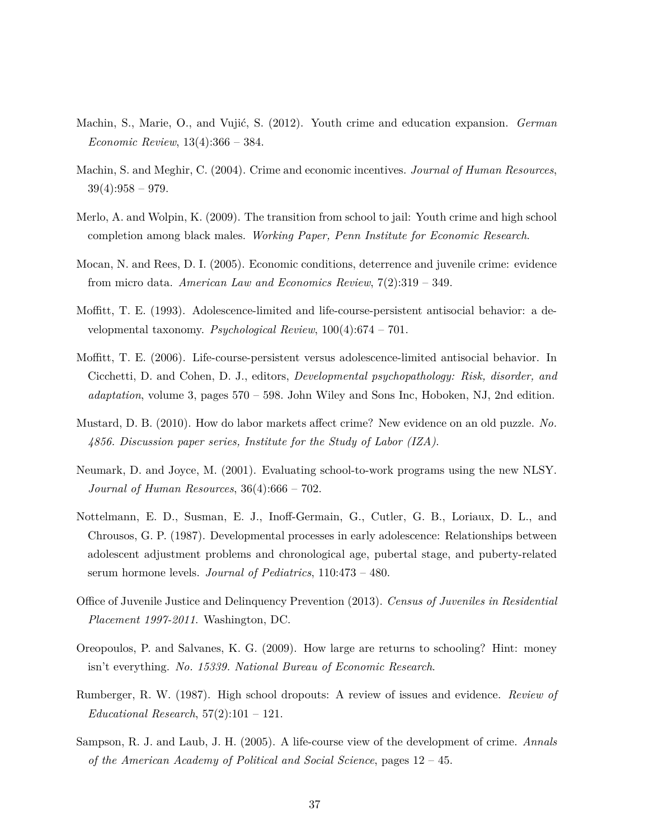- Machin, S., Marie, O., and Vujić, S. (2012). Youth crime and education expansion. *German Economic Review*, 13(4):366 – 384.
- Machin, S. and Meghir, C. (2004). Crime and economic incentives. *Journal of Human Resources*,  $39(4):958 - 979.$
- Merlo, A. and Wolpin, K. (2009). The transition from school to jail: Youth crime and high school completion among black males. *Working Paper, Penn Institute for Economic Research*.
- Mocan, N. and Rees, D. I. (2005). Economic conditions, deterrence and juvenile crime: evidence from micro data. *American Law and Economics Review*, 7(2):319 – 349.
- Moffitt, T. E. (1993). Adolescence-limited and life-course-persistent antisocial behavior: a developmental taxonomy. *Psychological Review*, 100(4):674 – 701.
- Moffitt, T. E. (2006). Life-course-persistent versus adolescence-limited antisocial behavior. In Cicchetti, D. and Cohen, D. J., editors, *Developmental psychopathology: Risk, disorder, and adaptation*, volume 3, pages 570 – 598. John Wiley and Sons Inc, Hoboken, NJ, 2nd edition.
- Mustard, D. B. (2010). How do labor markets affect crime? New evidence on an old puzzle. *No. 4856. Discussion paper series, Institute for the Study of Labor (IZA)*.
- Neumark, D. and Joyce, M. (2001). Evaluating school-to-work programs using the new NLSY. *Journal of Human Resources*, 36(4):666 – 702.
- Nottelmann, E. D., Susman, E. J., Inoff-Germain, G., Cutler, G. B., Loriaux, D. L., and Chrousos, G. P. (1987). Developmental processes in early adolescence: Relationships between adolescent adjustment problems and chronological age, pubertal stage, and puberty-related serum hormone levels. *Journal of Pediatrics*, 110:473 – 480.
- Office of Juvenile Justice and Delinquency Prevention (2013). *Census of Juveniles in Residential Placement 1997-2011*. Washington, DC.
- Oreopoulos, P. and Salvanes, K. G. (2009). How large are returns to schooling? Hint: money isn't everything. *No. 15339. National Bureau of Economic Research*.
- Rumberger, R. W. (1987). High school dropouts: A review of issues and evidence. *Review of Educational Research*, 57(2):101 – 121.
- Sampson, R. J. and Laub, J. H. (2005). A life-course view of the development of crime. *Annals of the American Academy of Political and Social Science*, pages 12 – 45.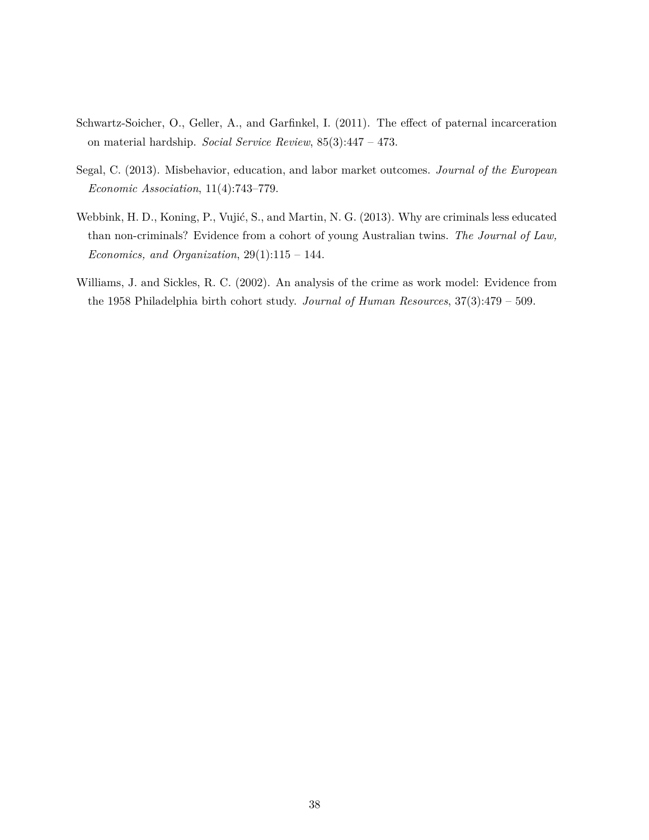- Schwartz-Soicher, O., Geller, A., and Garfinkel, I. (2011). The effect of paternal incarceration on material hardship. *Social Service Review*, 85(3):447 – 473.
- Segal, C. (2013). Misbehavior, education, and labor market outcomes. *Journal of the European Economic Association*, 11(4):743–779.
- Webbink, H. D., Koning, P., Vujić, S., and Martin, N. G. (2013). Why are criminals less educated than non-criminals? Evidence from a cohort of young Australian twins. *The Journal of Law, Economics, and Organization*, 29(1):115 – 144.
- Williams, J. and Sickles, R. C. (2002). An analysis of the crime as work model: Evidence from the 1958 Philadelphia birth cohort study. *Journal of Human Resources*, 37(3):479 – 509.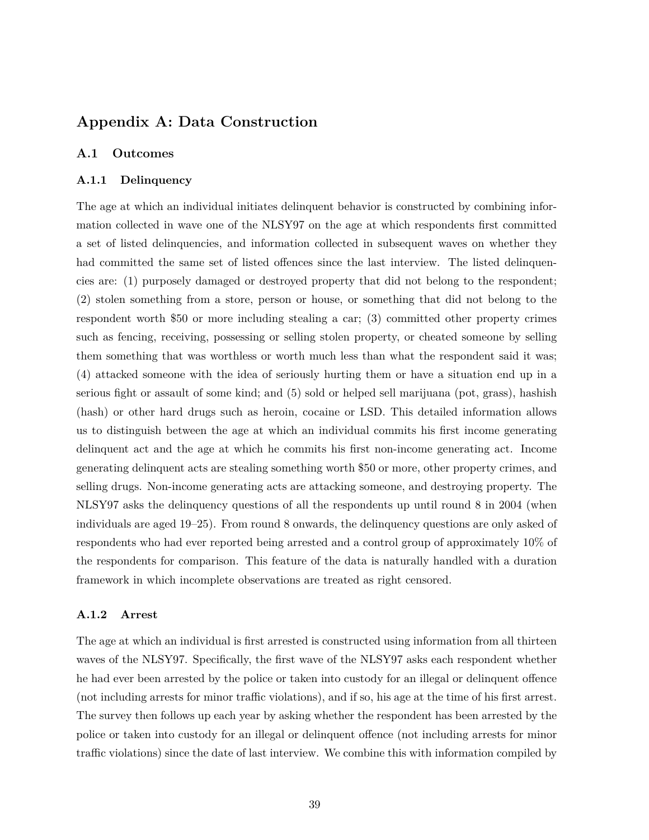# **Appendix A: Data Construction**

#### **A.1 Outcomes**

#### **A.1.1 Delinquency**

The age at which an individual initiates delinquent behavior is constructed by combining information collected in wave one of the NLSY97 on the age at which respondents first committed a set of listed delinquencies, and information collected in subsequent waves on whether they had committed the same set of listed offences since the last interview. The listed delinquencies are: (1) purposely damaged or destroyed property that did not belong to the respondent; (2) stolen something from a store, person or house, or something that did not belong to the respondent worth \$50 or more including stealing a car; (3) committed other property crimes such as fencing, receiving, possessing or selling stolen property, or cheated someone by selling them something that was worthless or worth much less than what the respondent said it was; (4) attacked someone with the idea of seriously hurting them or have a situation end up in a serious fight or assault of some kind; and (5) sold or helped sell marijuana (pot, grass), hashish (hash) or other hard drugs such as heroin, cocaine or LSD. This detailed information allows us to distinguish between the age at which an individual commits his first income generating delinquent act and the age at which he commits his first non-income generating act. Income generating delinquent acts are stealing something worth \$50 or more, other property crimes, and selling drugs. Non-income generating acts are attacking someone, and destroying property. The NLSY97 asks the delinquency questions of all the respondents up until round 8 in 2004 (when individuals are aged 19–25). From round 8 onwards, the delinquency questions are only asked of respondents who had ever reported being arrested and a control group of approximately 10% of the respondents for comparison. This feature of the data is naturally handled with a duration framework in which incomplete observations are treated as right censored.

#### **A.1.2 Arrest**

The age at which an individual is first arrested is constructed using information from all thirteen waves of the NLSY97. Specifically, the first wave of the NLSY97 asks each respondent whether he had ever been arrested by the police or taken into custody for an illegal or delinquent offence (not including arrests for minor traffic violations), and if so, his age at the time of his first arrest. The survey then follows up each year by asking whether the respondent has been arrested by the police or taken into custody for an illegal or delinquent offence (not including arrests for minor traffic violations) since the date of last interview. We combine this with information compiled by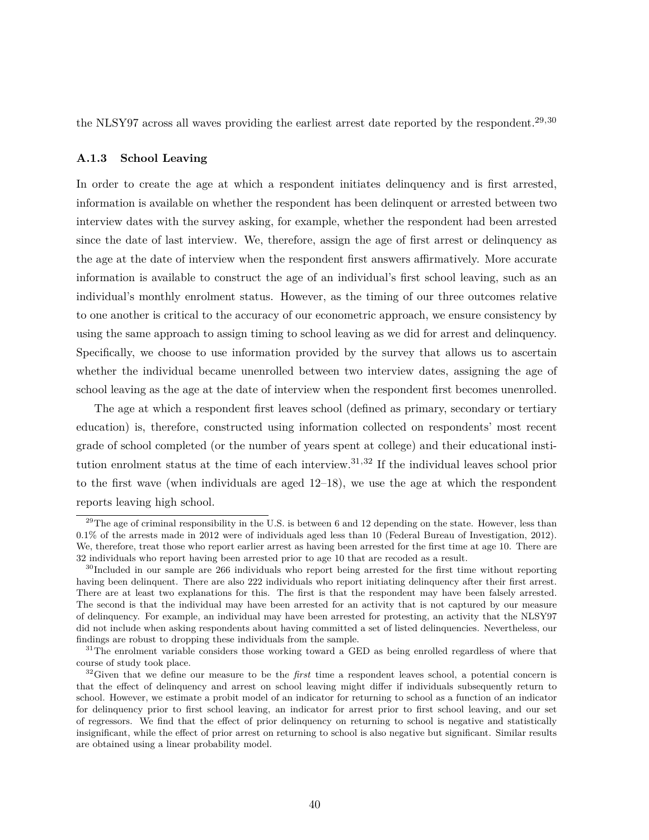the NLSY97 across all waves providing the earliest arrest date reported by the respondent.29*,*<sup>30</sup>

#### **A.1.3 School Leaving**

In order to create the age at which a respondent initiates delinquency and is first arrested, information is available on whether the respondent has been delinquent or arrested between two interview dates with the survey asking, for example, whether the respondent had been arrested since the date of last interview. We, therefore, assign the age of first arrest or delinquency as the age at the date of interview when the respondent first answers affirmatively. More accurate information is available to construct the age of an individual's first school leaving, such as an individual's monthly enrolment status. However, as the timing of our three outcomes relative to one another is critical to the accuracy of our econometric approach, we ensure consistency by using the same approach to assign timing to school leaving as we did for arrest and delinquency. Specifically, we choose to use information provided by the survey that allows us to ascertain whether the individual became unenrolled between two interview dates, assigning the age of school leaving as the age at the date of interview when the respondent first becomes unenrolled.

The age at which a respondent first leaves school (defined as primary, secondary or tertiary education) is, therefore, constructed using information collected on respondents' most recent grade of school completed (or the number of years spent at college) and their educational institution enrolment status at the time of each interview.31*,*<sup>32</sup> If the individual leaves school prior to the first wave (when individuals are aged 12–18), we use the age at which the respondent reports leaving high school.

<sup>&</sup>lt;sup>29</sup>The age of criminal responsibility in the U.S. is between 6 and 12 depending on the state. However, less than 0.1% of the arrests made in 2012 were of individuals aged less than 10 (Federal Bureau of Investigation, 2012). We, therefore, treat those who report earlier arrest as having been arrested for the first time at age 10. There are 32 individuals who report having been arrested prior to age 10 that are recoded as a result.

<sup>&</sup>lt;sup>30</sup>Included in our sample are 266 individuals who report being arrested for the first time without reporting having been delinquent. There are also 222 individuals who report initiating delinquency after their first arrest. There are at least two explanations for this. The first is that the respondent may have been falsely arrested. The second is that the individual may have been arrested for an activity that is not captured by our measure of delinquency. For example, an individual may have been arrested for protesting, an activity that the NLSY97 did not include when asking respondents about having committed a set of listed delinquencies. Nevertheless, our findings are robust to dropping these individuals from the sample.

<sup>&</sup>lt;sup>31</sup>The enrolment variable considers those working toward a GED as being enrolled regardless of where that course of study took place.

<sup>32</sup>Given that we define our measure to be the *first* time a respondent leaves school, a potential concern is that the effect of delinquency and arrest on school leaving might differ if individuals subsequently return to school. However, we estimate a probit model of an indicator for returning to school as a function of an indicator for delinquency prior to first school leaving, an indicator for arrest prior to first school leaving, and our set of regressors. We find that the effect of prior delinquency on returning to school is negative and statistically insignificant, while the effect of prior arrest on returning to school is also negative but significant. Similar results are obtained using a linear probability model.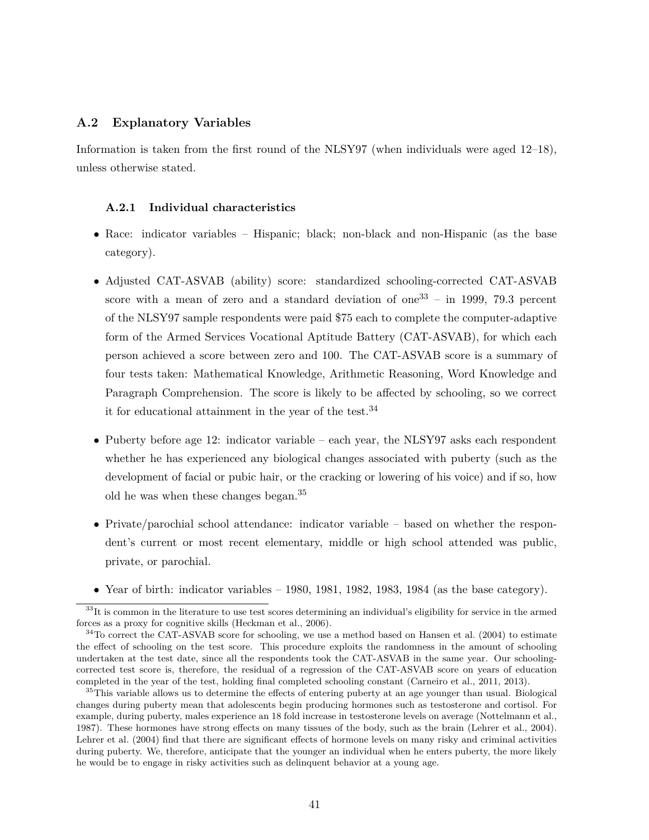#### **A.2 Explanatory Variables**

Information is taken from the first round of the NLSY97 (when individuals were aged 12–18), unless otherwise stated.

#### **A.2.1 Individual characteristics**

- Race: indicator variables Hispanic; black; non-black and non-Hispanic (as the base category).
- Adjusted CAT-ASVAB (ability) score: standardized schooling-corrected CAT-ASVAB score with a mean of zero and a standard deviation of one<sup>33</sup> – in 1999, 79.3 percent of the NLSY97 sample respondents were paid \$75 each to complete the computer-adaptive form of the Armed Services Vocational Aptitude Battery (CAT-ASVAB), for which each person achieved a score between zero and 100. The CAT-ASVAB score is a summary of four tests taken: Mathematical Knowledge, Arithmetic Reasoning, Word Knowledge and Paragraph Comprehension. The score is likely to be affected by schooling, so we correct it for educational attainment in the year of the test.<sup>34</sup>
- Puberty before age 12: indicator variable each year, the NLSY97 asks each respondent whether he has experienced any biological changes associated with puberty (such as the development of facial or pubic hair, or the cracking or lowering of his voice) and if so, how old he was when these changes began.<sup>35</sup>
- Private/parochial school attendance: indicator variable based on whether the respondent's current or most recent elementary, middle or high school attended was public, private, or parochial.
- Year of birth: indicator variables  $-1980$ , 1981, 1982, 1983, 1984 (as the base category).

<sup>&</sup>lt;sup>33</sup>It is common in the literature to use test scores determining an individual's eligibility for service in the armed forces as a proxy for cognitive skills (Heckman et al., 2006).

 $34$ To correct the CAT-ASVAB score for schooling, we use a method based on Hansen et al. (2004) to estimate the effect of schooling on the test score. This procedure exploits the randomness in the amount of schooling undertaken at the test date, since all the respondents took the CAT-ASVAB in the same year. Our schoolingcorrected test score is, therefore, the residual of a regression of the CAT-ASVAB score on years of education completed in the year of the test, holding final completed schooling constant (Carneiro et al., 2011, 2013).

<sup>&</sup>lt;sup>35</sup>This variable allows us to determine the effects of entering puberty at an age younger than usual. Biological changes during puberty mean that adolescents begin producing hormones such as testosterone and cortisol. For example, during puberty, males experience an 18 fold increase in testosterone levels on average (Nottelmann et al., 1987). These hormones have strong effects on many tissues of the body, such as the brain (Lehrer et al., 2004). Lehrer et al. (2004) find that there are significant effects of hormone levels on many risky and criminal activities during puberty. We, therefore, anticipate that the younger an individual when he enters puberty, the more likely he would be to engage in risky activities such as delinquent behavior at a young age.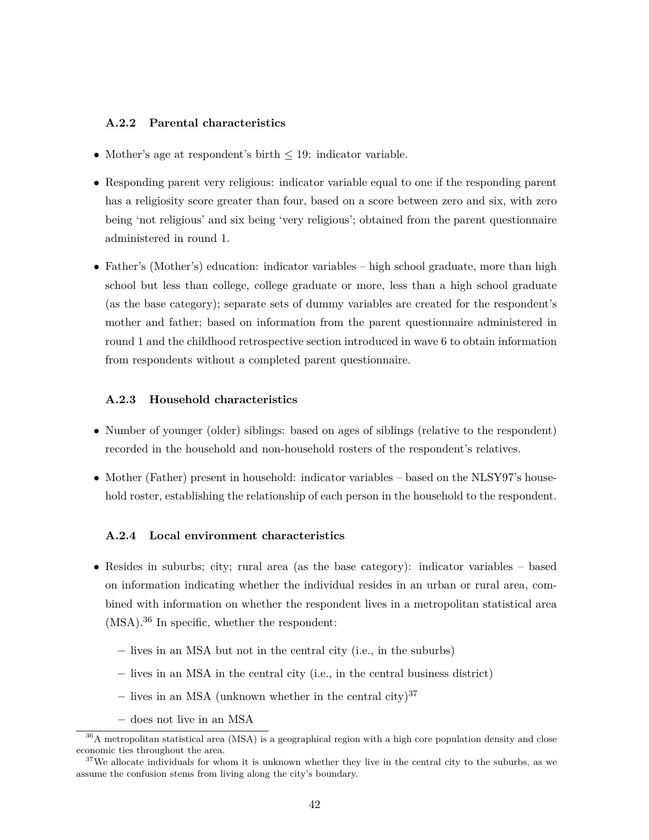#### **A.2.2 Parental characteristics**

- Mother's age at respondent's birth  $\leq 19$ : indicator variable.
- Responding parent very religious: indicator variable equal to one if the responding parent has a religiosity score greater than four, based on a score between zero and six, with zero being 'not religious' and six being 'very religious'; obtained from the parent questionnaire administered in round 1.
- Father's (Mother's) education: indicator variables high school graduate, more than high school but less than college, college graduate or more, less than a high school graduate (as the base category); separate sets of dummy variables are created for the respondent's mother and father; based on information from the parent questionnaire administered in round 1 and the childhood retrospective section introduced in wave 6 to obtain information from respondents without a completed parent questionnaire.

#### **A.2.3 Household characteristics**

- Number of younger (older) siblings: based on ages of siblings (relative to the respondent) recorded in the household and non-household rosters of the respondent's relatives.
- Mother (Father) present in household: indicator variables based on the NLSY97's household roster, establishing the relationship of each person in the household to the respondent.

#### **A.2.4 Local environment characteristics**

- Resides in suburbs; city; rural area (as the base category): indicator variables based on information indicating whether the individual resides in an urban or rural area, combined with information on whether the respondent lives in a metropolitan statistical area (MSA).<sup>36</sup> In specific, whether the respondent:
	- **–** lives in an MSA but not in the central city (i.e., in the suburbs)
	- **–** lives in an MSA in the central city (i.e., in the central business district)
	- lives in an MSA (unknown whether in the central city)<sup>37</sup>
	- **–** does not live in an MSA

<sup>36</sup>A metropolitan statistical area (MSA) is a geographical region with a high core population density and close economic ties throughout the area.

 $37$ We allocate individuals for whom it is unknown whether they live in the central city to the suburbs, as we assume the confusion stems from living along the city's boundary.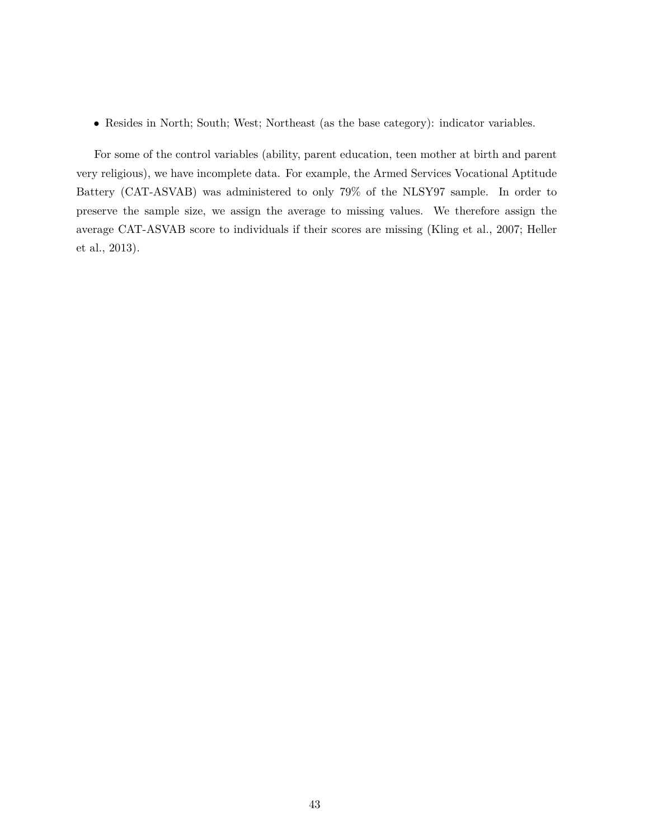• Resides in North; South; West; Northeast (as the base category): indicator variables.

For some of the control variables (ability, parent education, teen mother at birth and parent very religious), we have incomplete data. For example, the Armed Services Vocational Aptitude Battery (CAT-ASVAB) was administered to only 79% of the NLSY97 sample. In order to preserve the sample size, we assign the average to missing values. We therefore assign the average CAT-ASVAB score to individuals if their scores are missing (Kling et al., 2007; Heller et al., 2013).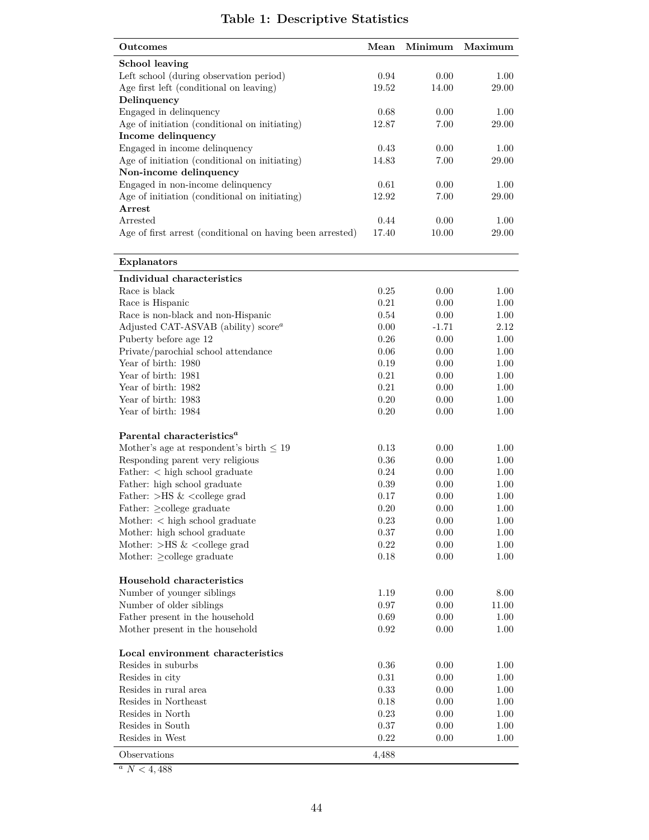# **Table 1: Descriptive Statistics**

| Outcomes                                                                           | Mean     | Minimum  | Maximum |
|------------------------------------------------------------------------------------|----------|----------|---------|
| <b>School leaving</b>                                                              |          |          |         |
| Left school (during observation period)                                            | 0.94     | 0.00     | 1.00    |
| Age first left (conditional on leaving)                                            | 19.52    | 14.00    | 29.00   |
| Delinquency                                                                        |          |          |         |
| Engaged in delinquency                                                             | 0.68     | 0.00     | 1.00    |
| Age of initiation (conditional on initiating)                                      | 12.87    | 7.00     | 29.00   |
| Income delinquency                                                                 |          |          |         |
| Engaged in income delinquency                                                      | 0.43     | 0.00     | 1.00    |
| Age of initiation (conditional on initiating)                                      | 14.83    | 7.00     | 29.00   |
| Non-income delinquency                                                             | 0.61     | 0.00     | 1.00    |
| Engaged in non-income delinquency<br>Age of initiation (conditional on initiating) | 12.92    | 7.00     | 29.00   |
| Arrest                                                                             |          |          |         |
| Arrested                                                                           | 0.44     | 0.00     | 1.00    |
| Age of first arrest (conditional on having been arrested)                          | 17.40    | 10.00    | 29.00   |
|                                                                                    |          |          |         |
| Explanators                                                                        |          |          |         |
| Individual characteristics                                                         |          |          |         |
| Race is black                                                                      | 0.25     | 0.00     | 1.00    |
| Race is Hispanic                                                                   | 0.21     | 0.00     | 1.00    |
| Race is non-black and non-Hispanic                                                 | 0.54     | 0.00     | 1.00    |
| Adjusted CAT-ASVAB (ability) $scorea$                                              | 0.00     | $-1.71$  | 2.12    |
| Puberty before age 12                                                              | 0.26     | 0.00     | 1.00    |
| Private/parochial school attendance                                                | 0.06     | 0.00     | 1.00    |
| Year of birth: 1980                                                                | 0.19     | 0.00     | 1.00    |
| Year of birth: 1981                                                                | 0.21     | 0.00     | 1.00    |
| Year of birth: 1982                                                                | 0.21     | 0.00     | 1.00    |
| Year of birth: 1983                                                                | 0.20     | 0.00     | 1.00    |
| Year of birth: 1984                                                                | 0.20     | 0.00     | 1.00    |
| Parental characteristics <sup>a</sup>                                              |          |          |         |
| Mother's age at respondent's birth $\leq 19$                                       | 0.13     | 0.00     | 1.00    |
| Responding parent very religious                                                   | $0.36\,$ | 0.00     | 1.00    |
| Father: < high school graduate                                                     | 0.24     | 0.00     | 1.00    |
| Father: high school graduate                                                       | 0.39     | 0.00     | 1.00    |
| Father: $>$ HS & $<$ college grad                                                  | 0.17     | 0.00     | 1.00    |
| Father: $\geq$ college graduate                                                    | 0.20     | 0.00     | 1.00    |
| Mother: $\langle$ high school graduate                                             | $0.23\,$ | 0.00     | 1.00    |
| Mother: high school graduate                                                       | 0.37     | 0.00     | 1.00    |
| Mother: $>$ HS & $<$ college grad                                                  | $0.22\,$ | 0.00     | 1.00    |
| Mother: $\geq$ college graduate                                                    | 0.18     | $0.00\,$ | 1.00    |
| Household characteristics                                                          |          |          |         |
| Number of younger siblings                                                         | 1.19     | 0.00     | 8.00    |
| Number of older siblings                                                           | 0.97     | 0.00     | 11.00   |
| Father present in the household                                                    | 0.69     | 0.00     | 1.00    |
| Mother present in the household                                                    | 0.92     | 0.00     | 1.00    |
| Local environment characteristics                                                  |          |          |         |
| Resides in suburbs                                                                 | 0.36     | 0.00     | 1.00    |
| Resides in city                                                                    | 0.31     | 0.00     | 1.00    |
| Resides in rural area                                                              | 0.33     | 0.00     | 1.00    |
| Resides in Northeast                                                               | 0.18     | 0.00     | 1.00    |
| Resides in North                                                                   | 0.23     | 0.00     | 1.00    |
| Resides in South                                                                   | 0.37     | 0.00     | 1.00    |
| Resides in West                                                                    | 0.22     | 0.00     | 1.00    |
| Observations                                                                       | 4,488    |          |         |

 $a$   $N<4,488$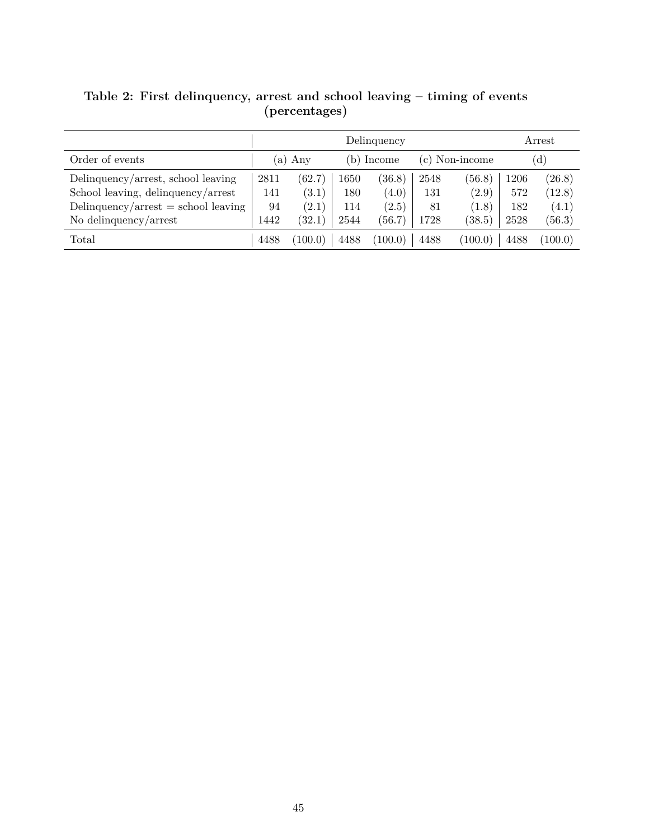|                                     | Delinquency |         |            |         |                |         | Arrest       |         |
|-------------------------------------|-------------|---------|------------|---------|----------------|---------|--------------|---------|
| Order of events                     | Any<br>(a)  |         | (b) Income |         | (c) Non-income |         | $\rm ^{d}$ ) |         |
| Delinquency/arrest, school leaving  | 2811        | (62.7)  | 1650       | (36.8)  | 2548           | (56.8)  | 1206         | (26.8)  |
| School leaving, delinquency/arrest  | 141         | (3.1)   | 180        | (4.0)   | 131            | (2.9)   | 572          | (12.8)  |
| Delinquency/arrest = school leaving | 94          | (2.1)   | 114        | (2.5)   | 81             | (1.8)   | 182          | (4.1)   |
| No delinquency/arrest               | 1442        | (32.1)  | 2544       | (56.7)  | 1728           | (38.5)  | 2528         | (56.3)  |
| Total                               | 4488        | (100.0) | 4488       | (100.0) | 4488           | (100.0) | 4488         | (100.0) |

**Table 2: First delinquency, arrest and school leaving – timing of events (percentages)**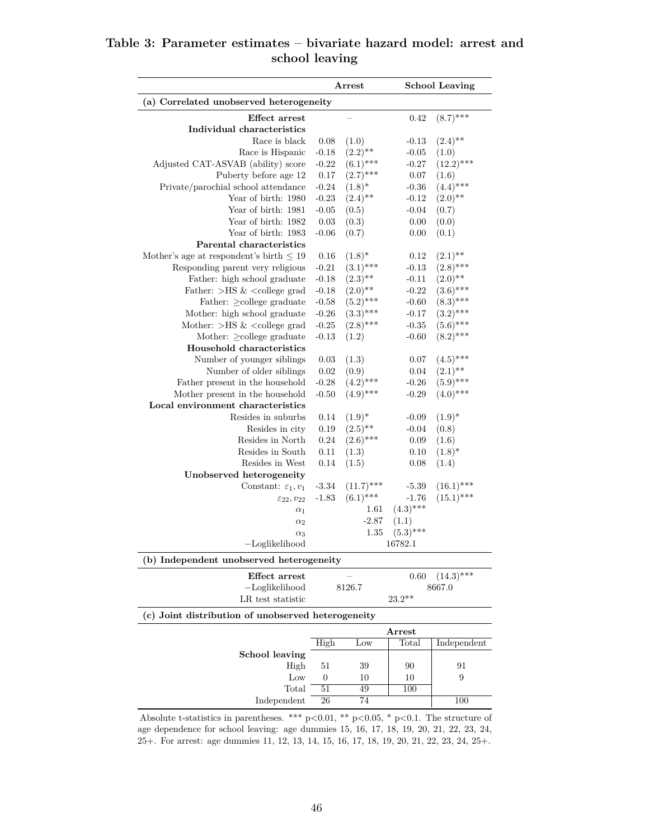# **Table 3: Parameter estimates – bivariate hazard model: arrest and school leaving**

|                                                                                                                                                                      |         | <b>School Leaving</b><br>$\operatorname{Arrest}$ |             |              |
|----------------------------------------------------------------------------------------------------------------------------------------------------------------------|---------|--------------------------------------------------|-------------|--------------|
| (a) Correlated unobserved heterogeneity                                                                                                                              |         |                                                  |             |              |
| <b>Effect</b> arrest                                                                                                                                                 |         |                                                  | 0.42        | $(8.7)$ ***  |
| Individual characteristics                                                                                                                                           |         |                                                  |             |              |
| Race is black                                                                                                                                                        | 0.08    | (1.0)                                            | $-0.13$     | $(2.4)$ **   |
| Race is Hispanic                                                                                                                                                     | $-0.18$ | $(2.2)$ **                                       | $-0.05$     | (1.0)        |
| Adjusted CAT-ASVAB (ability) score                                                                                                                                   | $-0.22$ | $(6.1)$ ***                                      | $-0.27$     | $(12.2)$ *** |
| Puberty before age 12                                                                                                                                                | 0.17    | $(2.7)$ ***                                      | 0.07        | (1.6)        |
| Private/parochial school attendance                                                                                                                                  | $-0.24$ | $(1.8)$ *                                        | $-0.36$     | $(4.4)$ ***  |
| Year of birth: 1980                                                                                                                                                  | $-0.23$ | $(2.4)$ **                                       | $-0.12$     | $(2.0)$ **   |
| Year of birth: 1981                                                                                                                                                  | $-0.05$ | (0.5)                                            | $-0.04$     | (0.7)        |
| Year of birth: 1982                                                                                                                                                  | 0.03    | (0.3)                                            | 0.00        | (0.0)        |
| Year of birth: 1983                                                                                                                                                  | $-0.06$ | (0.7)                                            | 0.00        | (0.1)        |
| Parental characteristics                                                                                                                                             |         |                                                  |             |              |
| Mother's age at respondent's birth $\leq$ 19                                                                                                                         | 0.16    | $(1.8)^*$                                        | 0.12        | $(2.1)$ **   |
| Responding parent very religious                                                                                                                                     | $-0.21$ | $(3.1)$ ***                                      | $-0.13$     | $(2.8)$ ***  |
| Father: high school graduate                                                                                                                                         | $-0.18$ | $(2.3)$ **                                       | $-0.11$     | $(2.0)$ **   |
| Father: $>$ HS & <college grad<="" td=""><td><math>-0.18</math></td><td><math>(2.0)</math>**</td><td><math>-0.22</math></td><td><math>(3.6)</math>***</td></college> | $-0.18$ | $(2.0)$ **                                       | $-0.22$     | $(3.6)$ ***  |
| Father: $\geq$ college graduate                                                                                                                                      | $-0.58$ | $(5.2)$ ***                                      | $-0.60$     | $(8.3)$ ***  |
| Mother: high school graduate                                                                                                                                         | $-0.26$ | $(3.3)$ ***                                      | $-0.17$     | $(3.2)$ ***  |
| Mother: $>$ HS & $<$ college grad                                                                                                                                    |         | $(2.8)$ ***                                      |             | $(5.6)$ ***  |
|                                                                                                                                                                      | $-0.25$ |                                                  | $-0.35$     | $(8.2)$ ***  |
| Mother: $\geq$ college graduate                                                                                                                                      | $-0.13$ | (1.2)                                            | $-0.60$     |              |
| Household characteristics                                                                                                                                            |         |                                                  |             |              |
| Number of younger siblings                                                                                                                                           | 0.03    | (1.3)                                            | 0.07        | $(4.5)$ ***  |
| Number of older siblings                                                                                                                                             | 0.02    | (0.9)                                            | 0.04        | $(2.1)$ **   |
| Father present in the household                                                                                                                                      | $-0.28$ | $(4.2)$ ***                                      | $-0.26$     | $(5.9)$ ***  |
| Mother present in the household                                                                                                                                      | $-0.50$ | $(4.9)$ ***                                      | $-0.29$     | $(4.0)$ ***  |
| Local environment characteristics                                                                                                                                    |         |                                                  |             |              |
| Resides in suburbs                                                                                                                                                   | 0.14    | $(1.9)^*$                                        | $-0.09$     | $(1.9)^*$    |
| Resides in city                                                                                                                                                      | 0.19    | $(2.5)$ **                                       | $-0.04$     | (0.8)        |
| Resides in North                                                                                                                                                     | 0.24    | $(2.6)$ ***                                      | 0.09        | (1.6)        |
| Resides in South                                                                                                                                                     | 0.11    | (1.3)                                            | 0.10        | $(1.8)^*$    |
| Resides in West                                                                                                                                                      | 0.14    | (1.5)                                            | 0.08        | (1.4)        |
| Unobserved heterogeneity                                                                                                                                             |         |                                                  |             |              |
| Constant: $\varepsilon_1, v_1$                                                                                                                                       | $-3.34$ | $(11.7)$ ***                                     | $-5.39$     | $(16.1)$ *** |
| $\varepsilon_{22}, v_{22}$                                                                                                                                           | $-1.83$ | $(6.1)$ ***                                      | $-1.76$     | $(15.1)$ *** |
| $\alpha_1$                                                                                                                                                           |         | 1.61                                             | $(4.3)$ *** |              |
| $\alpha_2$                                                                                                                                                           |         | $-2.87$                                          | (1.1)       |              |
| $\alpha_3$                                                                                                                                                           |         | 1.35                                             | $(5.3)$ *** |              |
| $-Loglikelihood$                                                                                                                                                     |         |                                                  | 16782.1     |              |
| (b) Independent unobserved heterogeneity                                                                                                                             |         |                                                  |             |              |
| <b>Effect</b> arrest                                                                                                                                                 |         |                                                  | 0.60        | $(14.3)$ *** |
| $-Loglikelihood$                                                                                                                                                     |         | 8126.7                                           |             | 8667.0       |
| LR test statistic                                                                                                                                                    |         |                                                  | $23.2**$    |              |
| (c) Joint distribution of unobserved heterogeneity                                                                                                                   |         |                                                  |             |              |
|                                                                                                                                                                      |         |                                                  | Arrest      |              |
|                                                                                                                                                                      | High    | Low                                              | Total       | Independent  |
| <b>School leaving</b>                                                                                                                                                |         |                                                  |             |              |
| High                                                                                                                                                                 | 51      | 39                                               | 90          | 91           |
| Low                                                                                                                                                                  | 0       | 10                                               | 10          | 9            |
| Total                                                                                                                                                                | 51      | 49                                               | 100         |              |
|                                                                                                                                                                      |         |                                                  |             | 100          |

age dependence for school leaving: age dummies 15, 16, 17, 18, 19, 20, 21, 22, 23, 24, 25+. For arrest: age dummies 11, 12, 13, 14, 15, 16, 17, 18, 19, 20, 21, 22, 23, 24, 25+.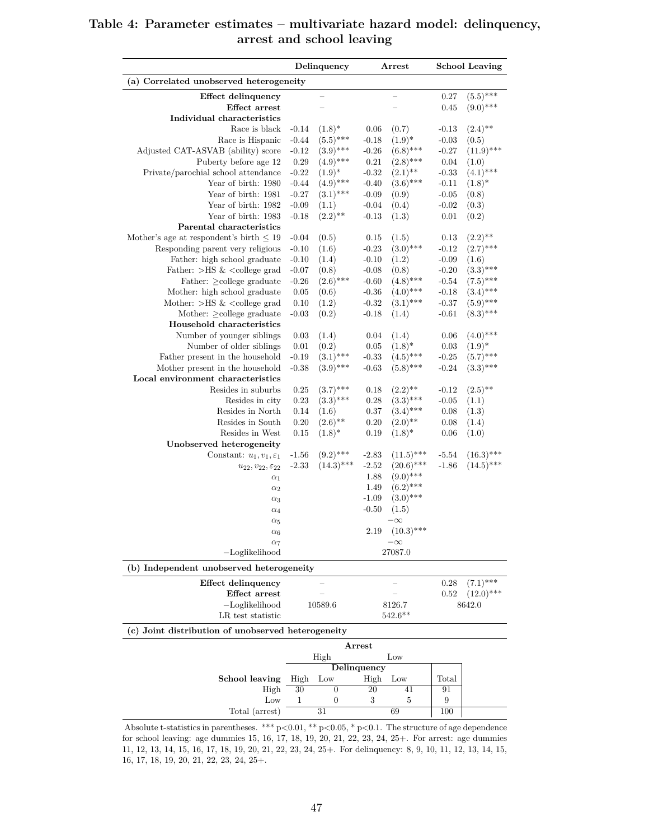|                                                                         |          | Delinquency              |             | Arrest                    |                    | <b>School Leaving</b> |
|-------------------------------------------------------------------------|----------|--------------------------|-------------|---------------------------|--------------------|-----------------------|
| (a) Correlated unobserved heterogeneity                                 |          |                          |             |                           |                    |                       |
| Effect delinquency                                                      |          |                          |             |                           | 0.27               | $(5.5)$ ***           |
| Effect arrest                                                           |          |                          |             |                           | 0.45               | $(9.0)$ ***           |
| Individual characteristics<br>Race is black                             | $-0.14$  |                          | 0.06        | (0.7)                     |                    | $(2.4)$ **            |
| Race is Hispanic                                                        | $-0.44$  | $(1.8)^*$<br>$(5.5)$ *** | $-0.18$     | $(1.9)^*$                 | $-0.13$<br>$-0.03$ | (0.5)                 |
| Adjusted CAT-ASVAB (ability) score                                      | $-0.12$  | $(3.9)$ ***              | $-0.26$     | $(6.8)$ ***               | $-0.27$            | $(11.9)$ ***          |
| Puberty before age 12                                                   | $0.29\,$ | $(4.9)$ ***              | $\rm 0.21$  | $(2.8)$ ***               | 0.04               | (1.0)                 |
| Private/parochial school attendance                                     | $-0.22$  | $(1.9)^{*}$              | $-0.32$     | $(2.1)$ **                | $-0.33$            | $(4.1)$ ***           |
| Year of birth: 1980                                                     | $-0.44$  | $(4.9)$ ***              | $-0.40$     | $(3.6)$ ***               | $-0.11$            | $(1.8)^*$             |
| Year of birth: 1981                                                     | $-0.27$  | $(3.1)$ ***              | $-0.09$     | (0.9)                     | $-0.05$            | (0.8)                 |
| Year of birth: 1982                                                     | $-0.09$  | (1.1)                    | $-0.04$     | (0.4)                     | $-0.02$            | (0.3)                 |
| Year of birth: 1983                                                     | $-0.18$  | $(2.2)$ **               | $-0.13$     | (1.3)                     | $0.01\,$           | (0.2)                 |
| Parental characteristics                                                |          |                          |             |                           |                    |                       |
| Mother's age at respondent's birth $\leq 19$                            | $-0.04$  | (0.5)                    | 0.15        | (1.5)                     | 0.13               | $(2.2)$ **            |
| Responding parent very religious                                        | $-0.10$  | (1.6)                    | $-0.23$     | $(3.0)$ ***               | $-0.12$            | $(2.7)$ ***           |
| Father: high school graduate                                            | $-0.10$  | (1.4)                    | $-0.10$     | (1.2)                     | $-0.09$            | (1.6)                 |
| Father: $>$ HS & $<$ college grad                                       | $-0.07$  | (0.8)                    | $-0.08$     | (0.8)                     | $-0.20$            | $(3.3)$ ***           |
| Father: $\geq$ college graduate                                         | $-0.26$  | $(2.6)$ ***              | $-0.60$     | $(4.8)$ ***               | $-0.54$            | $(7.5)$ ***           |
| Mother: high school graduate                                            | 0.05     | (0.6)                    | $-0.36$     | $(4.0)$ ***               | $-0.18$            | $(3.4)$ ***           |
| Mother: $>$ HS & $<$ college grad                                       | 0.10     | (1.2)                    | $-0.32$     | $(3.1)$ ***               | $-0.37$            | $(5.9)$ ***           |
| Mother: $\geq$ college graduate                                         | $-0.03$  | (0.2)                    | $-0.18$     | (1.4)                     | $-0.61$            | $(8.3)$ ***           |
| Household characteristics                                               |          |                          |             |                           |                    |                       |
| Number of younger siblings                                              | 0.03     | (1.4)                    | 0.04        | (1.4)                     | 0.06               | $(4.0)$ ***           |
| Number of older siblings                                                | $0.01\,$ | (0.2)                    | $0.05\,$    | $(1.8)^*$                 | 0.03               | $(1.9)^{*}$           |
| Father present in the household                                         | $-0.19$  | $(3.1)$ ***              | $-0.33$     | $(4.5)$ ***               | $-0.25$            | $(5.7)$ ***           |
| Mother present in the household                                         | $-0.38$  | $(3.9)$ ***              | $-0.63$     | $(5.8)$ ***               | $-0.24$            | $(3.3)$ ***           |
| Local environment characteristics                                       |          |                          |             |                           |                    |                       |
| Resides in suburbs                                                      | 0.25     | $(3.7)$ ***              | 0.18        | $(2.2)$ **                | $-0.12$            | $(2.5)$ <sup>**</sup> |
| Resides in city                                                         | 0.23     | $(3.3)$ ***              | $0.28\,$    | $(3.3)$ ***               | $-0.05$            | (1.1)                 |
| Resides in North                                                        | 0.14     | (1.6)                    | 0.37        | $(3.4)$ ***               | 0.08               | (1.3)                 |
| Resides in South                                                        | 0.20     | $(2.6)$ **               | 0.20        | $(2.0)$ **                | 0.08               | (1.4)                 |
| Resides in West                                                         | 0.15     | $(1.8)^*$                | 0.19        | $(1.8)^*$                 | 0.06               | (1.0)                 |
| Unobserved heterogeneity                                                |          |                          |             |                           |                    |                       |
| Constant: $u_1, v_1, \varepsilon_1$                                     | $-1.56$  | $(9.2)$ ***              | $-2.83$     | $(11.5)$ ***              | $-5.54$            | $(16.3)$ ***          |
|                                                                         | $-2.33$  | $(14.3)$ ***             | $-2.52$     | $(20.6)$ ***              | $-1.86$            | $(14.5)$ ***          |
| $u_{22}, v_{22}, \varepsilon_{22}$                                      |          |                          | 1.88        | $(9.0)$ ***               |                    |                       |
| $\alpha_1$                                                              |          |                          | 1.49        | $(6.2)$ ***               |                    |                       |
| $\alpha_2$                                                              |          |                          | $-1.09$     | $(3.0)$ ***               |                    |                       |
| $\alpha_3$                                                              |          |                          | $-0.50$     |                           |                    |                       |
| $\alpha_4$                                                              |          |                          |             | (1.5)                     |                    |                       |
| $\alpha_5$                                                              |          |                          |             | $-\infty$<br>$(10.3)$ *** |                    |                       |
| $\alpha_6$                                                              |          |                          | $2.19\,$    |                           |                    |                       |
| $\alpha_7$<br>$-Loglikelihood$                                          |          |                          |             | $-\infty$                 |                    |                       |
|                                                                         |          |                          |             | 27087.0                   |                    |                       |
| (b) Independent unobserved heterogeneity                                |          |                          |             |                           |                    |                       |
| Effect delinquency<br>Effect arrest                                     |          |                          |             |                           | 0.28               | $(7.1)$ ***           |
|                                                                         |          |                          |             |                           | 0.52               | $(12.0)$ ***          |
| $-Loglikelihood$                                                        |          | 10589.6                  |             | 8126.7<br>$542.6***$      |                    | 8642.0                |
| LR test statistic<br>(c) Joint distribution of unobserved heterogeneity |          |                          |             |                           |                    |                       |
|                                                                         |          |                          |             |                           |                    |                       |
|                                                                         |          | High                     | Arrest      | Low                       |                    |                       |
|                                                                         |          |                          | Delinquency |                           |                    |                       |
|                                                                         |          |                          |             |                           |                    |                       |
|                                                                         |          |                          |             |                           |                    |                       |
| School leaving                                                          | High     | Low<br>$\theta$          | High        | Low                       | Total              |                       |
| High<br>Low                                                             | 30<br>1  | 0                        | 20<br>3     | 41<br>5                   | 91<br>9            |                       |

# **Table 4: Parameter estimates – multivariate hazard model: delinquency, arrest and school leaving**

Absolute t-statistics in parentheses. \*\*\* p*<*0.01, \*\* p*<*0.05, \* p*<*0.1. The structure of age dependence for school leaving: age dummies 15, 16, 17, 18, 19, 20, 21, 22, 23, 24, 25+. For arrest: age dummies 11, 12, 13, 14, 15, 16, 17, 18, 19, 20, 21, 22, 23, 24, 25+. For delinquency: 8, 9, 10, 11, 12, 13, 14, 15, 16, 17, 18, 19, 20, 21, 22, 23, 24, 25+.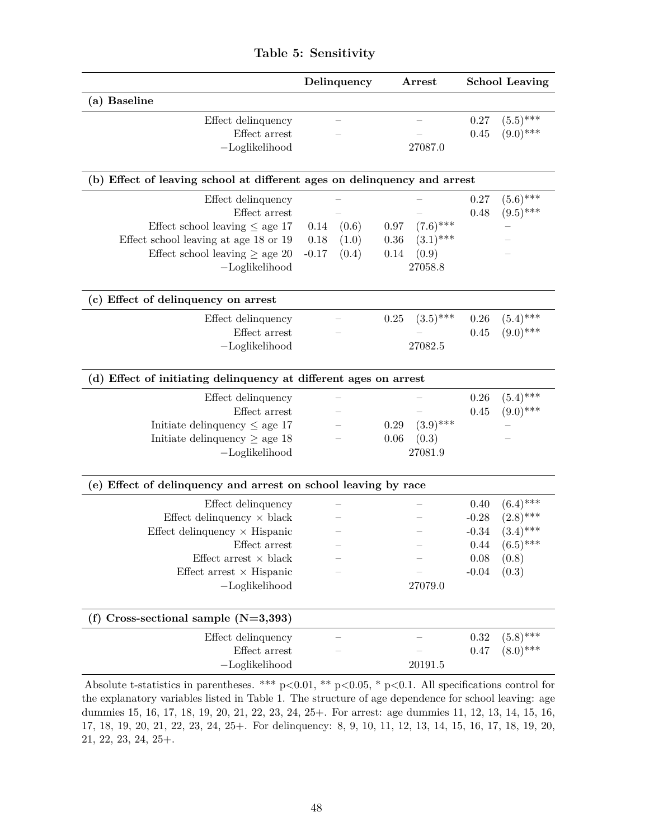|                                                                          |         | Delinquency<br>Arrest |      |             | <b>School Leaving</b> |             |
|--------------------------------------------------------------------------|---------|-----------------------|------|-------------|-----------------------|-------------|
| (a) Baseline                                                             |         |                       |      |             |                       |             |
| Effect delinquency                                                       |         |                       |      |             | 0.27                  | $(5.5)$ *** |
| Effect arrest                                                            |         |                       |      |             | 0.45                  | $(9.0)$ *** |
| $-Loglikelihood$                                                         |         |                       |      | 27087.0     |                       |             |
| (b) Effect of leaving school at different ages on delinquency and arrest |         |                       |      |             |                       |             |
| Effect delinquency                                                       |         |                       |      |             | 0.27                  | $(5.6)$ *** |
| Effect arrest                                                            |         |                       |      |             | 0.48                  | $(9.5)$ *** |
| Effect school leaving $\leq$ age 17                                      | 0.14    | (0.6)                 | 0.97 | $(7.6)$ *** |                       |             |
| Effect school leaving at age 18 or 19                                    | 0.18    | (1.0)                 | 0.36 | $(3.1)$ *** |                       |             |
| Effect school leaving $\geq$ age 20                                      | $-0.17$ | (0.4)                 | 0.14 | (0.9)       |                       |             |
| $-Loglikelihood$                                                         |         |                       |      | 27058.8     |                       |             |
| (c) Effect of delinquency on arrest                                      |         |                       |      |             |                       |             |
| Effect delinquency                                                       |         |                       | 0.25 | $(3.5)$ *** | $0.26\,$              | $(5.4)$ *** |
| Effect arrest                                                            |         |                       |      |             | 0.45                  | $(9.0)$ *** |
|                                                                          |         |                       |      | 27082.5     |                       |             |
| $-Loglikelihood$                                                         |         |                       |      |             |                       |             |
| (d) Effect of initiating delinquency at different ages on arrest         |         |                       |      |             |                       |             |
| Effect delinquency                                                       |         |                       |      |             | 0.26                  | $(5.4)$ *** |
| Effect arrest                                                            |         |                       |      |             | 0.45                  | $(9.0)$ *** |
| Initiate delinquency $\leq$ age 17                                       |         |                       | 0.29 | $(3.9)$ *** |                       |             |
| Initiate delinquency $\geq$ age 18                                       |         |                       | 0.06 | (0.3)       |                       |             |
| $-Loglikelihood$                                                         |         |                       |      | 27081.9     |                       |             |
|                                                                          |         |                       |      |             |                       |             |
| (e) Effect of delinquency and arrest on school leaving by race           |         |                       |      |             |                       |             |
| Effect delinquency                                                       |         |                       |      |             | 0.40                  | $(6.4)$ *** |
| Effect delinquency $\times$ black                                        |         |                       |      |             | $-0.28$               | $(2.8)$ *** |
| Effect delinquency $\times$ Hispanic                                     |         |                       |      |             | $-0.34$               | $(3.4)$ *** |
| Effect arrest                                                            |         |                       |      |             | 0.44                  | $(6.5)$ *** |
| Effect arrest $\times$ black                                             |         |                       |      |             | 0.08                  | (0.8)       |
| Effect arrest $\times$ Hispanic                                          |         |                       |      |             | $-0.04$               | (0.3)       |
| $-Loglikelihood$                                                         |         |                       |      | 27079.0     |                       |             |
| (f) Cross-sectional sample $(N=3,393)$                                   |         |                       |      |             |                       |             |
| Effect delinquency                                                       |         |                       |      |             | 0.32                  | $(5.8)$ *** |
| Effect arrest                                                            |         |                       |      |             | 0.47                  | $(8.0)$ *** |
| $-Loglikelihood$                                                         |         |                       |      | 20191.5     |                       |             |
| $*** - 20.01$ ** -                                                       |         | $20.05 * z$           |      |             |                       |             |

# **Table 5: Sensitivity**

Absolute t-statistics in parentheses. \*\*\* p*<*0.01, \*\* p*<*0.05, \* p*<*0.1. All specifications control for the explanatory variables listed in Table 1. The structure of age dependence for school leaving: age dummies 15, 16, 17, 18, 19, 20, 21, 22, 23, 24, 25+. For arrest: age dummies 11, 12, 13, 14, 15, 16, 17, 18, 19, 20, 21, 22, 23, 24, 25+. For delinquency: 8, 9, 10, 11, 12, 13, 14, 15, 16, 17, 18, 19, 20, 21, 22, 23, 24, 25+.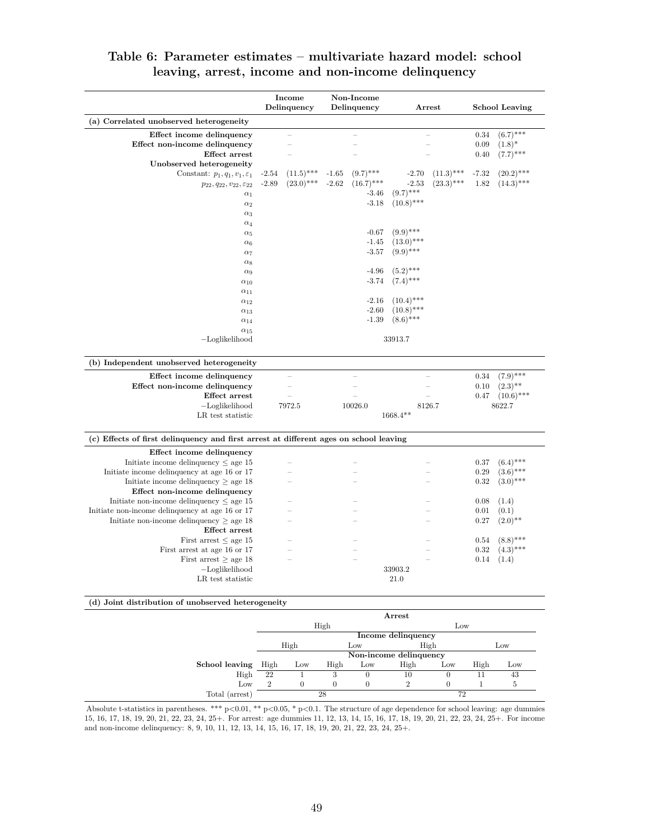|                                                                                       | Income<br>Delinquency   | Non-Income<br>Delinquency | $\operatorname{Arrest}$ | <b>School Leaving</b>   |
|---------------------------------------------------------------------------------------|-------------------------|---------------------------|-------------------------|-------------------------|
| (a) Correlated unobserved heterogeneity                                               |                         |                           |                         |                         |
| Effect income delinquency                                                             |                         |                           |                         | $(6.7)$ ***<br>0.34     |
| Effect non-income delinquency                                                         |                         |                           |                         | 0.09<br>$(1.8)^*$       |
| Effect arrest                                                                         |                         |                           |                         | $(7.7)$ ***<br>0.40     |
| Unobserved heterogeneity                                                              |                         |                           |                         |                         |
| Constant: $p_1, q_1, v_1, \varepsilon_1$                                              | $(11.5)$ ***<br>$-2.54$ | $(9.7)$ ***<br>$-1.65$    | $(11.3)$ ***<br>$-2.70$ | $(20.2)$ ***<br>$-7.32$ |
| $p_{22}, q_{22}, v_{22}, \varepsilon_{22}$                                            | $(23.0)$ ***<br>$-2.89$ | $-2.62$<br>$(16.7)$ ***   | $(23.3)$ ***<br>$-2.53$ | $(14.3)$ ***<br>1.82    |
| $\alpha_1$                                                                            |                         | $-3.46$                   | $(9.7)$ ***             |                         |
| $\alpha_2$                                                                            |                         | $-3.18$                   | $(10.8)$ ***            |                         |
| $\alpha_3$                                                                            |                         |                           |                         |                         |
| $\alpha_4$                                                                            |                         |                           |                         |                         |
| $\alpha_5$                                                                            |                         | $-0.67$                   | $(9.9)$ ***             |                         |
| $\alpha_6$                                                                            |                         | $-1.45$                   | $(13.0)$ ***            |                         |
| $\alpha_7$                                                                            |                         | $-3.57$                   | $(9.9)$ ***             |                         |
| $\alpha_8$                                                                            |                         |                           |                         |                         |
| $\alpha_9$                                                                            |                         | $-4.96$                   | $(5.2)$ ***             |                         |
| $\alpha_{10}$                                                                         |                         | $-3.74$                   | $(7.4)$ ***             |                         |
| $\alpha_{11}$                                                                         |                         |                           |                         |                         |
| $\alpha_{12}$                                                                         |                         | $-2.16$                   | $(10.4)$ ***            |                         |
| $\alpha_{13}$                                                                         |                         | $-2.60$                   | $(10.8)$ ***            |                         |
| $\alpha_{14}$                                                                         |                         | $-1.39$                   | $(8.6)$ ***             |                         |
| $\alpha_{15}$                                                                         |                         |                           |                         |                         |
| $-Loglikelihood$                                                                      |                         |                           | 33913.7                 |                         |
| (b) Independent unobserved heterogeneity                                              |                         |                           |                         |                         |
| Effect income delinquency                                                             |                         |                           |                         | $(7.9)$ ***<br>0.34     |
| Effect non-income delinquency                                                         | ÷                       |                           |                         | $(2.3)$ **<br>0.10      |
| <b>Effect</b> arrest                                                                  |                         |                           |                         | $(10.6)$ ***<br>0.47    |
| $-Loglikelihood$                                                                      | 7972.5                  | 10026.0                   | 8126.7                  | 8622.7                  |
| LR test statistic                                                                     |                         |                           | $1668.4**$              |                         |
| (c) Effects of first delinquency and first arrest at different ages on school leaving |                         |                           |                         |                         |
| Effect income delinquency                                                             |                         |                           |                         |                         |
| Initiate income delinquency $\leq$ age 15                                             |                         |                           |                         | $(6.4)$ ***<br>0.37     |
| Initiate income delinquency at age 16 or 17                                           |                         |                           |                         | $(3.6)$ ***<br>0.29     |
| Initiate income delinquency $\geq$ age 18                                             |                         |                           |                         | $(3.0)$ ***<br>0.32     |
| Effect non-income delinquency                                                         |                         |                           |                         |                         |
| Initiate non-income delinquency $\leq$ age 15                                         |                         |                           |                         | 0.08<br>(1.4)           |
| Initiate non-income delinquency at age 16 or 17                                       |                         |                           |                         | 0.01<br>(0.1)           |
| Initiate non-income delinquency $\geq$ age 18                                         |                         |                           |                         | 0.27<br>$(2.0)$ **      |
| Effect arrest                                                                         |                         |                           |                         |                         |
| First arrest $\leq$ age 15                                                            |                         |                           |                         | $(8.8)$ ***<br>0.54     |
| First arrest at age 16 or 17                                                          |                         |                           |                         | $(4.3)$ ***<br>0.32     |
| First arrest $\geq$ age 18                                                            |                         |                           |                         | 0.14<br>(1.4)           |
| $-Loglikelihood$                                                                      |                         |                           | 33903.2                 |                         |
| LR test statistic                                                                     |                         |                           | 21.0                    |                         |
|                                                                                       |                         |                           |                         |                         |
| (d) Joint distribution of unobserved heterogeneity                                    |                         |                           | Arrest                  |                         |
|                                                                                       |                         | High                      | Low                     |                         |
|                                                                                       |                         |                           |                         |                         |

# **Table 6: Parameter estimates – multivariate hazard model: school leaving, arrest, income and non-income delinquency**

|                | Arrest         |                        |      |     |                    |     |      |     |
|----------------|----------------|------------------------|------|-----|--------------------|-----|------|-----|
|                | High           |                        |      |     | Low                |     |      |     |
|                |                |                        |      |     | Income delinquency |     |      |     |
|                | High<br>Low    |                        |      |     | High               |     | Low  |     |
|                |                | Non-income delinquency |      |     |                    |     |      |     |
| School leaving | High           | Low                    | High | Low | High               | Low | High | Low |
| High           | 22             |                        | 3    | O   | 10                 |     | 11   | 43  |
| Low            | $\overline{2}$ | 0                      |      | 0   | 2                  |     |      | ð   |
| Total (arrest) | 28             |                        |      | 72  |                    |     |      |     |

Absolute t-statistics in parentheses. \*\*\* p*<*0.01, \*\* p*<*0.05, \* p*<*0.1. The structure of age dependence for school leaving: age dummies 15, 16, 17, 18, 19, 20, 21, 22, 23, 24, 25+. For arrest: age dummies 11, 12, 13, 14, 15, 16, 17, 18, 19, 20, 21, 22, 23, 24, 25+. For income and non-income delinquency: 8, 9, 10, 11, 12, 13, 14, 15, 16, 17, 18, 19, 20, 21, 22, 23, 24, 25+.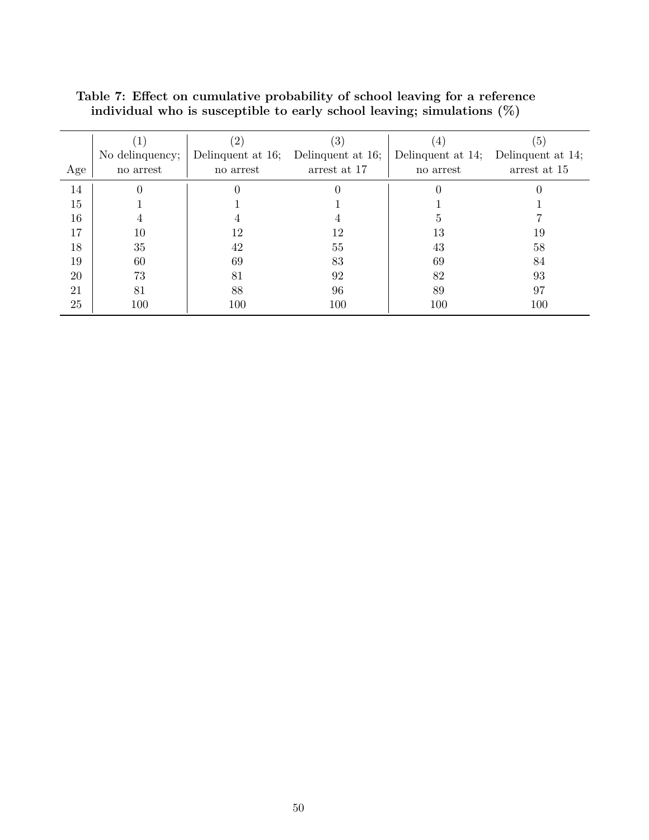|     |                 | $\overline{2}$    | 3                 |                   | (5)               |
|-----|-----------------|-------------------|-------------------|-------------------|-------------------|
|     | No delinquency; | Delinquent at 16; | Delinquent at 16; | Delinquent at 14; | Delinquent at 14; |
| Age | no arrest       | no arrest         | arrest at 17      | no arrest         | arrest at 15      |
| 14  |                 |                   |                   |                   |                   |
| 15  |                 |                   |                   |                   |                   |
| 16  |                 |                   |                   | h,                |                   |
| 17  | 10              | 12                | 12                | 13                | 19                |
| 18  | 35              | 42                | 55                | 43                | 58                |
| 19  | 60              | 69                | 83                | 69                | 84                |
| 20  | 73              | 81                | 92                | 82                | 93                |
| 21  | 81              | 88                | 96                | 89                | 97                |
| 25  | 100             | 100               | 100               | 100               | 100               |

**Table 7: Effect on cumulative probability of school leaving for a reference individual who is susceptible to early school leaving; simulations (%)**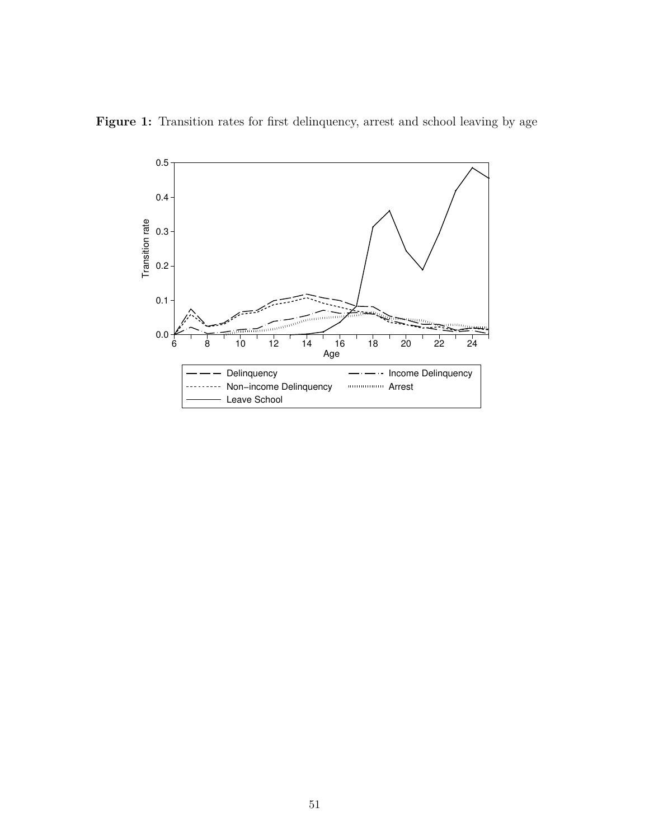

Figure 1: Transition rates for first delinquency, arrest and school leaving by age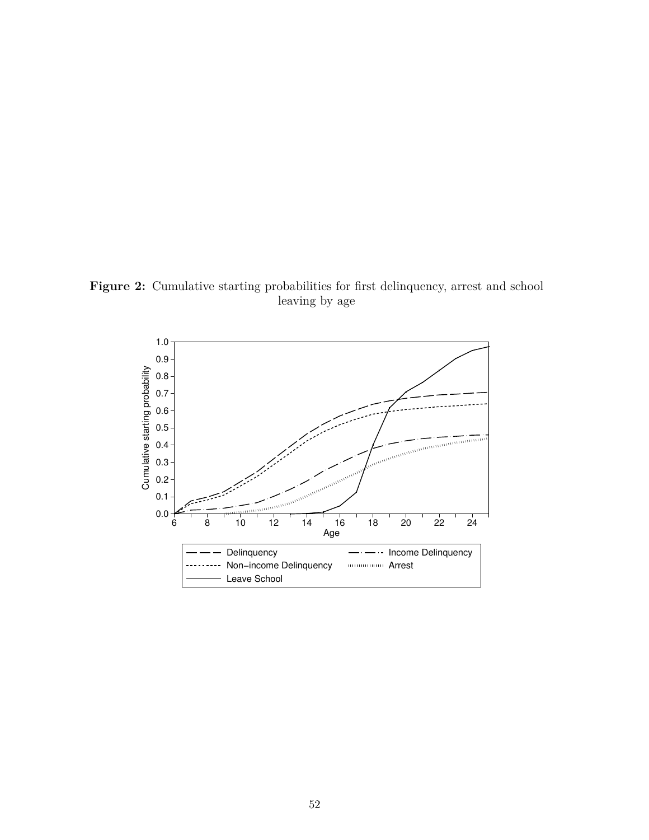Figure 2: Cumulative starting probabilities for first delinquency, arrest and school leaving by age